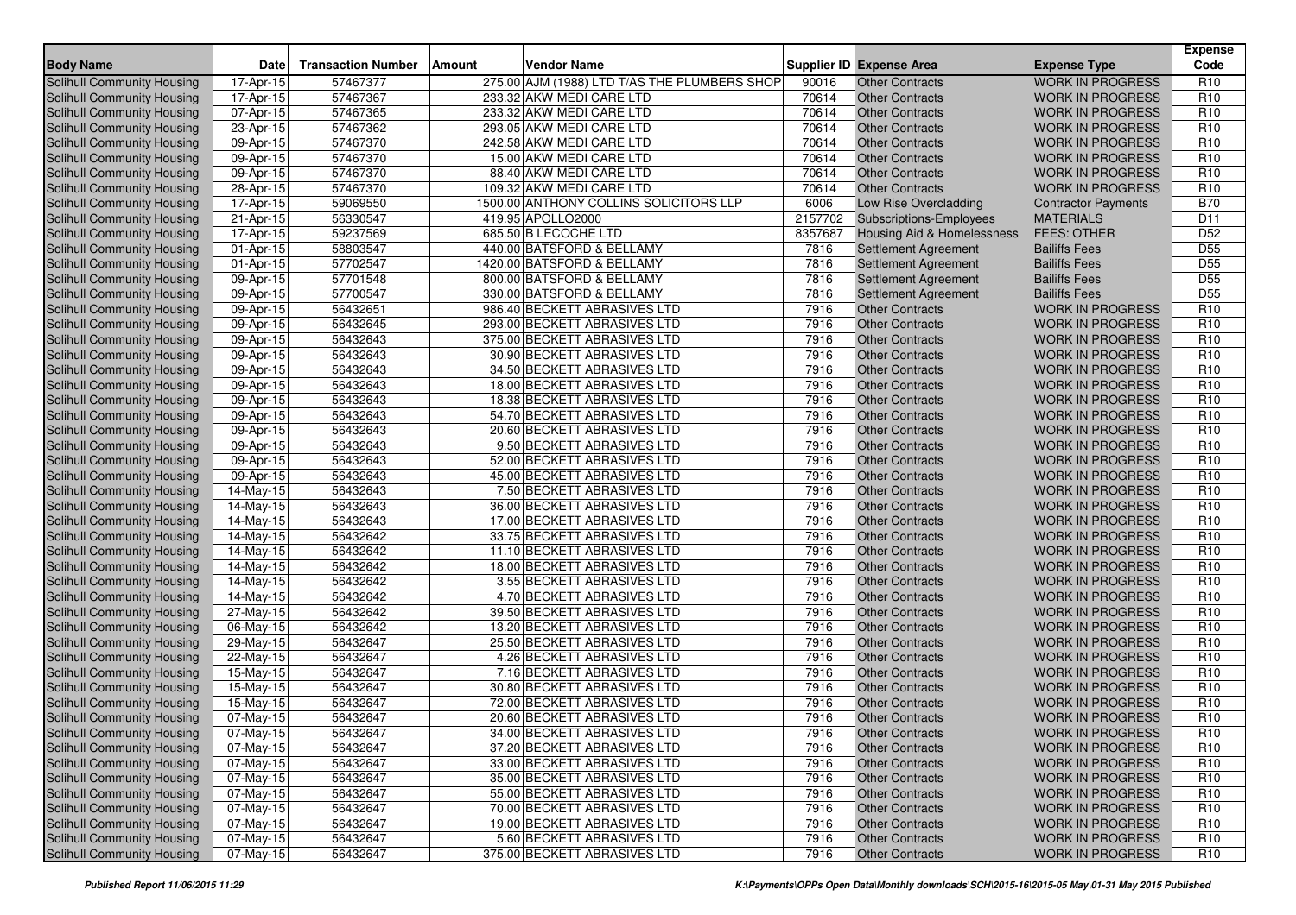| <b>Body Name</b>                  | Date                    | <b>Transaction Number</b> | <b>Amount</b> | <b>Vendor Name</b>                           |         | <b>Supplier ID Expense Area</b> | <b>Expense Type</b>        | <b>Expense</b><br>Code |
|-----------------------------------|-------------------------|---------------------------|---------------|----------------------------------------------|---------|---------------------------------|----------------------------|------------------------|
| Solihull Community Housing        | 17-Apr-15               | 57467377                  |               | 275.00 AJM (1988) LTD T/AS THE PLUMBERS SHOP | 90016   | <b>Other Contracts</b>          | <b>WORK IN PROGRESS</b>    | R <sub>10</sub>        |
| Solihull Community Housing        | 17-Apr-15               | 57467367                  |               | 233.32 AKW MEDI CARE LTD                     | 70614   | <b>Other Contracts</b>          | <b>WORK IN PROGRESS</b>    | R <sub>10</sub>        |
| Solihull Community Housing        | 07-Apr-15               | 57467365                  |               | 233.32 AKW MEDI CARE LTD                     | 70614   | <b>Other Contracts</b>          | <b>WORK IN PROGRESS</b>    | R <sub>10</sub>        |
| Solihull Community Housing        | 23-Apr-15               | 57467362                  |               | 293.05 AKW MEDI CARE LTD                     | 70614   | <b>Other Contracts</b>          | <b>WORK IN PROGRESS</b>    | R <sub>10</sub>        |
| Solihull Community Housing        | $09-Apr-15$             | 57467370                  |               | 242.58 AKW MEDI CARE LTD                     | 70614   | <b>Other Contracts</b>          | <b>WORK IN PROGRESS</b>    | R <sub>10</sub>        |
| Solihull Community Housing        | 09-Apr-15               | 57467370                  |               | 15.00 AKW MEDI CARE LTD                      | 70614   | <b>Other Contracts</b>          | <b>WORK IN PROGRESS</b>    | R <sub>10</sub>        |
| Solihull Community Housing        | 09-Apr-15               | 57467370                  |               | 88.40 AKW MEDI CARE LTD                      | 70614   | <b>Other Contracts</b>          | <b>WORK IN PROGRESS</b>    | R <sub>10</sub>        |
| Solihull Community Housing        | 28-Apr-15               | 57467370                  |               | 109.32 AKW MEDI CARE LTD                     | 70614   | <b>Other Contracts</b>          | <b>WORK IN PROGRESS</b>    | R <sub>10</sub>        |
| Solihull Community Housing        | 17-Apr-15               | 59069550                  |               | 1500.00 ANTHONY COLLINS SOLICITORS LLP       | 6006    | Low Rise Overcladding           | <b>Contractor Payments</b> | <b>B70</b>             |
| Solihull Community Housing        | 21-Apr-15               | 56330547                  |               | 419.95 APOLLO2000                            | 2157702 | Subscriptions-Employees         | <b>MATERIALS</b>           | D <sub>11</sub>        |
| Solihull Community Housing        | 17-Apr-15               | 59237569                  |               | 685.50 B LECOCHE LTD                         | 8357687 | Housing Aid & Homelessness      | <b>FEES: OTHER</b>         | D <sub>52</sub>        |
| Solihull Community Housing        | 01-Apr-15               | 58803547                  |               | 440.00 BATSFORD & BELLAMY                    | 7816    | <b>Settlement Agreement</b>     | <b>Bailiffs Fees</b>       | D <sub>55</sub>        |
| Solihull Community Housing        | 01-Apr-15               | 57702547                  |               | 1420.00 BATSFORD & BELLAMY                   | 7816    | Settlement Agreement            | <b>Bailiffs Fees</b>       | D <sub>55</sub>        |
| Solihull Community Housing        | 09-Apr-15               | 57701548                  |               | 800.00 BATSFORD & BELLAMY                    | 7816    | <b>Settlement Agreement</b>     | <b>Bailiffs Fees</b>       | D <sub>55</sub>        |
| Solihull Community Housing        | 09-Apr-15               | 57700547                  |               | 330.00 BATSFORD & BELLAMY                    | 7816    | Settlement Agreement            | <b>Bailiffs Fees</b>       | D <sub>55</sub>        |
| Solihull Community Housing        | 09-Apr-15               | 56432651                  |               | 986.40 BECKETT ABRASIVES LTD                 | 7916    | <b>Other Contracts</b>          | <b>WORK IN PROGRESS</b>    | R <sub>10</sub>        |
| Solihull Community Housing        | 09-Apr-15               | 56432645                  |               | 293.00 BECKETT ABRASIVES LTD                 | 7916    | <b>Other Contracts</b>          | <b>WORK IN PROGRESS</b>    | R <sub>10</sub>        |
| <b>Solihull Community Housing</b> | 09-Apr-15               | 56432643                  |               | 375.00 BECKETT ABRASIVES LTD                 | 7916    | <b>Other Contracts</b>          | <b>WORK IN PROGRESS</b>    | R <sub>10</sub>        |
| Solihull Community Housing        | 09-Apr-15               | 56432643                  |               | 30.90 BECKETT ABRASIVES LTD                  | 7916    | <b>Other Contracts</b>          | <b>WORK IN PROGRESS</b>    | R <sub>10</sub>        |
| Solihull Community Housing        | 09-Apr-15               | 56432643                  |               | 34.50 BECKETT ABRASIVES LTD                  | 7916    | <b>Other Contracts</b>          | <b>WORK IN PROGRESS</b>    | R <sub>10</sub>        |
| Solihull Community Housing        | 09-Apr-15               | 56432643                  |               | 18.00 BECKETT ABRASIVES LTD                  | 7916    | <b>Other Contracts</b>          | <b>WORK IN PROGRESS</b>    | R <sub>10</sub>        |
| Solihull Community Housing        | 09-Apr-15               | 56432643                  |               | 18.38 BECKETT ABRASIVES LTD                  | 7916    | <b>Other Contracts</b>          | <b>WORK IN PROGRESS</b>    | R <sub>10</sub>        |
| Solihull Community Housing        | 09-Apr-15               | 56432643                  |               | 54.70 BECKETT ABRASIVES LTD                  | 7916    | <b>Other Contracts</b>          | <b>WORK IN PROGRESS</b>    | R <sub>10</sub>        |
| Solihull Community Housing        | 09-Apr-15               | 56432643                  |               | 20.60 BECKETT ABRASIVES LTD                  | 7916    | <b>Other Contracts</b>          | <b>WORK IN PROGRESS</b>    | R <sub>10</sub>        |
| Solihull Community Housing        | 09-Apr-15               | 56432643                  |               | 9.50 BECKETT ABRASIVES LTD                   | 7916    | <b>Other Contracts</b>          | <b>WORK IN PROGRESS</b>    | R <sub>10</sub>        |
| Solihull Community Housing        | 09-Apr-15               | 56432643                  |               | 52.00 BECKETT ABRASIVES LTD                  | 7916    | <b>Other Contracts</b>          | <b>WORK IN PROGRESS</b>    | R <sub>10</sub>        |
| Solihull Community Housing        | 09-Apr-15               | 56432643                  |               | 45.00 BECKETT ABRASIVES LTD                  | 7916    | <b>Other Contracts</b>          | <b>WORK IN PROGRESS</b>    | R <sub>10</sub>        |
| <b>Solihull Community Housing</b> | 14-May-15               | 56432643                  |               | 7.50 BECKETT ABRASIVES LTD                   | 7916    | <b>Other Contracts</b>          | <b>WORK IN PROGRESS</b>    | R <sub>10</sub>        |
| Solihull Community Housing        | 14-May-15               | 56432643                  |               | 36.00 BECKETT ABRASIVES LTD                  | 7916    | <b>Other Contracts</b>          | <b>WORK IN PROGRESS</b>    | R <sub>10</sub>        |
| Solihull Community Housing        | 14-May-15               | 56432643                  |               | 17.00 BECKETT ABRASIVES LTD                  | 7916    | <b>Other Contracts</b>          | <b>WORK IN PROGRESS</b>    | R <sub>10</sub>        |
| Solihull Community Housing        | 14-May-15               | 56432642                  |               | 33.75 BECKETT ABRASIVES LTD                  | 7916    | <b>Other Contracts</b>          | <b>WORK IN PROGRESS</b>    | R <sub>10</sub>        |
| Solihull Community Housing        | 14-May-15               | 56432642                  |               | 11.10 BECKETT ABRASIVES LTD                  | 7916    | <b>Other Contracts</b>          | <b>WORK IN PROGRESS</b>    | R <sub>10</sub>        |
| Solihull Community Housing        | 14-May-15               | 56432642                  |               | 18.00 BECKETT ABRASIVES LTD                  | 7916    | <b>Other Contracts</b>          | <b>WORK IN PROGRESS</b>    | R <sub>10</sub>        |
| <b>Solihull Community Housing</b> | 14-May-15               | 56432642                  |               | 3.55 BECKETT ABRASIVES LTD                   | 7916    | <b>Other Contracts</b>          | <b>WORK IN PROGRESS</b>    | R <sub>10</sub>        |
| Solihull Community Housing        | 14-May-15               | 56432642                  |               | 4.70 BECKETT ABRASIVES LTD                   | 7916    | <b>Other Contracts</b>          | <b>WORK IN PROGRESS</b>    | R <sub>10</sub>        |
| Solihull Community Housing        | 27-May-15               | 56432642                  |               | 39.50 BECKETT ABRASIVES LTD                  | 7916    | <b>Other Contracts</b>          | <b>WORK IN PROGRESS</b>    | R <sub>10</sub>        |
| Solihull Community Housing        | $\overline{06}$ -May-15 | 56432642                  |               | 13.20 BECKETT ABRASIVES LTD                  | 7916    | <b>Other Contracts</b>          | <b>WORK IN PROGRESS</b>    | R <sub>10</sub>        |
| Solihull Community Housing        | 29-May-15               | 56432647                  |               | 25.50 BECKETT ABRASIVES LTD                  | 7916    | <b>Other Contracts</b>          | <b>WORK IN PROGRESS</b>    | R <sub>10</sub>        |
| Solihull Community Housing        | 22-May-15               | 56432647                  |               | 4.26 BECKETT ABRASIVES LTD                   | 7916    | <b>Other Contracts</b>          | <b>WORK IN PROGRESS</b>    | R <sub>10</sub>        |
| Solihull Community Housing        | 15-May-15               | 56432647                  |               | 7.16 BECKETT ABRASIVES LTD                   | 7916    | <b>Other Contracts</b>          | <b>WORK IN PROGRESS</b>    | R <sub>10</sub>        |
| Solihull Community Housing        | 15-May-15               | 56432647                  |               | 30.80 BECKETT ABRASIVES LTD                  | 7916    | <b>Other Contracts</b>          | <b>WORK IN PROGRESS</b>    | R <sub>10</sub>        |
| Solihull Community Housing        | 15-May-15               | 56432647                  |               | 72.00 BECKETT ABRASIVES LTD                  | 7916    | <b>Other Contracts</b>          | <b>WORK IN PROGRESS</b>    | R <sub>10</sub>        |
| Solihull Community Housing        | 07-May-15               | 56432647                  |               | 20.60 BECKETT ABRASIVES LTD                  | 7916    | <b>Other Contracts</b>          | <b>WORK IN PROGRESS</b>    | R <sub>10</sub>        |
| Solihull Community Housing        | 07-May-15               | 56432647                  |               | 34.00 BECKETT ABRASIVES LTD                  | 7916    | <b>Other Contracts</b>          | <b>WORK IN PROGRESS</b>    | R <sub>10</sub>        |
| Solihull Community Housing        | 07-May-15               | 56432647                  |               | 37.20 BECKETT ABRASIVES LTD                  | 7916    | <b>Other Contracts</b>          | <b>WORK IN PROGRESS</b>    | R <sub>10</sub>        |
| Solihull Community Housing        | $07$ -May-15            | 56432647                  |               | 33.00 BECKETT ABRASIVES LTD                  | 7916    | <b>Other Contracts</b>          | WORK IN PROGRESS           | R <sub>10</sub>        |
| Solihull Community Housing        | 07-May-15               | 56432647                  |               | 35.00 BECKETT ABRASIVES LTD                  | 7916    | <b>Other Contracts</b>          | <b>WORK IN PROGRESS</b>    | R <sub>10</sub>        |
| <b>Solihull Community Housing</b> | 07-May-15               | 56432647                  |               | 55.00 BECKETT ABRASIVES LTD                  | 7916    | <b>Other Contracts</b>          | <b>WORK IN PROGRESS</b>    | R <sub>10</sub>        |
| Solihull Community Housing        | 07-May-15               | 56432647                  |               | 70.00 BECKETT ABRASIVES LTD                  | 7916    | <b>Other Contracts</b>          | <b>WORK IN PROGRESS</b>    | <b>R10</b>             |
| Solihull Community Housing        | 07-May-15               | 56432647                  |               | 19.00 BECKETT ABRASIVES LTD                  | 7916    | <b>Other Contracts</b>          | <b>WORK IN PROGRESS</b>    | R <sub>10</sub>        |
| <b>Solihull Community Housing</b> | 07-May-15               | 56432647                  |               | 5.60 BECKETT ABRASIVES LTD                   | 7916    | <b>Other Contracts</b>          | <b>WORK IN PROGRESS</b>    | R <sub>10</sub>        |
| Solihull Community Housing        | 07-May-15               | 56432647                  |               | 375.00 BECKETT ABRASIVES LTD                 | 7916    | <b>Other Contracts</b>          | <b>WORK IN PROGRESS</b>    | R <sub>10</sub>        |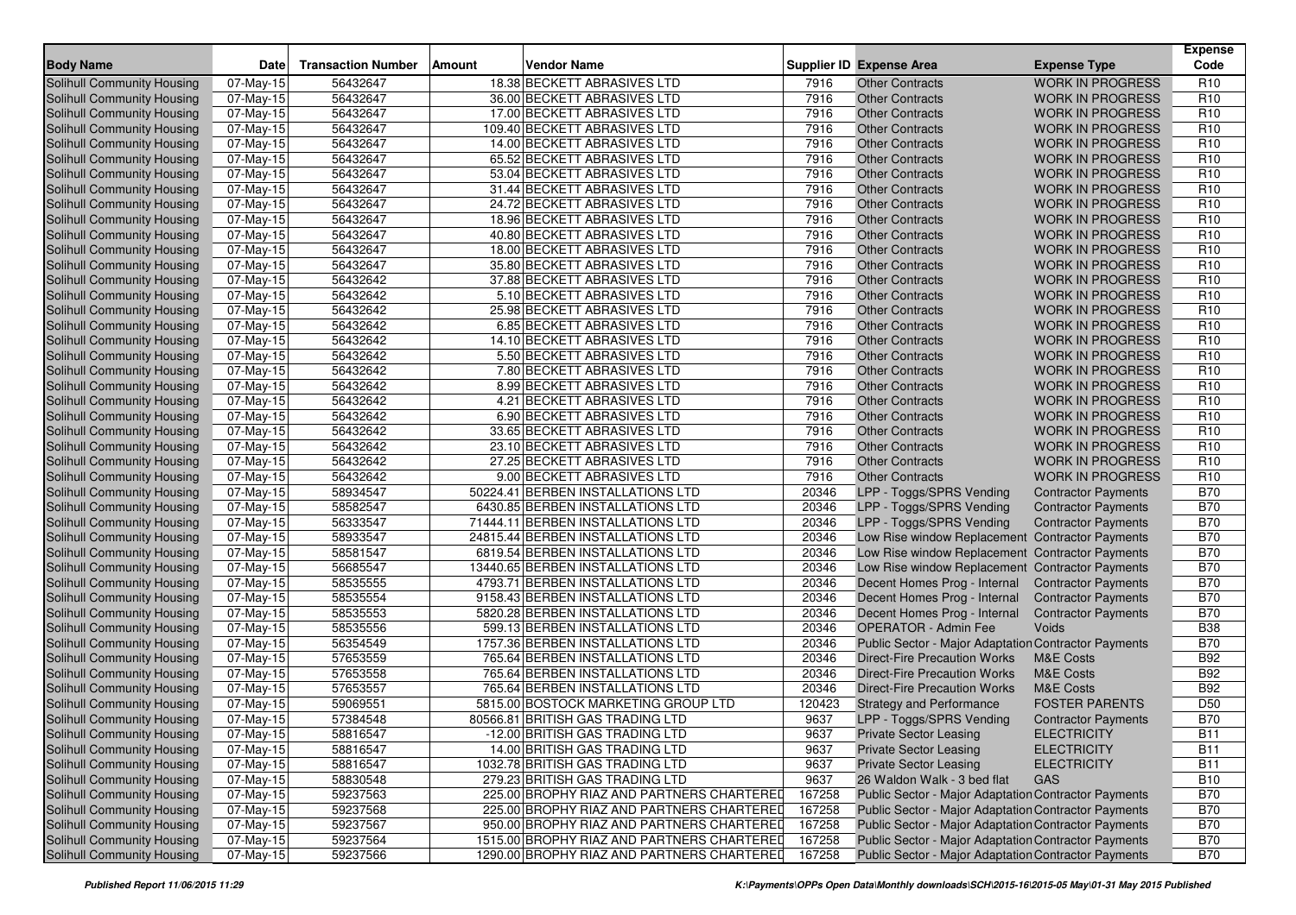| <b>Body Name</b>                  | Date                    | <b>Transaction Number</b> | Amount | <b>Vendor Name</b>                         |        | <b>Supplier ID Expense Area</b>                             | <b>Expense Type</b>        | Expense<br>Code |
|-----------------------------------|-------------------------|---------------------------|--------|--------------------------------------------|--------|-------------------------------------------------------------|----------------------------|-----------------|
| Solihull Community Housing        | 07-May-15               | 56432647                  |        | 18.38 BECKETT ABRASIVES LTD                | 7916   | <b>Other Contracts</b>                                      | <b>WORK IN PROGRESS</b>    | R <sub>10</sub> |
| Solihull Community Housing        | 07-May-15               | 56432647                  |        | 36.00 BECKETT ABRASIVES LTD                | 7916   | <b>Other Contracts</b>                                      | <b>WORK IN PROGRESS</b>    | R <sub>10</sub> |
| <b>Solihull Community Housing</b> | 07-May-15               | 56432647                  |        | 17.00 BECKETT ABRASIVES LTD                | 7916   | <b>Other Contracts</b>                                      | <b>WORK IN PROGRESS</b>    | R <sub>10</sub> |
| Solihull Community Housing        | 07-May-15               | 56432647                  |        | 109.40 BECKETT ABRASIVES LTD               | 7916   | <b>Other Contracts</b>                                      | <b>WORK IN PROGRESS</b>    | R <sub>10</sub> |
| Solihull Community Housing        | 07-May-15               | 56432647                  |        | 14.00 BECKETT ABRASIVES LTD                | 7916   | <b>Other Contracts</b>                                      | <b>WORK IN PROGRESS</b>    | R <sub>10</sub> |
| Solihull Community Housing        | 07-May-15               | 56432647                  |        | 65.52 BECKETT ABRASIVES LTD                | 7916   | <b>Other Contracts</b>                                      | <b>WORK IN PROGRESS</b>    | R <sub>10</sub> |
| Solihull Community Housing        | 07-May-15               | 56432647                  |        | 53.04 BECKETT ABRASIVES LTD                | 7916   | <b>Other Contracts</b>                                      | <b>WORK IN PROGRESS</b>    | R <sub>10</sub> |
| Solihull Community Housing        | 07-May-15               | 56432647                  |        | 31.44 BECKETT ABRASIVES LTD                | 7916   | <b>Other Contracts</b>                                      | <b>WORK IN PROGRESS</b>    | R <sub>10</sub> |
| Solihull Community Housing        | 07-May-15               | 56432647                  |        | 24.72 BECKETT ABRASIVES LTD                | 7916   | <b>Other Contracts</b>                                      | <b>WORK IN PROGRESS</b>    | R <sub>10</sub> |
| <b>Solihull Community Housing</b> | 07-May-15               | 56432647                  |        | 18.96 BECKETT ABRASIVES LTD                | 7916   | <b>Other Contracts</b>                                      | <b>WORK IN PROGRESS</b>    | R <sub>10</sub> |
| Solihull Community Housing        | 07-May-15               | 56432647                  |        | 40.80 BECKETT ABRASIVES LTD                | 7916   | <b>Other Contracts</b>                                      | <b>WORK IN PROGRESS</b>    | R <sub>10</sub> |
| Solihull Community Housing        | 07-May-15               | 56432647                  |        | 18.00 BECKETT ABRASIVES LTD                | 7916   | <b>Other Contracts</b>                                      | <b>WORK IN PROGRESS</b>    | R <sub>10</sub> |
| Solihull Community Housing        | 07-May-15               | 56432647                  |        | 35.80 BECKETT ABRASIVES LTD                | 7916   | <b>Other Contracts</b>                                      | <b>WORK IN PROGRESS</b>    | R <sub>10</sub> |
| <b>Solihull Community Housing</b> | 07-May-15               | 56432642                  |        | 37.88 BECKETT ABRASIVES LTD                | 7916   | <b>Other Contracts</b>                                      | <b>WORK IN PROGRESS</b>    | R <sub>10</sub> |
| Solihull Community Housing        | 07-May-15               | 56432642                  |        | 5.10 BECKETT ABRASIVES LTD                 | 7916   | <b>Other Contracts</b>                                      | <b>WORK IN PROGRESS</b>    | R <sub>10</sub> |
| Solihull Community Housing        | 07-May-15               | 56432642                  |        | 25.98 BECKETT ABRASIVES LTD                | 7916   | <b>Other Contracts</b>                                      | <b>WORK IN PROGRESS</b>    | R <sub>10</sub> |
| Solihull Community Housing        | 07-May-15               | 56432642                  |        | 6.85 BECKETT ABRASIVES LTD                 | 7916   | <b>Other Contracts</b>                                      | <b>WORK IN PROGRESS</b>    | R <sub>10</sub> |
| Solihull Community Housing        | 07-May-15               | 56432642                  |        | 14.10 BECKETT ABRASIVES LTD                | 7916   | <b>Other Contracts</b>                                      | <b>WORK IN PROGRESS</b>    | R <sub>10</sub> |
| Solihull Community Housing        | 07-May-15               | 56432642                  |        | 5.50 BECKETT ABRASIVES LTD                 | 7916   | <b>Other Contracts</b>                                      | <b>WORK IN PROGRESS</b>    | R <sub>10</sub> |
| Solihull Community Housing        | 07-May-15               | 56432642                  |        | 7.80 BECKETT ABRASIVES LTD                 | 7916   | <b>Other Contracts</b>                                      | <b>WORK IN PROGRESS</b>    | R <sub>10</sub> |
| <b>Solihull Community Housing</b> | 07-May-15               | 56432642                  |        | 8.99 BECKETT ABRASIVES LTD                 | 7916   | <b>Other Contracts</b>                                      | <b>WORK IN PROGRESS</b>    | R <sub>10</sub> |
| Solihull Community Housing        | 07-May-15               | 56432642                  |        | 4.21 BECKETT ABRASIVES LTD                 | 7916   | <b>Other Contracts</b>                                      | <b>WORK IN PROGRESS</b>    | R <sub>10</sub> |
| Solihull Community Housing        | 07-May-15               | 56432642                  |        | 6.90 BECKETT ABRASIVES LTD                 | 7916   | <b>Other Contracts</b>                                      | <b>WORK IN PROGRESS</b>    | R <sub>10</sub> |
| <b>Solihull Community Housing</b> | 07-May-15               | 56432642                  |        | 33.65 BECKETT ABRASIVES LTD                | 7916   | <b>Other Contracts</b>                                      | <b>WORK IN PROGRESS</b>    | R <sub>10</sub> |
| Solihull Community Housing        | 07-May-15               | 56432642                  |        | 23.10 BECKETT ABRASIVES LTD                | 7916   | <b>Other Contracts</b>                                      | <b>WORK IN PROGRESS</b>    | R <sub>10</sub> |
| Solihull Community Housing        | $\overline{07}$ -May-15 | 56432642                  |        | 27.25 BECKETT ABRASIVES LTD                | 7916   | <b>Other Contracts</b>                                      | <b>WORK IN PROGRESS</b>    | R <sub>10</sub> |
| Solihull Community Housing        | 07-May-15               | 56432642                  |        | 9.00 BECKETT ABRASIVES LTD                 | 7916   | <b>Other Contracts</b>                                      | <b>WORK IN PROGRESS</b>    | R <sub>10</sub> |
| <b>Solihull Community Housing</b> | 07-May-15               | 58934547                  |        | 50224.41 BERBEN INSTALLATIONS LTD          | 20346  | LPP - Toggs/SPRS Vending                                    | <b>Contractor Payments</b> | <b>B70</b>      |
| Solihull Community Housing        | 07-May-15               | 58582547                  |        | 6430.85 BERBEN INSTALLATIONS LTD           | 20346  | LPP - Toggs/SPRS Vending                                    | <b>Contractor Payments</b> | <b>B70</b>      |
| Solihull Community Housing        | 07-May-15               | 56333547                  |        | 71444.11 BERBEN INSTALLATIONS LTD          | 20346  | LPP - Toggs/SPRS Vending                                    | <b>Contractor Payments</b> | <b>B70</b>      |
| Solihull Community Housing        | 07-May-15               | 58933547                  |        | 24815.44 BERBEN INSTALLATIONS LTD          | 20346  | Low Rise window Replacement Contractor Payments             |                            | <b>B70</b>      |
| Solihull Community Housing        | 07-May-15               | 58581547                  |        | 6819.54 BERBEN INSTALLATIONS LTD           | 20346  | Low Rise window Replacement Contractor Payments             |                            | <b>B70</b>      |
| Solihull Community Housing        | 07-May-15               | 56685547                  |        | 13440.65 BERBEN INSTALLATIONS LTD          | 20346  | Low Rise window Replacement Contractor Payments             |                            | <b>B70</b>      |
| Solihull Community Housing        | 07-May-15               | 58535555                  |        | 4793.71 BERBEN INSTALLATIONS LTD           | 20346  | Decent Homes Prog - Internal                                | <b>Contractor Payments</b> | <b>B70</b>      |
| <b>Solihull Community Housing</b> | 07-May-15               | 58535554                  |        | 9158.43 BERBEN INSTALLATIONS LTD           | 20346  | Decent Homes Prog - Internal                                | <b>Contractor Payments</b> | <b>B70</b>      |
| Solihull Community Housing        | 07-May-15               | 58535553                  |        | 5820.28 BERBEN INSTALLATIONS LTD           | 20346  | Decent Homes Prog - Internal                                | <b>Contractor Payments</b> | <b>B70</b>      |
| <b>Solihull Community Housing</b> | 07-May-15               | 58535556                  |        | 599.13 BERBEN INSTALLATIONS LTD            | 20346  | <b>OPERATOR - Admin Fee</b>                                 | Voids                      | <b>B38</b>      |
| Solihull Community Housing        | 07-May-15               | 56354549                  |        | 1757.36 BERBEN INSTALLATIONS LTD           | 20346  | Public Sector - Major Adaptation Contractor Payments        |                            | <b>B70</b>      |
| <b>Solihull Community Housing</b> | 07-May-15               | 57653559                  |        | 765.64 BERBEN INSTALLATIONS LTD            | 20346  | <b>Direct-Fire Precaution Works</b>                         | <b>M&amp;E Costs</b>       | <b>B92</b>      |
| Solihull Community Housing        | 07-May-15               | 57653558                  |        | 765.64 BERBEN INSTALLATIONS LTD            | 20346  | <b>Direct-Fire Precaution Works</b>                         | M&E Costs                  | <b>B92</b>      |
| Solihull Community Housing        | 07-May-15               | 57653557                  |        | 765.64 BERBEN INSTALLATIONS LTD            | 20346  | <b>Direct-Fire Precaution Works</b>                         | <b>M&amp;E Costs</b>       | <b>B92</b>      |
| Solihull Community Housing        | 07-May-15               | 59069551                  |        | 5815.00 BOSTOCK MARKETING GROUP LTD        | 120423 | <b>Strategy and Performance</b>                             | <b>FOSTER PARENTS</b>      | D <sub>50</sub> |
| Solihull Community Housing        | 07-May-15               | 57384548                  |        | 80566.81 BRITISH GAS TRADING LTD           | 9637   | LPP - Toggs/SPRS Vending                                    | <b>Contractor Payments</b> | <b>B70</b>      |
| Solihull Community Housing        | 07-May-15               | 58816547                  |        | -12.00 BRITISH GAS TRADING LTD             | 9637   | <b>Private Sector Leasing</b>                               | <b>ELECTRICITY</b>         | <b>B11</b>      |
| Solihull Community Housing        | 07-May-15               | 58816547                  |        | 14.00 BRITISH GAS TRADING LTD              | 9637   | <b>Private Sector Leasing</b>                               | <b>ELECTRICITY</b>         | <b>B11</b>      |
| Solihull Community Housing        | $07$ -May-15            | 58816547                  |        | 1032.78 BRITISH GAS TRADING LTD            | 9637   | <b>Private Sector Leasing</b>                               | <b>ELECTRICITY</b>         | <b>B11</b>      |
| Solihull Community Housing        | 07-May-15               | 58830548                  |        | 279.23 BRITISH GAS TRADING LTD             | 9637   | 26 Waldon Walk - 3 bed flat                                 | GAS                        | <b>B10</b>      |
| Solihull Community Housing        | 07-May-15               | 59237563                  |        | 225.00 BROPHY RIAZ AND PARTNERS CHARTERED  | 167258 | Public Sector - Major Adaptation Contractor Payments        |                            | <b>B70</b>      |
| Solihull Community Housing        | 07-May-15               | 59237568                  |        | 225.00 BROPHY RIAZ AND PARTNERS CHARTERED  | 167258 | Public Sector - Major Adaptation Contractor Payments        |                            | <b>B70</b>      |
| Solihull Community Housing        | 07-May-15               | 59237567                  |        | 950.00 BROPHY RIAZ AND PARTNERS CHARTERED  | 167258 | Public Sector - Major Adaptation Contractor Payments        |                            | <b>B70</b>      |
| Solihull Community Housing        | 07-May-15               | 59237564                  |        | 1515.00 BROPHY RIAZ AND PARTNERS CHARTERED | 167258 | Public Sector - Major Adaptation Contractor Payments        |                            | <b>B70</b>      |
| Solihull Community Housing        | 07-May-15               | 59237566                  |        | 1290.00 BROPHY RIAZ AND PARTNERS CHARTERED | 167258 | <b>Public Sector - Major Adaptation Contractor Payments</b> |                            | <b>B70</b>      |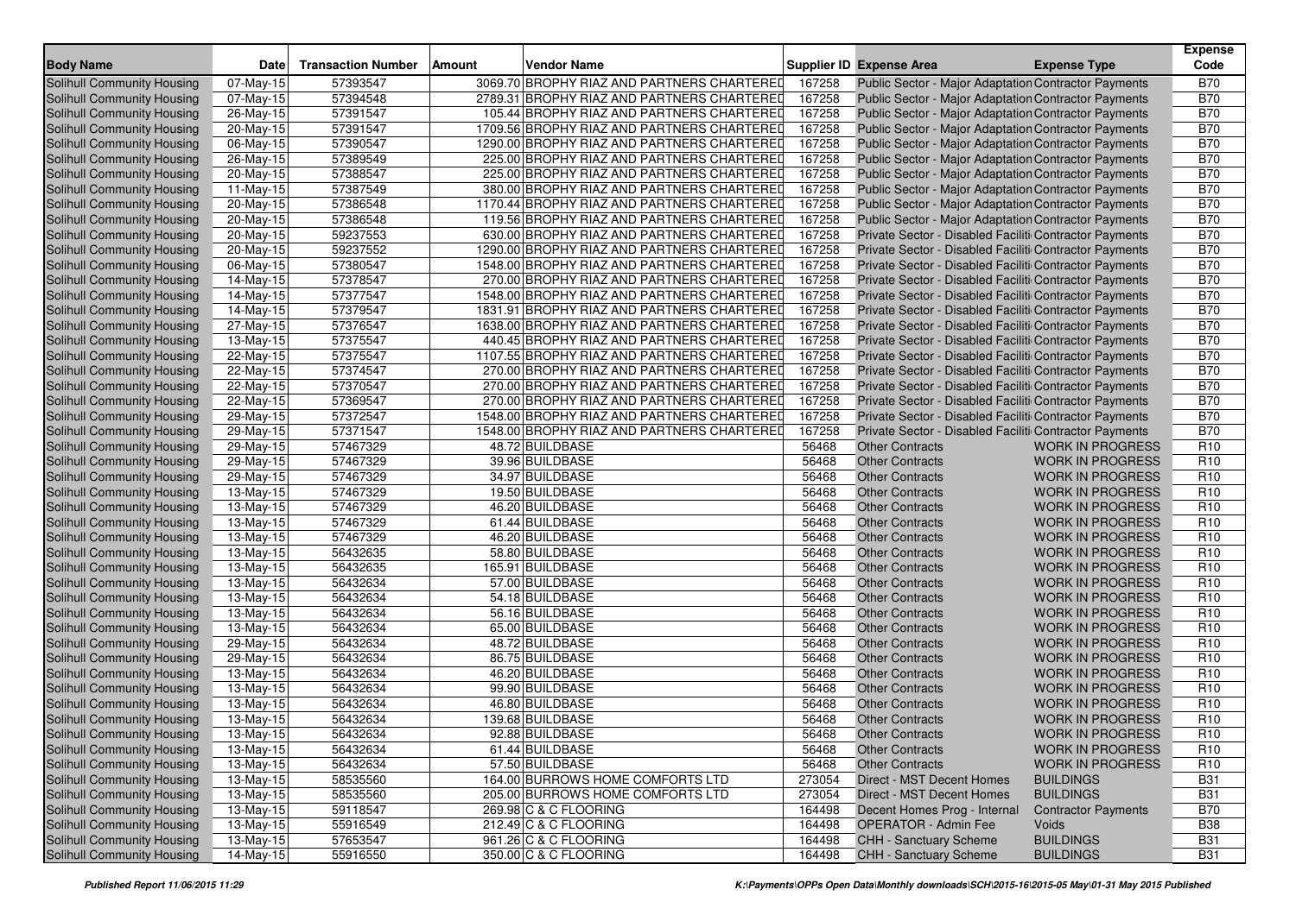| <b>Body Name</b>                  | <b>Date</b>             | <b>Transaction Number</b> | <b>Amount</b><br>Vendor Name                   |        | <b>Supplier ID Expense Area</b>                        | <b>Expense Type</b>        | <b>Expense</b><br>Code |
|-----------------------------------|-------------------------|---------------------------|------------------------------------------------|--------|--------------------------------------------------------|----------------------------|------------------------|
| <b>Solihull Community Housing</b> | 07-May-15               | 57393547                  | 3069.70 BROPHY RIAZ AND PARTNERS CHARTERED     | 167258 | Public Sector - Major Adaptation Contractor Payments   |                            | <b>B70</b>             |
| <b>Solihull Community Housing</b> | 07-May-15               | 57394548                  | 2789.31 BROPHY RIAZ AND PARTNERS CHARTERED     | 167258 | Public Sector - Major Adaptation Contractor Payments   |                            | <b>B70</b>             |
| Solihull Community Housing        | $26$ -May-15            | 57391547                  | 105.44 BROPHY RIAZ AND PARTNERS CHARTERED      | 167258 | Public Sector - Major Adaptation Contractor Payments   |                            | <b>B70</b>             |
| Solihull Community Housing        | 20-May-15               | 57391547                  | 1709.56 BROPHY RIAZ AND PARTNERS CHARTERED     | 167258 | Public Sector - Major Adaptation Contractor Payments   |                            | <b>B70</b>             |
| Solihull Community Housing        | 06-May-15               | 57390547                  | 1290.00 BROPHY RIAZ AND PARTNERS CHARTERED     | 167258 | Public Sector - Major Adaptation Contractor Payments   |                            | <b>B70</b>             |
| Solihull Community Housing        | 26-May-15               | 57389549                  | 225.00 BROPHY RIAZ AND PARTNERS CHARTERED      | 167258 | Public Sector - Major Adaptation Contractor Payments   |                            | <b>B70</b>             |
| Solihull Community Housing        | 20-May-15               | 57388547                  | 225.00 BROPHY RIAZ AND PARTNERS CHARTERED      | 167258 | Public Sector - Major Adaptation Contractor Payments   |                            | <b>B70</b>             |
| Solihull Community Housing        | 11-May-15               | 57387549                  | 380.00 BROPHY RIAZ AND PARTNERS CHARTERED      | 167258 | Public Sector - Major Adaptation Contractor Payments   |                            | <b>B70</b>             |
| Solihull Community Housing        | 20-May-15               | 57386548                  | 1170.44 BROPHY RIAZ AND PARTNERS CHARTERED     | 167258 | Public Sector - Major Adaptation Contractor Payments   |                            | <b>B70</b>             |
| Solihull Community Housing        | 20-May-15               | 57386548                  | 119.56 BROPHY RIAZ AND PARTNERS CHARTERED      | 167258 | Public Sector - Major Adaptation Contractor Payments   |                            | <b>B70</b>             |
| Solihull Community Housing        | 20-May-15               | 59237553                  | 630.00 BROPHY RIAZ AND PARTNERS CHARTERED      | 167258 | Private Sector - Disabled Faciliti Contractor Payments |                            | <b>B70</b>             |
| Solihull Community Housing        | 20-May-15               | 59237552                  | 1290.00 BROPHY RIAZ AND PARTNERS CHARTERED     | 167258 | Private Sector - Disabled Faciliti Contractor Payments |                            | <b>B70</b>             |
| Solihull Community Housing        | 06-May-15               | 57380547                  | 1548.00 BROPHY RIAZ AND PARTNERS CHARTERED     | 167258 | Private Sector - Disabled Faciliti Contractor Payments |                            | <b>B70</b>             |
| Solihull Community Housing        | 14-May-15               | 57378547                  | 270.00 BROPHY RIAZ AND PARTNERS CHARTERED      | 167258 | Private Sector - Disabled Faciliti Contractor Payments |                            | <b>B70</b>             |
| Solihull Community Housing        | 14-May-15               | 57377547                  | 1548.00 BROPHY RIAZ AND PARTNERS CHARTERED     | 167258 | Private Sector - Disabled Faciliti Contractor Payments |                            | <b>B70</b>             |
| Solihull Community Housing        | 14-May-15               | 57379547                  | 1831.91 BROPHY RIAZ AND PARTNERS CHARTERED     | 167258 | Private Sector - Disabled Faciliti Contractor Payments |                            | <b>B70</b>             |
| Solihull Community Housing        | 27-May-15               | 57376547                  | 1638.00 BROPHY RIAZ AND PARTNERS CHARTERED     | 167258 | Private Sector - Disabled Faciliti Contractor Payments |                            | <b>B70</b>             |
| Solihull Community Housing        | 13-May-15               | 57375547                  | 440.45 BROPHY RIAZ AND PARTNERS CHARTERED      | 167258 | Private Sector - Disabled Faciliti Contractor Payments |                            | <b>B70</b>             |
| Solihull Community Housing        | 22-May-15               | 57375547                  | 1107.55 BROPHY RIAZ AND PARTNERS CHARTERED     | 167258 | Private Sector - Disabled Faciliti Contractor Payments |                            | <b>B70</b>             |
| Solihull Community Housing        | 22-May-15               | 57374547                  | 270.00 BROPHY RIAZ AND PARTNERS CHARTERED      | 167258 | Private Sector - Disabled Faciliti Contractor Payments |                            | <b>B70</b>             |
| Solihull Community Housing        | 22-May-15               | 57370547                  | 270.00 BROPHY RIAZ AND PARTNERS CHARTERED      | 167258 | Private Sector - Disabled Faciliti Contractor Payments |                            | <b>B70</b>             |
| Solihull Community Housing        | 22-May-15               | 57369547                  | 270.00 BROPHY RIAZ AND PARTNERS CHARTERED      | 167258 | Private Sector - Disabled Faciliti Contractor Payments |                            | <b>B70</b>             |
| Solihull Community Housing        | 29-May-15               | 57372547                  | 1548.00 BROPHY RIAZ AND PARTNERS CHARTERED     | 167258 | Private Sector - Disabled Faciliti Contractor Payments |                            | <b>B70</b>             |
| Solihull Community Housing        | 29-May-15               | 57371547                  | 1548.00 BROPHY RIAZ AND PARTNERS CHARTERED     | 167258 | Private Sector - Disabled Faciliti Contractor Payments |                            | <b>B70</b>             |
| Solihull Community Housing        | 29-May-15               | 57467329                  | 48.72 BUILDBASE                                | 56468  | <b>Other Contracts</b>                                 | <b>WORK IN PROGRESS</b>    | R <sub>10</sub>        |
| Solihull Community Housing        | $\overline{29}$ -May-15 | 57467329                  | 39.96 BUILDBASE                                | 56468  | <b>Other Contracts</b>                                 | <b>WORK IN PROGRESS</b>    | R <sub>10</sub>        |
| Solihull Community Housing        | 29-May-15               | 57467329                  | 34.97 BUILDBASE                                | 56468  | <b>Other Contracts</b>                                 | <b>WORK IN PROGRESS</b>    | R <sub>10</sub>        |
| Solihull Community Housing        | 13-May-15               | 57467329                  | 19.50 BUILDBASE                                | 56468  | <b>Other Contracts</b>                                 | <b>WORK IN PROGRESS</b>    | R <sub>10</sub>        |
| Solihull Community Housing        | 13-May-15               | 57467329                  | 46.20 BUILDBASE                                | 56468  | <b>Other Contracts</b>                                 | <b>WORK IN PROGRESS</b>    | R <sub>10</sub>        |
| Solihull Community Housing        | 13-May-15               | 57467329                  | 61.44 BUILDBASE                                | 56468  | <b>Other Contracts</b>                                 | <b>WORK IN PROGRESS</b>    | R <sub>10</sub>        |
| Solihull Community Housing        | 13-May-15               | 57467329                  | 46.20 BUILDBASE                                | 56468  | <b>Other Contracts</b>                                 | <b>WORK IN PROGRESS</b>    | R <sub>10</sub>        |
| Solihull Community Housing        | $13$ -May-15            | 56432635                  | 58.80 BUILDBASE                                | 56468  | <b>Other Contracts</b>                                 | <b>WORK IN PROGRESS</b>    | R <sub>10</sub>        |
| Solihull Community Housing        | 13-May-15               | 56432635                  | 165.91 BUILDBASE                               | 56468  | <b>Other Contracts</b>                                 | <b>WORK IN PROGRESS</b>    | R <sub>10</sub>        |
| Solihull Community Housing        | 13-May-15               | 56432634                  | 57.00 BUILDBASE                                | 56468  | <b>Other Contracts</b>                                 | <b>WORK IN PROGRESS</b>    | R <sub>10</sub>        |
| Solihull Community Housing        | 13-May-15               | 56432634                  | 54.18 BUILDBASE                                | 56468  | <b>Other Contracts</b>                                 | <b>WORK IN PROGRESS</b>    | R <sub>10</sub>        |
| Solihull Community Housing        | 13-May-15               | 56432634                  | 56.16 BUILDBASE                                | 56468  | <b>Other Contracts</b>                                 | <b>WORK IN PROGRESS</b>    | R <sub>10</sub>        |
| Solihull Community Housing        | $13-May-15$             | 56432634                  | 65.00 BUILDBASE                                | 56468  | <b>Other Contracts</b>                                 | <b>WORK IN PROGRESS</b>    | R <sub>10</sub>        |
| Solihull Community Housing        | 29-May-15               | 56432634                  | 48.72 BUILDBASE                                | 56468  | <b>Other Contracts</b>                                 | <b>WORK IN PROGRESS</b>    | R <sub>10</sub>        |
| Solihull Community Housing        | 29-May-15               | 56432634                  | 86.75 BUILDBASE                                | 56468  | <b>Other Contracts</b>                                 | <b>WORK IN PROGRESS</b>    | R <sub>10</sub>        |
| Solihull Community Housing        | 13-May-15               | 56432634                  | 46.20 BUILDBASE                                | 56468  | <b>Other Contracts</b>                                 | <b>WORK IN PROGRESS</b>    | R <sub>10</sub>        |
| Solihull Community Housing        | 13-May-15               | 56432634                  | 99.90 BUILDBASE                                | 56468  | <b>Other Contracts</b>                                 | <b>WORK IN PROGRESS</b>    | R <sub>10</sub>        |
| Solihull Community Housing        | 13-May-15               | 56432634                  | 46.80 BUILDBASE                                | 56468  | <b>Other Contracts</b>                                 | <b>WORK IN PROGRESS</b>    | R <sub>10</sub>        |
| Solihull Community Housing        | 13-May-15               | 56432634                  | 139.68 BUILDBASE                               | 56468  | <b>Other Contracts</b>                                 | <b>WORK IN PROGRESS</b>    | R <sub>10</sub>        |
| Solihull Community Housing        | 13-May-15               | 56432634                  | 92.88 BUILDBASE                                | 56468  | Other Contracts                                        | WORK IN PROGRESS           | R <sub>10</sub>        |
| Solihull Community Housing        | 13-May-15               | 56432634                  | 61.44 BUILDBASE                                | 56468  | <b>Other Contracts</b>                                 | <b>WORK IN PROGRESS</b>    | R <sub>10</sub>        |
| Solihull Community Housing        | 13-May-15               | 56432634                  | 57.50 BUILDBASE                                | 56468  | <b>Other Contracts</b>                                 | <b>WORK IN PROGRESS</b>    | R <sub>10</sub>        |
| Solihull Community Housing        | 13-May-15               | 58535560                  | 164.00 BURROWS HOME COMFORTS LTD               | 273054 | Direct - MST Decent Homes                              | <b>BUILDINGS</b>           | <b>B31</b>             |
| Solihull Community Housing        | 13-May-15               | 58535560                  | 205.00 BURROWS HOME COMFORTS LTD               | 273054 | Direct - MST Decent Homes                              | <b>BUILDINGS</b>           | <b>B31</b>             |
| Solihull Community Housing        | 13-May-15               | 59118547                  | 269.98 C & C FLOORING<br>212.49 C & C FLOORING | 164498 | Decent Homes Prog - Internal                           | <b>Contractor Payments</b> | <b>B70</b>             |
| Solihull Community Housing        | 13-May-15               | 55916549                  |                                                | 164498 | <b>OPERATOR - Admin Fee</b>                            | Voids                      | <b>B38</b>             |
| Solihull Community Housing        | $13-May-15$             | 57653547                  | 961.26 C & C FLOORING                          | 164498 | CHH - Sanctuary Scheme                                 | <b>BUILDINGS</b>           | <b>B31</b>             |
| Solihull Community Housing        | 14-May-15               | 55916550                  | 350.00 C & C FLOORING                          | 164498 | CHH - Sanctuary Scheme                                 | <b>BUILDINGS</b>           | <b>B31</b>             |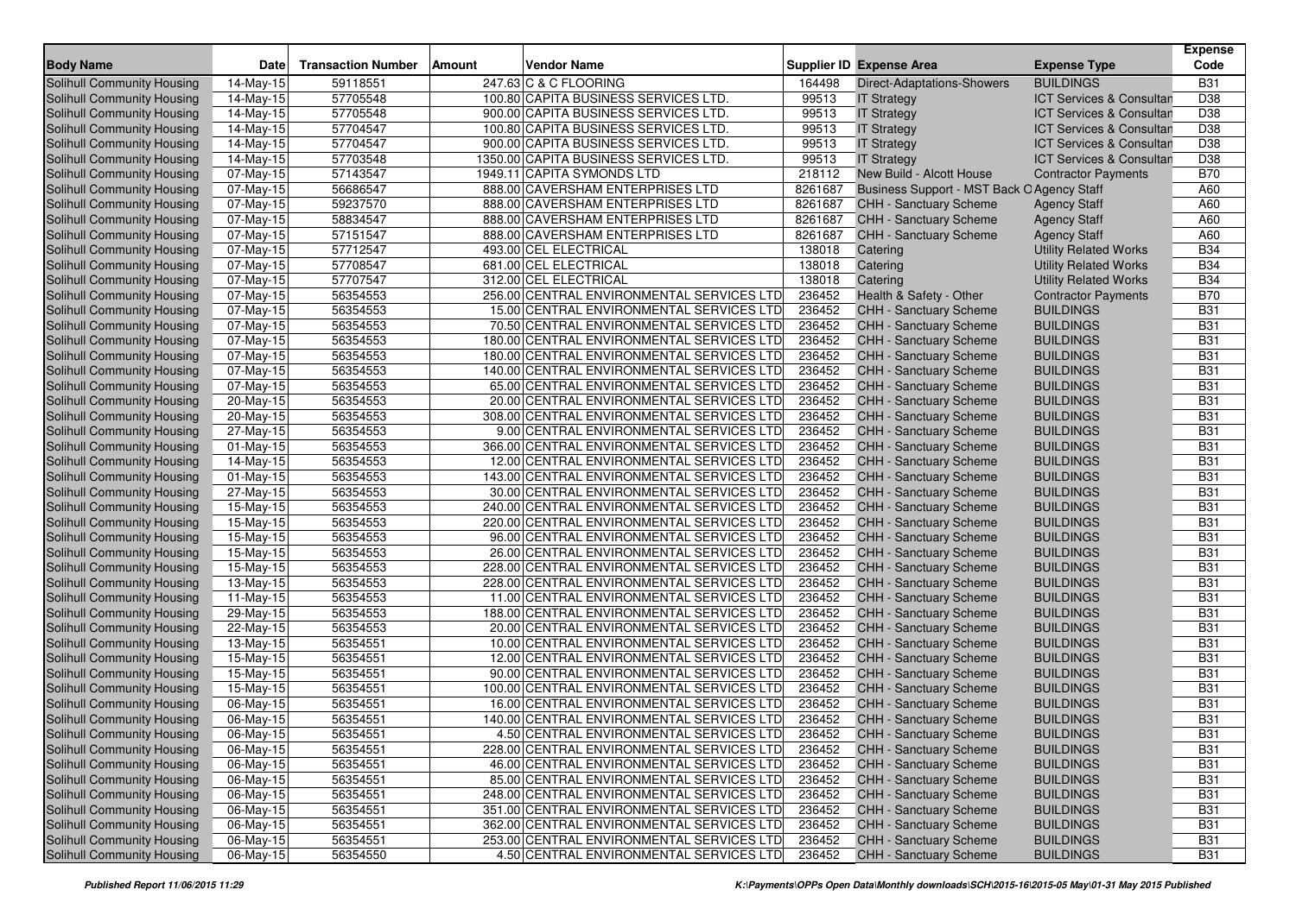|                                   |                         | <b>Transaction Number</b> |        | <b>Vendor Name</b>                        |         |                                            |                                     | <b>Expense</b><br>Code |
|-----------------------------------|-------------------------|---------------------------|--------|-------------------------------------------|---------|--------------------------------------------|-------------------------------------|------------------------|
| <b>Body Name</b>                  | Date                    |                           | Amount |                                           |         | <b>Supplier ID Expense Area</b>            | <b>Expense Type</b>                 |                        |
| Solihull Community Housing        | 14-May-15               | 59118551                  |        | 247.63 C & C FLOORING                     | 164498  | <b>Direct-Adaptations-Showers</b>          | <b>BUILDINGS</b>                    | <b>B31</b>             |
| Solihull Community Housing        | 14-May-15               | 57705548                  |        | 100.80 CAPITA BUSINESS SERVICES LTD.      | 99513   | <b>IT Strategy</b>                         | <b>ICT Services &amp; Consultan</b> | D38                    |
| Solihull Community Housing        | 14-May-15               | 57705548                  |        | 900.00 CAPITA BUSINESS SERVICES LTD.      | 99513   | <b>IT Strategy</b>                         | <b>ICT Services &amp; Consultan</b> | D38                    |
| Solihull Community Housing        | 14-May-15               | 57704547                  |        | 100.80 CAPITA BUSINESS SERVICES LTD.      | 99513   | <b>IT Strategy</b>                         | <b>ICT Services &amp; Consultan</b> | D38                    |
| Solihull Community Housing        | 14-May-15               | 57704547                  |        | 900.00 CAPITA BUSINESS SERVICES LTD.      | 99513   | <b>IT Strategy</b>                         | ICT Services & Consultan            | D38                    |
| Solihull Community Housing        | 14-May-15               | 57703548                  |        | 1350.00 CAPITA BUSINESS SERVICES LTD.     | 99513   | <b>IT Strategy</b>                         | <b>ICT Services &amp; Consultan</b> | D38                    |
| Solihull Community Housing        | 07-May-15               | 57143547                  |        | 1949.11 CAPITA SYMONDS LTD                | 218112  | New Build - Alcott House                   | <b>Contractor Payments</b>          | <b>B70</b>             |
| Solihull Community Housing        | 07-May-15               | 56686547                  |        | 888.00 CAVERSHAM ENTERPRISES LTD          | 8261687 | Business Support - MST Back O Agency Staff |                                     | A60                    |
| Solihull Community Housing        | 07-May-15               | 59237570                  |        | 888.00 CAVERSHAM ENTERPRISES LTD          | 8261687 | <b>CHH - Sanctuary Scheme</b>              | <b>Agency Staff</b>                 | A60                    |
| Solihull Community Housing        | 07-May-15               | 58834547                  |        | 888.00 CAVERSHAM ENTERPRISES LTD          | 8261687 | CHH - Sanctuary Scheme                     | <b>Agency Staff</b>                 | A60                    |
| Solihull Community Housing        | 07-May-15               | 57151547                  |        | 888.00 CAVERSHAM ENTERPRISES LTD          | 8261687 | CHH - Sanctuary Scheme                     | <b>Agency Staff</b>                 | A60                    |
| Solihull Community Housing        | 07-May-15               | 57712547                  |        | 493.00 CEL ELECTRICAL                     | 138018  | Catering                                   | <b>Utility Related Works</b>        | <b>B34</b>             |
| Solihull Community Housing        | 07-May-15               | 57708547                  |        | 681.00 CEL ELECTRICAL                     | 138018  | Catering                                   | <b>Utility Related Works</b>        | <b>B34</b>             |
| Solihull Community Housing        | 07-May-15               | 57707547                  |        | 312.00 CEL ELECTRICAL                     | 138018  | Catering                                   | <b>Utility Related Works</b>        | <b>B34</b>             |
| Solihull Community Housing        | 07-May-15               | 56354553                  |        | 256.00 CENTRAL ENVIRONMENTAL SERVICES LTD | 236452  | Health & Safety - Other                    | <b>Contractor Payments</b>          | <b>B70</b>             |
| Solihull Community Housing        | 07-May-15               | 56354553                  |        | 15.00 CENTRAL ENVIRONMENTAL SERVICES LTD  | 236452  | <b>CHH - Sanctuary Scheme</b>              | BUILDINGS                           | <b>B31</b>             |
| Solihull Community Housing        | 07-May-15               | 56354553                  |        | 70.50 CENTRAL ENVIRONMENTAL SERVICES LTD  | 236452  | CHH - Sanctuary Scheme                     | <b>BUILDINGS</b>                    | <b>B31</b>             |
| Solihull Community Housing        | 07-May-15               | 56354553                  |        | 180.00 CENTRAL ENVIRONMENTAL SERVICES LTD | 236452  | <b>CHH - Sanctuary Scheme</b>              | <b>BUILDINGS</b>                    | <b>B31</b>             |
| Solihull Community Housing        | 07-May-15               | 56354553                  |        | 180.00 CENTRAL ENVIRONMENTAL SERVICES LTD | 236452  | <b>CHH - Sanctuary Scheme</b>              | <b>BUILDINGS</b>                    | <b>B31</b>             |
| <b>Solihull Community Housing</b> | 07-May-15               | 56354553                  |        | 140.00 CENTRAL ENVIRONMENTAL SERVICES LTD | 236452  | CHH - Sanctuary Scheme                     | <b>BUILDINGS</b>                    | <b>B31</b>             |
| Solihull Community Housing        | 07-May-15               | 56354553                  |        | 65.00 CENTRAL ENVIRONMENTAL SERVICES LTD  | 236452  | CHH - Sanctuary Scheme                     | <b>BUILDINGS</b>                    | <b>B31</b>             |
| Solihull Community Housing        | 20-May-15               | 56354553                  |        | 20.00 CENTRAL ENVIRONMENTAL SERVICES LTD  | 236452  | CHH - Sanctuary Scheme                     | <b>BUILDINGS</b>                    | <b>B31</b>             |
| Solihull Community Housing        | 20-May-15               | 56354553                  |        | 308.00 CENTRAL ENVIRONMENTAL SERVICES LTD | 236452  | <b>CHH - Sanctuary Scheme</b>              | <b>BUILDINGS</b>                    | <b>B31</b>             |
| Solihull Community Housing        | 27-May-15               | 56354553                  |        | 9.00 CENTRAL ENVIRONMENTAL SERVICES LTD   | 236452  | CHH - Sanctuary Scheme                     | <b>BUILDINGS</b>                    | <b>B31</b>             |
| Solihull Community Housing        | 01-May-15               | 56354553                  |        | 366.00 CENTRAL ENVIRONMENTAL SERVICES LTD | 236452  | <b>CHH - Sanctuary Scheme</b>              | <b>BUILDINGS</b>                    | <b>B31</b>             |
| Solihull Community Housing        | 14-May-15               | 56354553                  |        | 12.00 CENTRAL ENVIRONMENTAL SERVICES LTD  | 236452  | CHH - Sanctuary Scheme                     | <b>BUILDINGS</b>                    | <b>B31</b>             |
| Solihull Community Housing        | 01-May-15               | 56354553                  |        | 143.00 CENTRAL ENVIRONMENTAL SERVICES LTD | 236452  | <b>CHH - Sanctuary Scheme</b>              | <b>BUILDINGS</b>                    | <b>B31</b>             |
| Solihull Community Housing        | 27-May-15               | 56354553                  |        | 30.00 CENTRAL ENVIRONMENTAL SERVICES LTD  | 236452  | CHH - Sanctuary Scheme                     | <b>BUILDINGS</b>                    | <b>B31</b>             |
| Solihull Community Housing        | $15$ -May-15            | 56354553                  |        | 240.00 CENTRAL ENVIRONMENTAL SERVICES LTD | 236452  | CHH - Sanctuary Scheme                     | <b>BUILDINGS</b>                    | <b>B31</b>             |
| Solihull Community Housing        | 15-May-15               | 56354553                  |        | 220.00 CENTRAL ENVIRONMENTAL SERVICES LTD | 236452  | CHH - Sanctuary Scheme                     | <b>BUILDINGS</b>                    | <b>B31</b>             |
| Solihull Community Housing        | 15-May-15               | 56354553                  |        | 96.00 CENTRAL ENVIRONMENTAL SERVICES LTD  | 236452  | <b>CHH - Sanctuary Scheme</b>              | <b>BUILDINGS</b>                    | <b>B31</b>             |
| Solihull Community Housing        | 15-May-15               | 56354553                  |        | 26.00 CENTRAL ENVIRONMENTAL SERVICES LTD  | 236452  | <b>CHH - Sanctuary Scheme</b>              | <b>BUILDINGS</b>                    | <b>B31</b>             |
| Solihull Community Housing        | 15-May-15               | 56354553                  |        | 228.00 CENTRAL ENVIRONMENTAL SERVICES LTD | 236452  | CHH - Sanctuary Scheme                     | <b>BUILDINGS</b>                    | <b>B31</b>             |
| Solihull Community Housing        | 13-May-15               | 56354553                  |        | 228.00 CENTRAL ENVIRONMENTAL SERVICES LTD | 236452  | CHH - Sanctuary Scheme                     | <b>BUILDINGS</b>                    | <b>B31</b>             |
| Solihull Community Housing        | 11-May-15               | 56354553                  |        | 11.00 CENTRAL ENVIRONMENTAL SERVICES LTD  | 236452  | CHH - Sanctuary Scheme                     | <b>BUILDINGS</b>                    | <b>B31</b>             |
| Solihull Community Housing        | 29-May-15               | 56354553                  |        | 188.00 CENTRAL ENVIRONMENTAL SERVICES LTD | 236452  | <b>CHH - Sanctuary Scheme</b>              | <b>BUILDINGS</b>                    | <b>B31</b>             |
| Solihull Community Housing        | 22-May-15               | 56354553                  |        | 20.00 CENTRAL ENVIRONMENTAL SERVICES LTD  | 236452  | CHH - Sanctuary Scheme                     | <b>BUILDINGS</b>                    | <b>B31</b>             |
| Solihull Community Housing        | 13-May-15               | 56354551                  |        | 10.00 CENTRAL ENVIRONMENTAL SERVICES LTD  | 236452  | CHH - Sanctuary Scheme                     | <b>BUILDINGS</b>                    | <b>B31</b>             |
| Solihull Community Housing        | 15-May-15               | 56354551                  |        | 12.00 CENTRAL ENVIRONMENTAL SERVICES LTD  | 236452  | CHH - Sanctuary Scheme                     | <b>BUILDINGS</b>                    | <b>B31</b>             |
| Solihull Community Housing        | 15-May-15               | 56354551                  |        | 90.00 CENTRAL ENVIRONMENTAL SERVICES LTD  | 236452  | CHH - Sanctuary Scheme                     | <b>BUILDINGS</b>                    | <b>B31</b>             |
| Solihull Community Housing        | 15-May-15               | 56354551                  |        | 100.00 CENTRAL ENVIRONMENTAL SERVICES LTD | 236452  | <b>CHH - Sanctuary Scheme</b>              | <b>BUILDINGS</b>                    | <b>B31</b>             |
| Solihull Community Housing        | 06-May-15               | 56354551                  |        | 16.00 CENTRAL ENVIRONMENTAL SERVICES LTD  | 236452  | CHH - Sanctuary Scheme                     | <b>BUILDINGS</b>                    | <b>B31</b>             |
| Solihull Community Housing        | $\overline{06}$ -May-15 | 56354551                  |        | 140.00 CENTRAL ENVIRONMENTAL SERVICES LTD | 236452  | <b>CHH - Sanctuary Scheme</b>              | <b>BUILDINGS</b>                    | <b>B31</b>             |
| Solihull Community Housing        | 06-May-15               | 56354551                  |        | 4.50 CENTRAL ENVIRONMENTAL SERVICES LTD   | 236452  | <b>CHH - Sanctuary Scheme</b>              | <b>BUILDINGS</b>                    | <b>B31</b>             |
| Solihull Community Housing        | 06-May-15               | 56354551                  |        | 228.00 CENTRAL ENVIRONMENTAL SERVICES LTD | 236452  | <b>CHH - Sanctuary Scheme</b>              | <b>BUILDINGS</b>                    | <b>B31</b>             |
| Solihull Community Housing        | 06-May-15               | 56354551                  |        | 46.00 CENTRAL ENVIRONMENTAL SERVICES LTD  | 236452  | CHH - Sanctuary Scheme                     | <b>BUILDINGS</b>                    | <b>B31</b>             |
| Solihull Community Housing        | 06-May-15               | 56354551                  |        | 85.00 CENTRAL ENVIRONMENTAL SERVICES LTD  | 236452  | CHH - Sanctuary Scheme                     | <b>BUILDINGS</b>                    | <b>B31</b>             |
| Solihull Community Housing        | 06-May-15               | 56354551                  |        | 248.00 CENTRAL ENVIRONMENTAL SERVICES LTD | 236452  | CHH - Sanctuary Scheme                     | <b>BUILDINGS</b>                    | <b>B31</b>             |
| Solihull Community Housing        | 06-May-15               | 56354551                  |        | 351.00 CENTRAL ENVIRONMENTAL SERVICES LTD | 236452  | CHH - Sanctuary Scheme                     | <b>BUILDINGS</b>                    | <b>B31</b>             |
| Solihull Community Housing        | 06-May-15               | 56354551                  |        | 362.00 CENTRAL ENVIRONMENTAL SERVICES LTD | 236452  | CHH - Sanctuary Scheme                     | <b>BUILDINGS</b>                    | <b>B31</b>             |
| Solihull Community Housing        | 06-May-15               | 56354551                  |        | 253.00 CENTRAL ENVIRONMENTAL SERVICES LTD | 236452  | CHH - Sanctuary Scheme                     | <b>BUILDINGS</b>                    | <b>B31</b>             |
| Solihull Community Housing        | 06-May-15               | 56354550                  |        | 4.50 CENTRAL ENVIRONMENTAL SERVICES LTD   | 236452  | CHH - Sanctuary Scheme                     | <b>BUILDINGS</b>                    | <b>B31</b>             |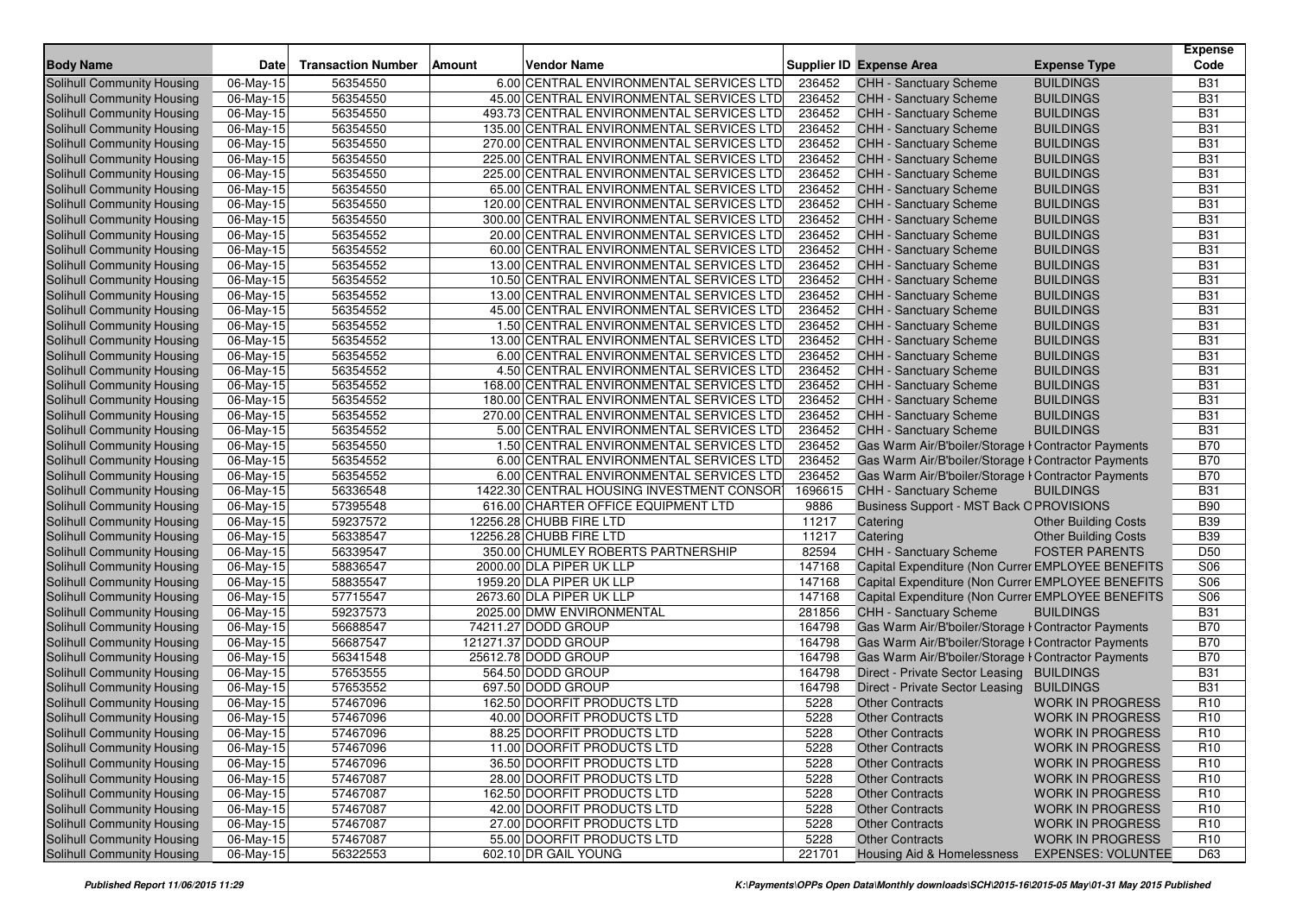|                                                          |                        |                           |        |                                                                                        |                  |                                                                |                                      | Expense                  |
|----------------------------------------------------------|------------------------|---------------------------|--------|----------------------------------------------------------------------------------------|------------------|----------------------------------------------------------------|--------------------------------------|--------------------------|
| <b>Body Name</b>                                         | Date                   | <b>Transaction Number</b> | Amount | Vendor Name                                                                            |                  | <b>Supplier ID Expense Area</b>                                | <b>Expense Type</b>                  | Code                     |
| Solihull Community Housing                               | 06-May-15              | 56354550                  |        | 6.00 CENTRAL ENVIRONMENTAL SERVICES LTD                                                | 236452           | <b>CHH - Sanctuary Scheme</b>                                  | <b>BUILDINGS</b>                     | <b>B31</b>               |
| Solihull Community Housing                               | 06-May-15              | 56354550                  |        | 45.00 CENTRAL ENVIRONMENTAL SERVICES LTD                                               | 236452           | <b>CHH - Sanctuary Scheme</b>                                  | BUILDINGS                            | <b>B31</b>               |
| Solihull Community Housing                               | 06-May-15              | 56354550                  |        | 493.73 CENTRAL ENVIRONMENTAL SERVICES LTD                                              | 236452           | <b>CHH - Sanctuary Scheme</b>                                  | BUILDINGS                            | <b>B31</b>               |
| Solihull Community Housing                               | 06-May-15              | 56354550                  |        | 135.00 CENTRAL ENVIRONMENTAL SERVICES LTD                                              | 236452           | CHH - Sanctuary Scheme                                         | <b>BUILDINGS</b>                     | <b>B31</b>               |
| Solihull Community Housing                               | 06-May-15              | 56354550                  |        | 270.00 CENTRAL ENVIRONMENTAL SERVICES LTD<br>225.00 CENTRAL ENVIRONMENTAL SERVICES LTD | 236452           | CHH - Sanctuary Scheme                                         | <b>BUILDINGS</b>                     | <b>B31</b><br><b>B31</b> |
| Solihull Community Housing<br>Solihull Community Housing | 06-May-15              | 56354550                  |        | 225.00 CENTRAL ENVIRONMENTAL SERVICES LTD                                              | 236452           | <b>CHH - Sanctuary Scheme</b><br><b>CHH - Sanctuary Scheme</b> | <b>BUILDINGS</b><br><b>BUILDINGS</b> | <b>B31</b>               |
| Solihull Community Housing                               | 06-May-15<br>06-May-15 | 56354550<br>56354550      |        | 65.00 CENTRAL ENVIRONMENTAL SERVICES LTD                                               | 236452<br>236452 | CHH - Sanctuary Scheme                                         | BUILDINGS                            | <b>B31</b>               |
| <b>Solihull Community Housing</b>                        | 06-May-15              | 56354550                  |        | 120.00 CENTRAL ENVIRONMENTAL SERVICES LTD                                              | 236452           | CHH - Sanctuary Scheme                                         | <b>BUILDINGS</b>                     | <b>B31</b>               |
| Solihull Community Housing                               | 06-May-15              | 56354550                  |        | 300.00 CENTRAL ENVIRONMENTAL SERVICES LTD                                              | 236452           | <b>CHH - Sanctuary Scheme</b>                                  | <b>BUILDINGS</b>                     | <b>B31</b>               |
| Solihull Community Housing                               | 06-May-15              | 56354552                  |        | 20.00 CENTRAL ENVIRONMENTAL SERVICES LTD                                               | 236452           | CHH - Sanctuary Scheme                                         | BUILDINGS                            | <b>B31</b>               |
| Solihull Community Housing                               | 06-May-15              | 56354552                  |        | 60.00 CENTRAL ENVIRONMENTAL SERVICES LTD                                               | 236452           | CHH - Sanctuary Scheme                                         | <b>BUILDINGS</b>                     | <b>B31</b>               |
| Solihull Community Housing                               | 06-May-15              | 56354552                  |        | 13.00 CENTRAL ENVIRONMENTAL SERVICES LTD                                               | 236452           | CHH - Sanctuary Scheme                                         | <b>BUILDINGS</b>                     | <b>B31</b>               |
| Solihull Community Housing                               | 06-May-15              | 56354552                  |        | 10.50 CENTRAL ENVIRONMENTAL SERVICES LTD                                               | 236452           | <b>CHH - Sanctuary Scheme</b>                                  | BUILDINGS                            | <b>B31</b>               |
| Solihull Community Housing                               | 06-May-15              | 56354552                  |        | 13.00 CENTRAL ENVIRONMENTAL SERVICES LTD                                               | 236452           | <b>CHH - Sanctuary Scheme</b>                                  | <b>BUILDINGS</b>                     | <b>B31</b>               |
| Solihull Community Housing                               | 06-May-15              | 56354552                  |        | 45.00 CENTRAL ENVIRONMENTAL SERVICES LTD                                               | 236452           | CHH - Sanctuary Scheme                                         | BUILDINGS                            | <b>B31</b>               |
| Solihull Community Housing                               | 06-May-15              | 56354552                  |        | 1.50 CENTRAL ENVIRONMENTAL SERVICES LTD                                                | 236452           | CHH - Sanctuary Scheme                                         | <b>BUILDINGS</b>                     | <b>B31</b>               |
| Solihull Community Housing                               | 06-May-15              | 56354552                  |        | 13.00 CENTRAL ENVIRONMENTAL SERVICES LTD                                               | 236452           | CHH - Sanctuary Scheme                                         | <b>BUILDINGS</b>                     | <b>B31</b>               |
| Solihull Community Housing                               | 06-May-15              | 56354552                  |        | 6.00 CENTRAL ENVIRONMENTAL SERVICES LTD                                                | 236452           | <b>CHH - Sanctuary Scheme</b>                                  | BUILDINGS                            | <b>B31</b>               |
| Solihull Community Housing                               | 06-May-15              | 56354552                  |        | 4.50 CENTRAL ENVIRONMENTAL SERVICES LTD                                                | 236452           | <b>CHH - Sanctuary Scheme</b>                                  | <b>BUILDINGS</b>                     | <b>B31</b>               |
| Solihull Community Housing                               | 06-May-15              | 56354552                  |        | 168.00 CENTRAL ENVIRONMENTAL SERVICES LTD                                              | 236452           | CHH - Sanctuary Scheme                                         | <b>BUILDINGS</b>                     | <b>B31</b>               |
| Solihull Community Housing                               | 06-May-15              | 56354552                  |        | 180.00 CENTRAL ENVIRONMENTAL SERVICES LTD                                              | 236452           | <b>CHH - Sanctuary Scheme</b>                                  | BUILDINGS                            | <b>B31</b>               |
| Solihull Community Housing                               | 06-May-15              | 56354552                  |        | 270.00 CENTRAL ENVIRONMENTAL SERVICES LTD                                              | 236452           | CHH - Sanctuary Scheme                                         | <b>BUILDINGS</b>                     | <b>B31</b>               |
| Solihull Community Housing                               | 06-May-15              | 56354552                  |        | 5.00 CENTRAL ENVIRONMENTAL SERVICES LTD                                                | 236452           | CHH - Sanctuary Scheme                                         | <b>BUILDINGS</b>                     | <b>B31</b>               |
| Solihull Community Housing                               | 06-May-15              | 56354550                  |        | 1.50 CENTRAL ENVIRONMENTAL SERVICES LTD                                                | 236452           | Gas Warm Air/B'boiler/Storage I Contractor Payments            |                                      | <b>B70</b>               |
| Solihull Community Housing                               | 06-May-15              | 56354552                  |        | 6.00 CENTRAL ENVIRONMENTAL SERVICES LTD                                                | 236452           | Gas Warm Air/B'boiler/Storage I Contractor Payments            |                                      | <b>B70</b>               |
| Solihull Community Housing                               | 06-May-15              | 56354552                  |        | 6.00 CENTRAL ENVIRONMENTAL SERVICES LTD                                                | 236452           | Gas Warm Air/B'boiler/Storage I Contractor Payments            |                                      | <b>B70</b>               |
| Solihull Community Housing                               | 06-May-15              | 56336548                  |        | 1422.30 CENTRAL HOUSING INVESTMENT CONSOR                                              | 1696615          | <b>CHH - Sanctuary Scheme</b>                                  | BUILDINGS                            | <b>B31</b>               |
| Solihull Community Housing                               | 06-May-15              | 57395548                  |        | 616.00 CHARTER OFFICE EQUIPMENT LTD                                                    | 9886             | Business Support - MST Back OPROVISIONS                        |                                      | <b>B90</b>               |
| Solihull Community Housing                               | 06-May-15              | 59237572                  |        | 12256.28 CHUBB FIRE LTD                                                                | 11217            | Catering                                                       | <b>Other Building Costs</b>          | <b>B39</b>               |
| <b>Solihull Community Housing</b>                        | 06-May-15              | 56338547                  |        | 12256.28 CHUBB FIRE LTD                                                                | 11217            | Catering                                                       | <b>Other Building Costs</b>          | <b>B39</b>               |
| Solihull Community Housing                               | 06-May-15              | 56339547                  |        | 350.00 CHUMLEY ROBERTS PARTNERSHIP                                                     | 82594            | <b>CHH - Sanctuary Scheme</b>                                  | <b>FOSTER PARENTS</b>                | D <sub>50</sub>          |
| Solihull Community Housing                               | 06-May-15              | 58836547                  |        | 2000.00 DLA PIPER UK LLP                                                               | 147168           | Capital Expenditure (Non Currer EMPLOYEE BENEFITS              |                                      | S06                      |
| Solihull Community Housing                               | 06-May-15              | 58835547                  |        | 1959.20 DLA PIPER UK LLP                                                               | 147168           | Capital Expenditure (Non Currer EMPLOYEE BENEFITS              |                                      | S06                      |
| <b>Solihull Community Housing</b>                        | 06-May-15              | 57715547                  |        | 2673.60 DLA PIPER UK LLP                                                               | 147168           | Capital Expenditure (Non Currer EMPLOYEE BENEFITS              |                                      | S06                      |
| Solihull Community Housing                               | 06-May-15              | 59237573                  |        | 2025.00 DMW ENVIRONMENTAL                                                              | 281856           | <b>CHH - Sanctuary Scheme</b>                                  | <b>BUILDINGS</b>                     | <b>B31</b>               |
| Solihull Community Housing                               | 06-May-15              | 56688547                  |        | 74211.27 DODD GROUP                                                                    | 164798           | Gas Warm Air/B'boiler/Storage I Contractor Payments            |                                      | <b>B70</b>               |
| <b>Solihull Community Housing</b>                        | 06-May-15              | 56687547                  |        | 121271.37 DODD GROUP                                                                   | 164798           | Gas Warm Air/B'boiler/Storage I Contractor Payments            |                                      | <b>B70</b>               |
| Solihull Community Housing                               | 06-May-15              | 56341548                  |        | 25612.78 DODD GROUP                                                                    | 164798           | Gas Warm Air/B'boiler/Storage I Contractor Payments            |                                      | <b>B70</b>               |
| Solihull Community Housing                               | 06-May-15              | 57653555                  |        | 564.50 DODD GROUP                                                                      | 164798           | Direct - Private Sector Leasing BUILDINGS                      |                                      | <b>B31</b>               |
| Solihull Community Housing                               | 06-May-15              | 57653552                  |        | 697.50 DODD GROUP                                                                      | 164798           | Direct - Private Sector Leasing BUILDINGS                      |                                      | <b>B31</b>               |
| Solihull Community Housing                               | 06-May-15              | 57467096                  |        | 162.50 DOORFIT PRODUCTS LTD                                                            | 5228             | <b>Other Contracts</b>                                         | <b>WORK IN PROGRESS</b>              | R <sub>10</sub>          |
| <b>Solihull Community Housing</b>                        | 06-May-15              | 57467096                  |        | 40.00 DOORFIT PRODUCTS LTD                                                             | 5228             | <b>Other Contracts</b>                                         | <b>WORK IN PROGRESS</b>              | R <sub>10</sub>          |
| Solihull Community Housing                               | 06-May-15              | 57467096                  |        | 88.25 DOORFIT PRODUCTS LTD                                                             | 5228             | <b>Other Contracts</b>                                         | <b>WORK IN PROGRESS</b>              | R <sub>10</sub>          |
| Solihull Community Housing                               | 06-May-15              | 57467096                  |        | 11.00 DOORFIT PRODUCTS LTD                                                             | 5228             | <b>Other Contracts</b>                                         | <b>WORK IN PROGRESS</b>              | R <sub>10</sub>          |
| <b>Solihull Community Housing</b>                        | 06-May-15              | 57467096                  |        | 36.50 DOORFIT PRODUCTS LTD                                                             | 5228             | <b>Other Contracts</b>                                         | <b>WORK IN PROGRESS</b>              | R <sub>10</sub>          |
| Solihull Community Housing                               | 06-May-15              | 57467087                  |        | 28.00 DOORFIT PRODUCTS LTD                                                             | 5228             | <b>Other Contracts</b>                                         | <b>WORK IN PROGRESS</b>              | R <sub>10</sub>          |
| Solihull Community Housing                               | 06-May-15              | 57467087                  |        | 162.50 DOORFIT PRODUCTS LTD                                                            | 5228             | <b>Other Contracts</b>                                         | <b>WORK IN PROGRESS</b>              | R <sub>10</sub>          |
| Solihull Community Housing                               | 06-May-15              | 57467087                  |        | 42.00 DOORFIT PRODUCTS LTD                                                             | 5228             | <b>Other Contracts</b>                                         | <b>WORK IN PROGRESS</b>              | R <sub>10</sub>          |
| Solihull Community Housing                               | 06-May-15              | 57467087                  |        | 27.00 DOORFIT PRODUCTS LTD                                                             | 5228             | <b>Other Contracts</b>                                         | <b>WORK IN PROGRESS</b>              | R <sub>10</sub>          |
| Solihull Community Housing                               | 06-May-15              | 57467087                  |        | 55.00 DOORFIT PRODUCTS LTD                                                             | 5228             | <b>Other Contracts</b>                                         | <b>WORK IN PROGRESS</b>              | R <sub>10</sub>          |
| Solihull Community Housing                               | 06-May-15              | 56322553                  |        | 602.10 DR GAIL YOUNG                                                                   | 221701           | Housing Aid & Homelessness                                     | <b>EXPENSES: VOLUNTEE</b>            | D63                      |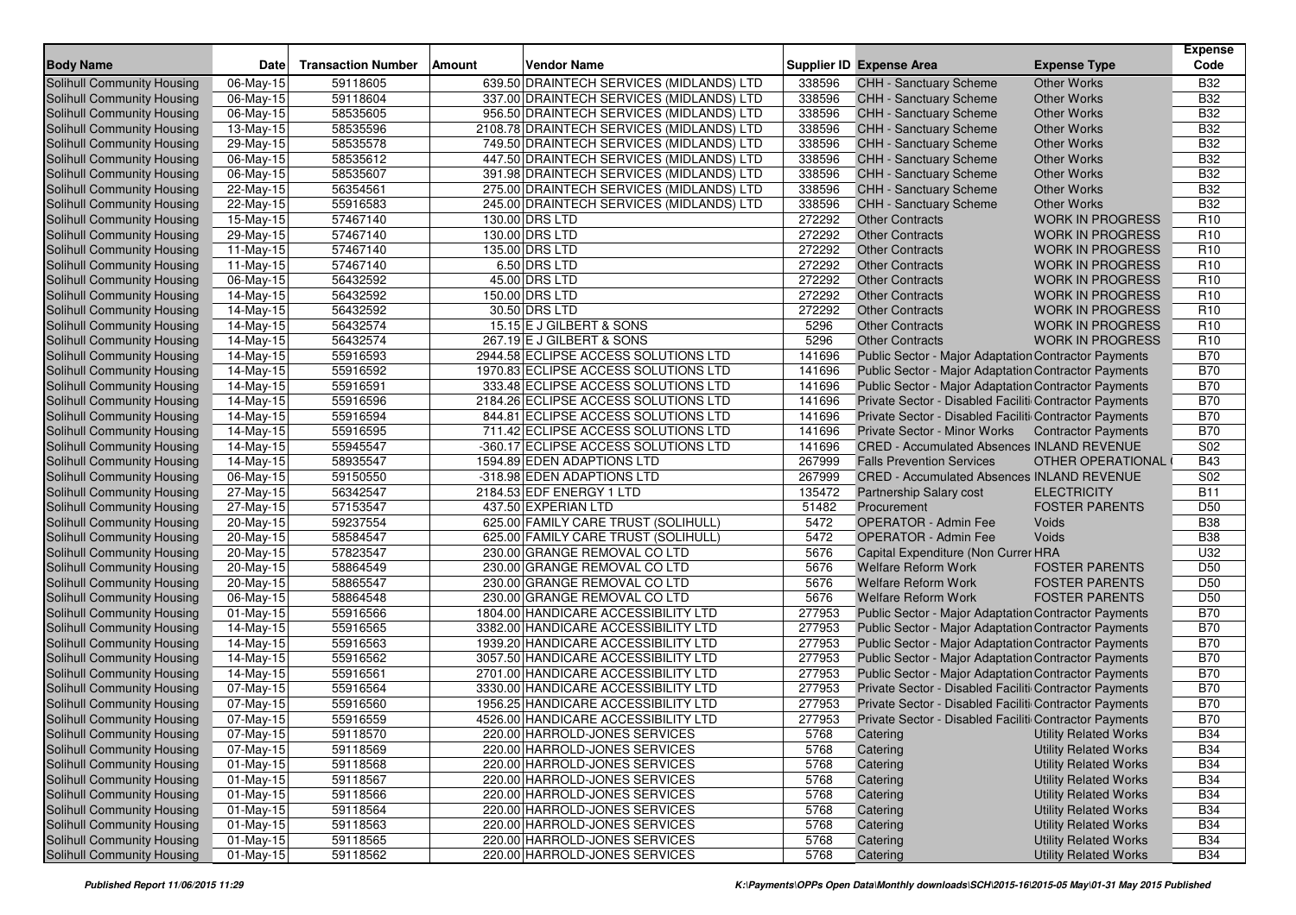| <b>Body Name</b>                  | <b>Date</b>             | <b>Transaction Number</b> | Amount<br><b>Vendor Name</b>              |        | <b>Supplier ID Expense Area</b>                             | <b>Expense Type</b>          | <b>Expense</b><br>Code |
|-----------------------------------|-------------------------|---------------------------|-------------------------------------------|--------|-------------------------------------------------------------|------------------------------|------------------------|
| Solihull Community Housing        | 06-May-15               | 59118605                  | 639.50 DRAINTECH SERVICES (MIDLANDS) LTD  | 338596 | CHH - Sanctuary Scheme                                      | <b>Other Works</b>           | <b>B32</b>             |
| Solihull Community Housing        | 06-May-15               | 59118604                  | 337.00 DRAINTECH SERVICES (MIDLANDS) LTD  | 338596 | <b>CHH - Sanctuary Scheme</b>                               | <b>Other Works</b>           | <b>B32</b>             |
| Solihull Community Housing        | $\overline{0}$ 6-May-15 | 58535605                  | 956.50 DRAINTECH SERVICES (MIDLANDS) LTD  | 338596 | <b>CHH - Sanctuary Scheme</b>                               | <b>Other Works</b>           | <b>B32</b>             |
| Solihull Community Housing        | 13-May-15               | 58535596                  | 2108.78 DRAINTECH SERVICES (MIDLANDS) LTD | 338596 | CHH - Sanctuary Scheme                                      | <b>Other Works</b>           | <b>B32</b>             |
| Solihull Community Housing        | 29-May-15               | 58535578                  | 749.50 DRAINTECH SERVICES (MIDLANDS) LTD  | 338596 | CHH - Sanctuary Scheme                                      | <b>Other Works</b>           | <b>B32</b>             |
| Solihull Community Housing        | 06-May-15               | 58535612                  | 447.50 DRAINTECH SERVICES (MIDLANDS) LTD  | 338596 | CHH - Sanctuary Scheme                                      | <b>Other Works</b>           | <b>B32</b>             |
| Solihull Community Housing        | 06-May-15               | 58535607                  | 391.98 DRAINTECH SERVICES (MIDLANDS) LTD  | 338596 | <b>CHH - Sanctuary Scheme</b>                               | <b>Other Works</b>           | <b>B32</b>             |
| Solihull Community Housing        | 22-May-15               | 56354561                  | 275.00 DRAINTECH SERVICES (MIDLANDS) LTD  | 338596 | CHH - Sanctuary Scheme                                      | <b>Other Works</b>           | <b>B32</b>             |
| Solihull Community Housing        | 22-May-15               | 55916583                  | 245.00 DRAINTECH SERVICES (MIDLANDS) LTD  | 338596 | CHH - Sanctuary Scheme                                      | <b>Other Works</b>           | <b>B32</b>             |
| Solihull Community Housing        | 15-May-15               | 57467140                  | 130.00 DRS LTD                            | 272292 | <b>Other Contracts</b>                                      | <b>WORK IN PROGRESS</b>      | R <sub>10</sub>        |
| Solihull Community Housing        | 29-May-15               | 57467140                  | 130.00 DRS LTD                            | 272292 | <b>Other Contracts</b>                                      | <b>WORK IN PROGRESS</b>      | R <sub>10</sub>        |
| Solihull Community Housing        | $\overline{11}$ -May-15 | 57467140                  | 135.00 DRS LTD                            | 272292 | <b>Other Contracts</b>                                      | <b>WORK IN PROGRESS</b>      | R <sub>10</sub>        |
| Solihull Community Housing        | 11-May-15               | 57467140                  | 6.50 DRS LTD                              | 272292 | <b>Other Contracts</b>                                      | <b>WORK IN PROGRESS</b>      | R <sub>10</sub>        |
| Solihull Community Housing        | 06-May-15               | 56432592                  | 45.00 DRS LTD                             | 272292 | <b>Other Contracts</b>                                      | <b>WORK IN PROGRESS</b>      | R <sub>10</sub>        |
| Solihull Community Housing        | 14-May-15               | 56432592                  | 150.00 DRS LTD                            | 272292 | <b>Other Contracts</b>                                      | <b>WORK IN PROGRESS</b>      | R <sub>10</sub>        |
| Solihull Community Housing        | 14-May-15               | 56432592                  | 30.50 DRS LTD                             | 272292 | <b>Other Contracts</b>                                      | <b>WORK IN PROGRESS</b>      | R <sub>10</sub>        |
| Solihull Community Housing        | 14-May-15               | 56432574                  | 15.15 E J GILBERT & SONS                  | 5296   | <b>Other Contracts</b>                                      | <b>WORK IN PROGRESS</b>      | R <sub>10</sub>        |
| Solihull Community Housing        | 14-May-15               | 56432574                  | 267.19 E J GILBERT & SONS                 | 5296   | <b>Other Contracts</b>                                      | <b>WORK IN PROGRESS</b>      | R <sub>10</sub>        |
| Solihull Community Housing        | 14-May-15               | 55916593                  | 2944.58 ECLIPSE ACCESS SOLUTIONS LTD      | 141696 | Public Sector - Major Adaptation Contractor Payments        |                              | <b>B70</b>             |
| Solihull Community Housing        | 14-May-15               | 55916592                  | 1970.83 ECLIPSE ACCESS SOLUTIONS LTD      | 141696 | Public Sector - Major Adaptation Contractor Payments        |                              | <b>B70</b>             |
| Solihull Community Housing        | 14-May-15               | 55916591                  | 333.48 ECLIPSE ACCESS SOLUTIONS LTD       | 141696 | Public Sector - Major Adaptation Contractor Payments        |                              | <b>B70</b>             |
| Solihull Community Housing        | 14-May-15               | 55916596                  | 2184.26 ECLIPSE ACCESS SOLUTIONS LTD      | 141696 | Private Sector - Disabled Faciliti Contractor Payments      |                              | <b>B70</b>             |
| Solihull Community Housing        | 14-May-15               | 55916594                  | 844.81 ECLIPSE ACCESS SOLUTIONS LTD       | 141696 | Private Sector - Disabled Faciliti Contractor Payments      |                              | <b>B70</b>             |
| Solihull Community Housing        | 14-May-15               | 55916595                  | 711.42 ECLIPSE ACCESS SOLUTIONS LTD       | 141696 | Private Sector - Minor Works                                | <b>Contractor Payments</b>   | <b>B70</b>             |
| Solihull Community Housing        | 14-May-15               | 55945547                  | -360.17 ECLIPSE ACCESS SOLUTIONS LTD      | 141696 | <b>CRED - Accumulated Absences INLAND REVENUE</b>           |                              | S02                    |
| Solihull Community Housing        | 14-May-15               | 58935547                  | 1594.89 EDEN ADAPTIONS LTD                | 267999 | <b>Falls Prevention Services</b>                            | OTHER OPERATIONAL            | <b>B43</b>             |
| Solihull Community Housing        | 06-May-15               | 59150550                  | -318.98 EDEN ADAPTIONS LTD                | 267999 | <b>CRED - Accumulated Absences INLAND REVENUE</b>           |                              | S <sub>02</sub>        |
| Solihull Community Housing        | 27-May-15               | 56342547                  | 2184.53 EDF ENERGY 1 LTD                  | 135472 | Partnership Salary cost                                     | <b>ELECTRICITY</b>           | <b>B11</b>             |
| Solihull Community Housing        | 27-May-15               | 57153547                  | 437.50 EXPERIAN LTD                       | 51482  | Procurement                                                 | <b>FOSTER PARENTS</b>        | D <sub>50</sub>        |
| Solihull Community Housing        | 20-May-15               | 59237554                  | 625.00 FAMILY CARE TRUST (SOLIHULL)       | 5472   | <b>OPERATOR - Admin Fee</b>                                 | Voids                        | <b>B38</b>             |
| Solihull Community Housing        | 20-May-15               | 58584547                  | 625.00 FAMILY CARE TRUST (SOLIHULL)       | 5472   | <b>OPERATOR - Admin Fee</b>                                 | Voids                        | <b>B38</b>             |
| Solihull Community Housing        | 20-May-15               | 57823547                  | 230.00 GRANGE REMOVAL CO LTD              | 5676   | Capital Expenditure (Non Currer HRA                         |                              | U32                    |
| Solihull Community Housing        | 20-May-15               | 58864549                  | 230.00 GRANGE REMOVAL CO LTD              | 5676   | Welfare Reform Work                                         | <b>FOSTER PARENTS</b>        | D <sub>50</sub>        |
| Solihull Community Housing        | 20-May-15               | 58865547                  | 230.00 GRANGE REMOVAL CO LTD              | 5676   | Welfare Reform Work                                         | <b>FOSTER PARENTS</b>        | D <sub>50</sub>        |
| Solihull Community Housing        | 06-May-15               | 58864548                  | 230.00 GRANGE REMOVAL CO LTD              | 5676   | <b>Welfare Reform Work</b>                                  | <b>FOSTER PARENTS</b>        | D <sub>50</sub>        |
| Solihull Community Housing        | 01-May-15               | 55916566                  | 1804.00 HANDICARE ACCESSIBILITY LTD       | 277953 | Public Sector - Major Adaptation Contractor Payments        |                              | <b>B70</b>             |
| Solihull Community Housing        | $\overline{14}$ -May-15 | 55916565                  | 3382.00 HANDICARE ACCESSIBILITY LTD       | 277953 | <b>Public Sector - Major Adaptation Contractor Payments</b> |                              | <b>B70</b>             |
| Solihull Community Housing        | 14-May-15               | 55916563                  | 1939.20 HANDICARE ACCESSIBILITY LTD       | 277953 | Public Sector - Major Adaptation Contractor Payments        |                              | <b>B70</b>             |
| Solihull Community Housing        | 14-May-15               | 55916562                  | 3057.50 HANDICARE ACCESSIBILITY LTD       | 277953 | Public Sector - Major Adaptation Contractor Payments        |                              | <b>B70</b>             |
| Solihull Community Housing        | 14-May-15               | 55916561                  | 2701.00 HANDICARE ACCESSIBILITY LTD       | 277953 | Public Sector - Major Adaptation Contractor Payments        |                              | <b>B70</b>             |
| Solihull Community Housing        | 07-May-15               | 55916564                  | 3330.00 HANDICARE ACCESSIBILITY LTD       | 277953 | Private Sector - Disabled Faciliti Contractor Payments      |                              | <b>B70</b>             |
| <b>Solihull Community Housing</b> | 07-May-15               | 55916560                  | 1956.25 HANDICARE ACCESSIBILITY LTD       | 277953 | Private Sector - Disabled Faciliti Contractor Payments      |                              | <b>B70</b>             |
| Solihull Community Housing        | 07-May-15               | 55916559                  | 4526.00 HANDICARE ACCESSIBILITY LTD       | 277953 | Private Sector - Disabled Faciliti Contractor Payments      |                              | <b>B70</b>             |
| Solihull Community Housing        | 07-May-15               | 59118570                  | 220.00 HARROLD-JONES SERVICES             | 5768   | Catering                                                    | <b>Utility Related Works</b> | <b>B34</b>             |
| Solihull Community Housing        | 07-May-15               | 59118569                  | 220.00 HARROLD-JONES SERVICES             | 5768   | Catering                                                    | <b>Utility Related Works</b> | <b>B34</b>             |
| Solihull Community Housing        | $01 - May - 15$         | 59118568                  | 220.00 HARROLD-JONES SERVICES             | 5768   | Catering                                                    | <b>Utility Related Works</b> | <b>B34</b>             |
| Solihull Community Housing        | 01-May-15               | 59118567                  | 220.00 HARROLD-JONES SERVICES             | 5768   | Catering                                                    | <b>Utility Related Works</b> | <b>B34</b>             |
| Solihull Community Housing        | 01-May-15               | 59118566                  | 220.00 HARROLD-JONES SERVICES             | 5768   | Catering                                                    | <b>Utility Related Works</b> | <b>B34</b>             |
| Solihull Community Housing        | $01 - May - 15$         | 59118564                  | 220.00 HARROLD-JONES SERVICES             | 5768   | Catering                                                    | <b>Utility Related Works</b> | <b>B34</b>             |
| Solihull Community Housing        | 01-May-15               | 59118563                  | 220.00 HARROLD-JONES SERVICES             | 5768   | Catering                                                    | <b>Utility Related Works</b> | <b>B34</b>             |
| Solihull Community Housing        | 01-May-15               | 59118565                  | 220.00 HARROLD-JONES SERVICES             | 5768   | Catering                                                    | <b>Utility Related Works</b> | <b>B34</b>             |
| Solihull Community Housing        | $01$ -May-15            | 59118562                  | 220.00 HARROLD-JONES SERVICES             | 5768   | Catering                                                    | <b>Utility Related Works</b> | <b>B34</b>             |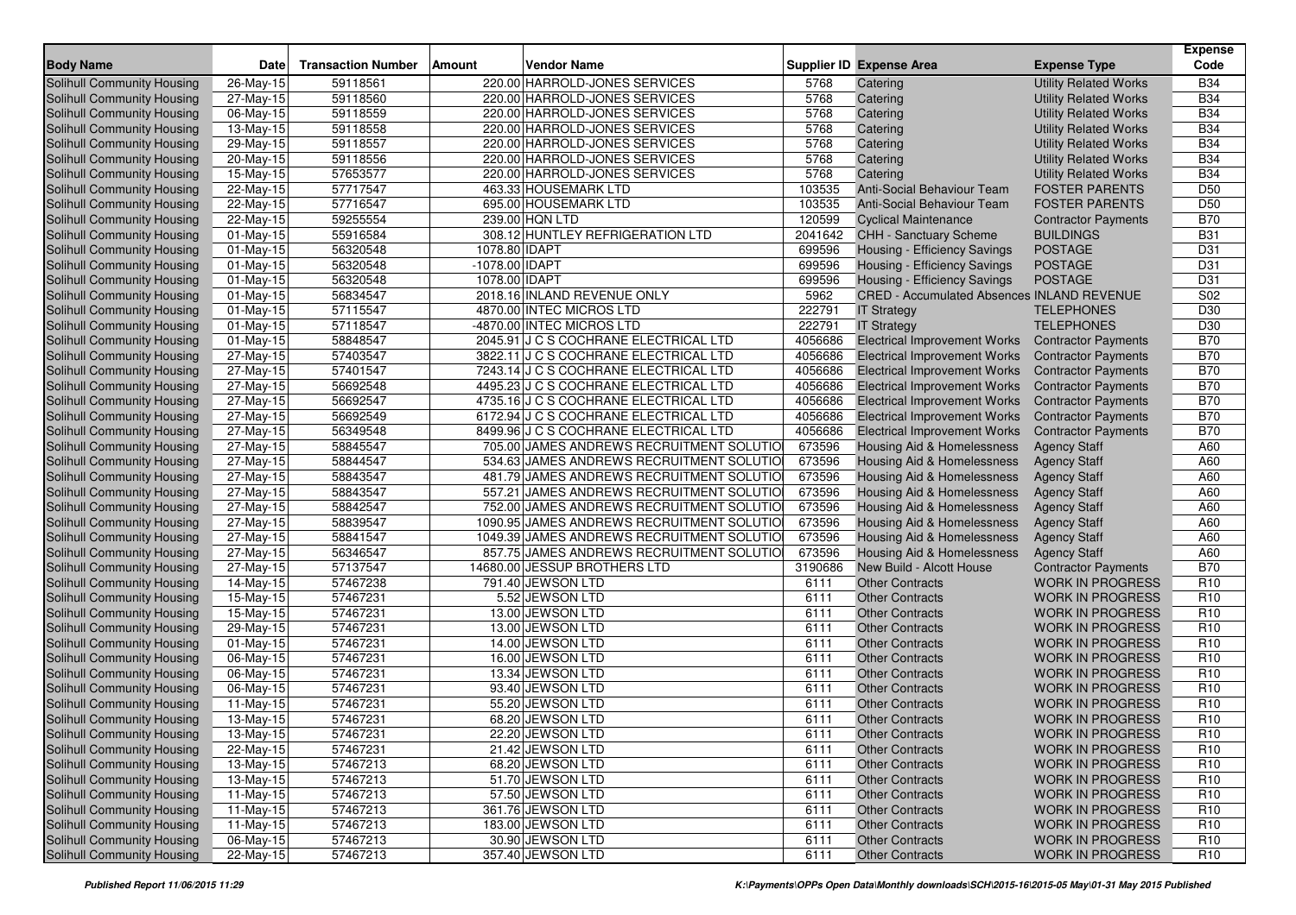| <b>Body Name</b>                                                | <b>Date</b>            | <b>Transaction Number</b> | <b>Vendor Name</b><br><b>Amount</b>                                                   |                 | <b>Supplier ID Expense Area</b>                        | <b>Expense Type</b>                                   | <b>Expense</b><br>Code |
|-----------------------------------------------------------------|------------------------|---------------------------|---------------------------------------------------------------------------------------|-----------------|--------------------------------------------------------|-------------------------------------------------------|------------------------|
|                                                                 |                        |                           |                                                                                       |                 |                                                        |                                                       |                        |
| <b>Solihull Community Housing</b>                               | 26-May-15              | 59118561                  | 220.00 HARROLD-JONES SERVICES                                                         | 5768            | Catering                                               | <b>Utility Related Works</b>                          | <b>B34</b>             |
| Solihull Community Housing                                      | 27-May-15              | 59118560                  | 220.00 HARROLD-JONES SERVICES                                                         | 5768            | Catering                                               | <b>Utility Related Works</b>                          | <b>B34</b>             |
| Solihull Community Housing                                      | 06-May-15              | 59118559                  | 220.00 HARROLD-JONES SERVICES                                                         | 5768            | Catering                                               | <b>Utility Related Works</b>                          | <b>B34</b>             |
| Solihull Community Housing                                      | 13-May-15              | 59118558                  | 220.00 HARROLD-JONES SERVICES                                                         | 5768            | Catering                                               | <b>Utility Related Works</b>                          | <b>B34</b>             |
| Solihull Community Housing                                      | 29-May-15              | 59118557                  | 220.00 HARROLD-JONES SERVICES                                                         | 5768            | Catering                                               | <b>Utility Related Works</b>                          | <b>B34</b>             |
| <b>Solihull Community Housing</b>                               | 20-May-15              | 59118556                  | 220.00 HARROLD-JONES SERVICES                                                         | 5768            | Catering                                               | <b>Utility Related Works</b>                          | <b>B34</b>             |
| Solihull Community Housing                                      | 15-May-15              | 57653577                  | 220.00 HARROLD-JONES SERVICES                                                         | 5768            | Catering                                               | <b>Utility Related Works</b>                          | <b>B34</b>             |
| Solihull Community Housing                                      | 22-May-15              | 57717547                  | 463.33 HOUSEMARK LTD                                                                  | 103535          | <b>Anti-Social Behaviour Team</b>                      | <b>FOSTER PARENTS</b>                                 | D <sub>50</sub>        |
| Solihull Community Housing                                      | 22-May-15              | 57716547                  | 695.00 HOUSEMARK LTD                                                                  | 103535          | Anti-Social Behaviour Team                             | <b>FOSTER PARENTS</b>                                 | D <sub>50</sub>        |
| Solihull Community Housing                                      | 22-May-15              | 59255554                  | 239.00 HQN LTD                                                                        | 120599          | <b>Cyclical Maintenance</b>                            | <b>Contractor Payments</b><br><b>BUILDINGS</b>        | <b>B70</b>             |
| Solihull Community Housing                                      | 01-May-15              | 55916584<br>56320548      | 308.12 HUNTLEY REFRIGERATION LTD                                                      | 2041642         | <b>CHH - Sanctuary Scheme</b>                          |                                                       | <b>B31</b>             |
| Solihull Community Housing                                      | 01-May-15              |                           | 1078.80 IDAPT                                                                         | 699596          | Housing - Efficiency Savings                           | <b>POSTAGE</b>                                        | D31                    |
| Solihull Community Housing                                      | 01-May-15              | 56320548                  | -1078.00 IDAPT                                                                        | 699596          | Housing - Efficiency Savings                           | <b>POSTAGE</b>                                        | D31                    |
| Solihull Community Housing                                      | 01-May-15              | 56320548                  | 1078.00 IDAPT                                                                         | 699596          | Housing - Efficiency Savings                           | <b>POSTAGE</b>                                        | D31                    |
| Solihull Community Housing                                      | 01-May-15              | 56834547                  | 2018.16 INLAND REVENUE ONLY                                                           | 5962            | <b>CRED - Accumulated Absences INLAND REVENUE</b>      |                                                       | S02                    |
| Solihull Community Housing                                      | 01-May-15              | 57115547                  | 4870.00 INTEC MICROS LTD                                                              | 222791          | <b>IT Strategy</b>                                     | <b>TELEPHONES</b>                                     | D30                    |
| Solihull Community Housing                                      | 01-May-15              | 57118547                  | -4870.00 INTEC MICROS LTD                                                             | 222791          | <b>IT Strategy</b>                                     | <b>TELEPHONES</b>                                     | D30                    |
| Solihull Community Housing                                      | 01-May-15              | 58848547                  | 2045.91 J C S COCHRANE ELECTRICAL LTD                                                 | 4056686         | <b>Electrical Improvement Works</b>                    | <b>Contractor Payments</b>                            | <b>B70</b>             |
| Solihull Community Housing                                      | 27-May-15              | 57403547                  | 3822.11 J C S COCHRANE ELECTRICAL LTD                                                 | 4056686         | <b>Electrical Improvement Works</b>                    | <b>Contractor Payments</b>                            | <b>B70</b>             |
| Solihull Community Housing                                      | 27-May-15              | 57401547                  | 7243.14 J C S COCHRANE ELECTRICAL LTD                                                 | 4056686         | <b>Electrical Improvement Works</b>                    | <b>Contractor Payments</b>                            | <b>B70</b>             |
| Solihull Community Housing                                      | 27-May-15              | 56692548                  | 4495.23 J C S COCHRANE ELECTRICAL LTD                                                 | 4056686         | <b>Electrical Improvement Works</b>                    | <b>Contractor Payments</b>                            | <b>B70</b>             |
| Solihull Community Housing                                      | 27-May-15              | 56692547                  | 4735.16 J C S COCHRANE ELECTRICAL LTD                                                 | 4056686         | <b>Electrical Improvement Works</b>                    | <b>Contractor Payments</b>                            | <b>B70</b>             |
| Solihull Community Housing                                      | 27-May-15              | 56692549                  | 6172.94 J C S COCHRANE ELECTRICAL LTD                                                 | 4056686         | <b>Electrical Improvement Works</b>                    | <b>Contractor Payments</b>                            | <b>B70</b>             |
| Solihull Community Housing                                      | 27-May-15              | 56349548                  | 8499.96 J C S COCHRANE ELECTRICAL LTD                                                 | 4056686         | <b>Electrical Improvement Works</b>                    | <b>Contractor Payments</b>                            | <b>B70</b>             |
| Solihull Community Housing                                      | 27-May-15              | 58845547                  | 705.00 JAMES ANDREWS RECRUITMENT SOLUTIO                                              | 673596          | Housing Aid & Homelessness                             | <b>Agency Staff</b>                                   | A60                    |
| Solihull Community Housing                                      | 27-May-15              | 58844547                  | 534.63 JAMES ANDREWS RECRUITMENT SOLUTIO                                              | 673596          | <b>Housing Aid &amp; Homelessness</b>                  | <b>Agency Staff</b>                                   | A60                    |
| Solihull Community Housing                                      | 27-May-15              | 58843547                  | 481.79 JAMES ANDREWS RECRUITMENT SOLUTIO                                              | 673596          | <b>Housing Aid &amp; Homelessness</b>                  | <b>Agency Staff</b>                                   | A60                    |
| Solihull Community Housing                                      | 27-May-15              | 58843547                  | 557.21 JAMES ANDREWS RECRUITMENT SOLUTIO                                              | 673596          | Housing Aid & Homelessness                             | <b>Agency Staff</b>                                   | A60                    |
| Solihull Community Housing                                      | 27-May-15              | 58842547<br>58839547      | 752.00 JAMES ANDREWS RECRUITMENT SOLUTIO                                              | 673596          | Housing Aid & Homelessness                             | <b>Agency Staff</b>                                   | A60<br>A60             |
| Solihull Community Housing                                      | 27-May-15              |                           | 1090.95 JAMES ANDREWS RECRUITMENT SOLUTIO                                             | 673596          | Housing Aid & Homelessness                             | <b>Agency Staff</b>                                   |                        |
| Solihull Community Housing                                      | 27-May-15              | 58841547                  | 1049.39 JAMES ANDREWS RECRUITMENT SOLUTIO<br>857.75 JAMES ANDREWS RECRUITMENT SOLUTIO | 673596          | <b>Housing Aid &amp; Homelessness</b>                  | <b>Agency Staff</b>                                   | A60                    |
| Solihull Community Housing                                      | 27-May-15              | 56346547                  |                                                                                       | 673596          | Housing Aid & Homelessness<br>New Build - Alcott House | <b>Agency Staff</b>                                   | A60<br><b>B70</b>      |
| Solihull Community Housing                                      | 27-May-15              | 57137547<br>57467238      | 14680.00 JESSUP BROTHERS LTD<br>791.40 JEWSON LTD                                     | 3190686<br>6111 | <b>Other Contracts</b>                                 | <b>Contractor Payments</b><br><b>WORK IN PROGRESS</b> | R <sub>10</sub>        |
| Solihull Community Housing<br><b>Solihull Community Housing</b> | 14-May-15              |                           | 5.52 JEWSON LTD                                                                       |                 |                                                        |                                                       | R <sub>10</sub>        |
| Solihull Community Housing                                      | 15-May-15              | 57467231<br>57467231      | 13.00 JEWSON LTD                                                                      | 6111<br>6111    | <b>Other Contracts</b><br><b>Other Contracts</b>       | <b>WORK IN PROGRESS</b><br><b>WORK IN PROGRESS</b>    | R <sub>10</sub>        |
|                                                                 | 15-May-15              | 57467231                  | 13.00 JEWSON LTD                                                                      | 6111            | <b>Other Contracts</b>                                 | <b>WORK IN PROGRESS</b>                               | R <sub>10</sub>        |
| Solihull Community Housing                                      | 29-May-15              | 57467231                  | 14.00 JEWSON LTD                                                                      | 6111            | <b>Other Contracts</b>                                 | <b>WORK IN PROGRESS</b>                               | R <sub>10</sub>        |
| Solihull Community Housing                                      | 01-May-15              | 57467231                  | 16.00 JEWSON LTD                                                                      | 6111            | <b>Other Contracts</b>                                 | <b>WORK IN PROGRESS</b>                               | R <sub>10</sub>        |
| Solihull Community Housing<br>Solihull Community Housing        | 06-May-15              | 57467231                  | 13.34 JEWSON LTD                                                                      | 6111            | <b>Other Contracts</b>                                 | <b>WORK IN PROGRESS</b>                               | R <sub>10</sub>        |
| Solihull Community Housing                                      | 06-May-15<br>06-May-15 | 57467231                  | 93.40 JEWSON LTD                                                                      | 6111            | <b>Other Contracts</b>                                 | <b>WORK IN PROGRESS</b>                               | R <sub>10</sub>        |
| <b>Solihull Community Housing</b>                               | 11-May-15              | 57467231                  | 55.20 JEWSON LTD                                                                      | 6111            | <b>Other Contracts</b>                                 | <b>WORK IN PROGRESS</b>                               | R <sub>10</sub>        |
| Solihull Community Housing                                      | 13-May-15              | 57467231                  | 68.20 JEWSON LTD                                                                      | 6111            | <b>Other Contracts</b>                                 | <b>WORK IN PROGRESS</b>                               | R <sub>10</sub>        |
| Solihull Community Housing                                      | 13-May-15              | 57467231                  | 22.20 JEWSON LTD                                                                      | 6111            | <b>Other Contracts</b>                                 | <b>WORK IN PROGRESS</b>                               | R <sub>10</sub>        |
| Solihull Community Housing                                      | 22-May-15              | 57467231                  | 21.42 JEWSON LTD                                                                      | 6111            | <b>Other Contracts</b>                                 | <b>WORK IN PROGRESS</b>                               | R <sub>10</sub>        |
| Solihull Community Housing                                      | 13-May-15              | 57467213                  | 68.20 JEWSON LTD                                                                      | 6111            | <b>Other Contracts</b>                                 | <b>WORK IN PROGRESS</b>                               | R <sub>10</sub>        |
| Solihull Community Housing                                      | 13-May-15              | 57467213                  | 51.70 JEWSON LTD                                                                      | 6111            | <b>Other Contracts</b>                                 | <b>WORK IN PROGRESS</b>                               | R <sub>10</sub>        |
| Solihull Community Housing                                      | 11-May-15              | 57467213                  | 57.50 JEWSON LTD                                                                      | 6111            | <b>Other Contracts</b>                                 | <b>WORK IN PROGRESS</b>                               | R <sub>10</sub>        |
| Solihull Community Housing                                      | 11-May-15              | 57467213                  | 361.76 JEWSON LTD                                                                     | 6111            | <b>Other Contracts</b>                                 | <b>WORK IN PROGRESS</b>                               | R <sub>10</sub>        |
| Solihull Community Housing                                      | 11-May-15              | 57467213                  | 183.00 JEWSON LTD                                                                     | 6111            | <b>Other Contracts</b>                                 | <b>WORK IN PROGRESS</b>                               | R <sub>10</sub>        |
| Solihull Community Housing                                      | 06-May-15              | 57467213                  | 30.90 JEWSON LTD                                                                      | 6111            | <b>Other Contracts</b>                                 | <b>WORK IN PROGRESS</b>                               | R <sub>10</sub>        |
| Solihull Community Housing                                      | 22-May-15              | 57467213                  | 357.40 JEWSON LTD                                                                     | 6111            | <b>Other Contracts</b>                                 | <b>WORK IN PROGRESS</b>                               | R <sub>10</sub>        |
|                                                                 |                        |                           |                                                                                       |                 |                                                        |                                                       |                        |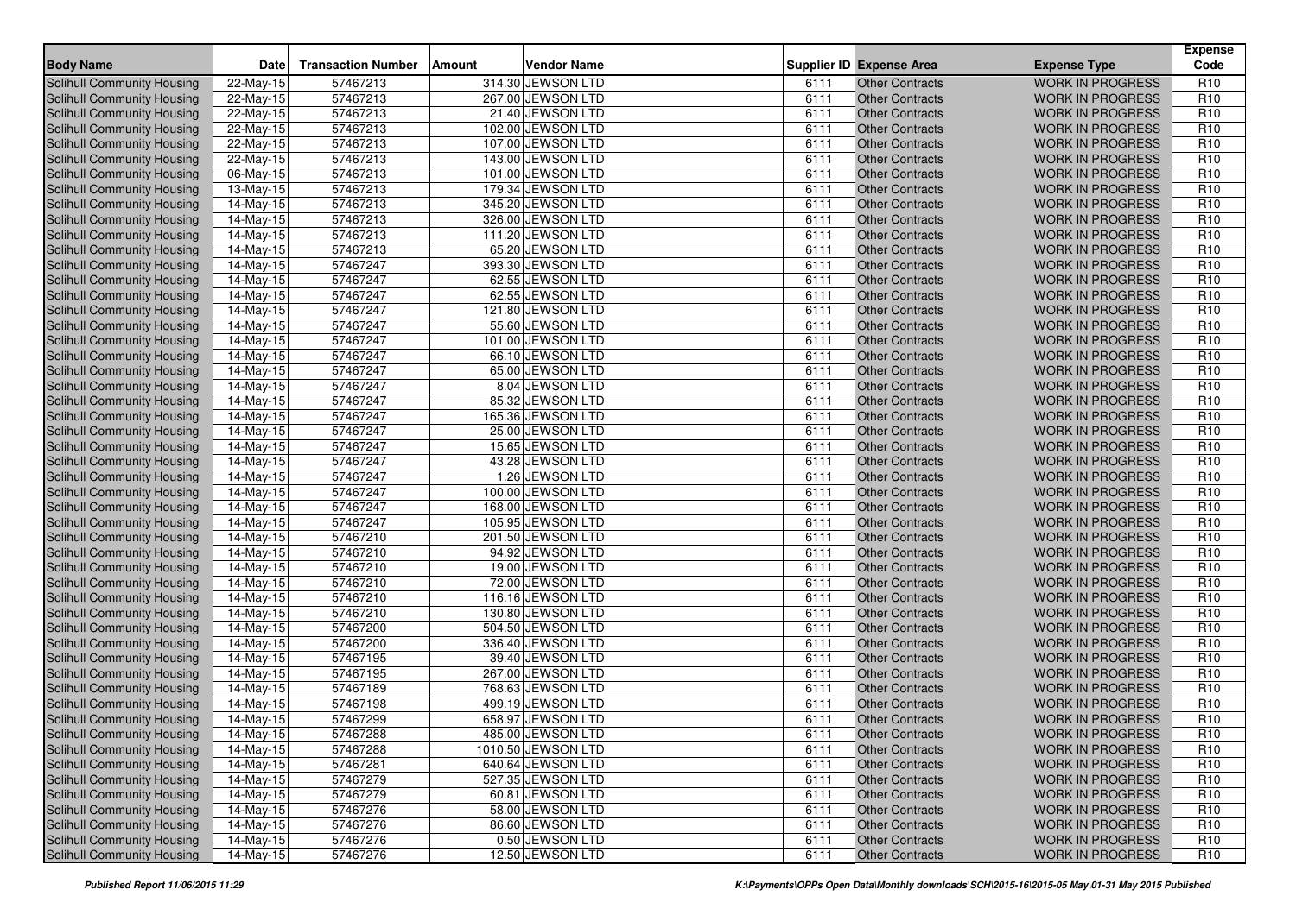| <b>Body Name</b>                  | Date                    | <b>Transaction Number</b> | Amount | <b>Vendor Name</b> |      | <b>Supplier ID Expense Area</b> | <b>Expense Type</b>     | <b>Expense</b><br>Code |
|-----------------------------------|-------------------------|---------------------------|--------|--------------------|------|---------------------------------|-------------------------|------------------------|
| Solihull Community Housing        | 22-May-15               | 57467213                  |        | 314.30 JEWSON LTD  | 6111 | <b>Other Contracts</b>          | <b>WORK IN PROGRESS</b> | R <sub>10</sub>        |
| <b>Solihull Community Housing</b> | 22-May-15               | 57467213                  |        | 267.00 JEWSON LTD  | 6111 | <b>Other Contracts</b>          | <b>WORK IN PROGRESS</b> | R <sub>10</sub>        |
| <b>Solihull Community Housing</b> | 22-May-15               | 57467213                  |        | 21.40 JEWSON LTD   | 6111 | <b>Other Contracts</b>          | <b>WORK IN PROGRESS</b> | R <sub>10</sub>        |
| Solihull Community Housing        | 22-May-15               | 57467213                  |        | 102.00 JEWSON LTD  | 6111 | <b>Other Contracts</b>          | <b>WORK IN PROGRESS</b> | R <sub>10</sub>        |
| Solihull Community Housing        | 22-May-15               | 57467213                  |        | 107.00 JEWSON LTD  | 6111 | <b>Other Contracts</b>          | <b>WORK IN PROGRESS</b> | R <sub>10</sub>        |
| Solihull Community Housing        | 22-May-15               | 57467213                  |        | 143.00 JEWSON LTD  | 6111 | <b>Other Contracts</b>          | <b>WORK IN PROGRESS</b> | R <sub>10</sub>        |
| Solihull Community Housing        | 06-May-15               | 57467213                  |        | 101.00 JEWSON LTD  | 6111 | <b>Other Contracts</b>          | <b>WORK IN PROGRESS</b> | R <sub>10</sub>        |
| <b>Solihull Community Housing</b> | 13-May-15               | 57467213                  |        | 179.34 JEWSON LTD  | 6111 | <b>Other Contracts</b>          | <b>WORK IN PROGRESS</b> | R <sub>10</sub>        |
| Solihull Community Housing        | 14-May-15               | 57467213                  |        | 345.20 JEWSON LTD  | 6111 | <b>Other Contracts</b>          | <b>WORK IN PROGRESS</b> | R <sub>10</sub>        |
| <b>Solihull Community Housing</b> | 14-May-15               | 57467213                  |        | 326.00 JEWSON LTD  | 6111 | <b>Other Contracts</b>          | <b>WORK IN PROGRESS</b> | R <sub>10</sub>        |
| <b>Solihull Community Housing</b> | 14-May-15               | 57467213                  |        | 111.20 JEWSON LTD  | 6111 | <b>Other Contracts</b>          | <b>WORK IN PROGRESS</b> | R <sub>10</sub>        |
| Solihull Community Housing        | $14-May-15$             | 57467213                  |        | 65.20 JEWSON LTD   | 6111 | <b>Other Contracts</b>          | <b>WORK IN PROGRESS</b> | R <sub>10</sub>        |
| <b>Solihull Community Housing</b> | 14-May-15               | 57467247                  |        | 393.30 JEWSON LTD  | 6111 | <b>Other Contracts</b>          | <b>WORK IN PROGRESS</b> | R <sub>10</sub>        |
| Solihull Community Housing        | 14-May-15               | 57467247                  |        | 62.55 JEWSON LTD   | 6111 | <b>Other Contracts</b>          | <b>WORK IN PROGRESS</b> | R <sub>10</sub>        |
| Solihull Community Housing        | 14-May-15               | 57467247                  |        | 62.55 JEWSON LTD   | 6111 | <b>Other Contracts</b>          | <b>WORK IN PROGRESS</b> | R <sub>10</sub>        |
| Solihull Community Housing        | 14-May-15               | 57467247                  |        | 121.80 JEWSON LTD  | 6111 | <b>Other Contracts</b>          | <b>WORK IN PROGRESS</b> | R <sub>10</sub>        |
| Solihull Community Housing        | 14-May-15               | 57467247                  |        | 55.60 JEWSON LTD   | 6111 | <b>Other Contracts</b>          | <b>WORK IN PROGRESS</b> | R <sub>10</sub>        |
| Solihull Community Housing        | 14-May-15               | 57467247                  |        | 101.00 JEWSON LTD  | 6111 | <b>Other Contracts</b>          | <b>WORK IN PROGRESS</b> | R <sub>10</sub>        |
| <b>Solihull Community Housing</b> | 14-May-15               | 57467247                  |        | 66.10 JEWSON LTD   | 6111 | <b>Other Contracts</b>          | <b>WORK IN PROGRESS</b> | R <sub>10</sub>        |
| Solihull Community Housing        | 14-May-15               | 57467247                  |        | 65.00 JEWSON LTD   | 6111 | <b>Other Contracts</b>          | <b>WORK IN PROGRESS</b> | R <sub>10</sub>        |
| <b>Solihull Community Housing</b> | 14-May-15               | 57467247                  |        | 8.04 JEWSON LTD    | 6111 | <b>Other Contracts</b>          | <b>WORK IN PROGRESS</b> | R <sub>10</sub>        |
| Solihull Community Housing        | 14-May-15               | 57467247                  |        | 85.32 JEWSON LTD   | 6111 | <b>Other Contracts</b>          | <b>WORK IN PROGRESS</b> | R <sub>10</sub>        |
| Solihull Community Housing        | 14-May-15               | 57467247                  |        | 165.36 JEWSON LTD  | 6111 | <b>Other Contracts</b>          | <b>WORK IN PROGRESS</b> | R <sub>10</sub>        |
| <b>Solihull Community Housing</b> | 14-May-15               | 57467247                  |        | 25.00 JEWSON LTD   | 6111 | <b>Other Contracts</b>          | <b>WORK IN PROGRESS</b> | R <sub>10</sub>        |
| <b>Solihull Community Housing</b> | 14-May-15               | 57467247                  |        | 15.65 JEWSON LTD   | 6111 | <b>Other Contracts</b>          | <b>WORK IN PROGRESS</b> | R <sub>10</sub>        |
| Solihull Community Housing        | 14-May-15               | 57467247                  |        | 43.28 JEWSON LTD   | 6111 | <b>Other Contracts</b>          | <b>WORK IN PROGRESS</b> | R <sub>10</sub>        |
| <b>Solihull Community Housing</b> | 14-May-15               | 57467247                  |        | 1.26 JEWSON LTD    | 6111 | <b>Other Contracts</b>          | <b>WORK IN PROGRESS</b> | R <sub>10</sub>        |
| Solihull Community Housing        | 14-May-15               | 57467247                  |        | 100.00 JEWSON LTD  | 6111 | <b>Other Contracts</b>          | <b>WORK IN PROGRESS</b> | R <sub>10</sub>        |
| Solihull Community Housing        | 14-May-15               | 57467247                  |        | 168.00 JEWSON LTD  | 6111 | <b>Other Contracts</b>          | <b>WORK IN PROGRESS</b> | R <sub>10</sub>        |
| Solihull Community Housing        | $14-May-15$             | 57467247                  |        | 105.95 JEWSON LTD  | 6111 | <b>Other Contracts</b>          | <b>WORK IN PROGRESS</b> | R <sub>10</sub>        |
| Solihull Community Housing        | 14-May-15               | 57467210                  |        | 201.50 JEWSON LTD  | 6111 | <b>Other Contracts</b>          | <b>WORK IN PROGRESS</b> | R <sub>10</sub>        |
| Solihull Community Housing        | $\overline{14}$ -May-15 | 57467210                  |        | 94.92 JEWSON LTD   | 6111 | <b>Other Contracts</b>          | <b>WORK IN PROGRESS</b> | R <sub>10</sub>        |
| Solihull Community Housing        | 14-May-15               | 57467210                  |        | 19.00 JEWSON LTD   | 6111 | <b>Other Contracts</b>          | <b>WORK IN PROGRESS</b> | R <sub>10</sub>        |
| Solihull Community Housing        | 14-May-15               | 57467210                  |        | 72.00 JEWSON LTD   | 6111 | <b>Other Contracts</b>          | <b>WORK IN PROGRESS</b> | R <sub>10</sub>        |
| <b>Solihull Community Housing</b> | 14-May-15               | 57467210                  |        | 116.16 JEWSON LTD  | 6111 | <b>Other Contracts</b>          | <b>WORK IN PROGRESS</b> | R <sub>10</sub>        |
| Solihull Community Housing        | 14-May-15               | 57467210                  |        | 130.80 JEWSON LTD  | 6111 | <b>Other Contracts</b>          | <b>WORK IN PROGRESS</b> | R <sub>10</sub>        |
| Solihull Community Housing        | 14-May-15               | 57467200                  |        | 504.50 JEWSON LTD  | 6111 | <b>Other Contracts</b>          | <b>WORK IN PROGRESS</b> | R <sub>10</sub>        |
| Solihull Community Housing        | 14-May-15               | 57467200                  |        | 336.40 JEWSON LTD  | 6111 | <b>Other Contracts</b>          | <b>WORK IN PROGRESS</b> | R <sub>10</sub>        |
| Solihull Community Housing        | 14-May-15               | 57467195                  |        | 39.40 JEWSON LTD   | 6111 | <b>Other Contracts</b>          | <b>WORK IN PROGRESS</b> | R <sub>10</sub>        |
| Solihull Community Housing        | 14-May-15               | 57467195                  |        | 267.00 JEWSON LTD  | 6111 | <b>Other Contracts</b>          | <b>WORK IN PROGRESS</b> | R <sub>10</sub>        |
| Solihull Community Housing        | 14-May-15               | 57467189                  |        | 768.63 JEWSON LTD  | 6111 | <b>Other Contracts</b>          | <b>WORK IN PROGRESS</b> | R <sub>10</sub>        |
| Solihull Community Housing        | 14-May-15               | 57467198                  |        | 499.19 JEWSON LTD  | 6111 | <b>Other Contracts</b>          | <b>WORK IN PROGRESS</b> | R <sub>10</sub>        |
| Solihull Community Housing        | 14-May-15               | 57467299                  |        | 658.97 JEWSON LTD  | 6111 | <b>Other Contracts</b>          | <b>WORK IN PROGRESS</b> | R <sub>10</sub>        |
| Solihull Community Housing        | 14-May-15               | 57467288                  |        | 485.00 JEWSON LTD  | 6111 | Other Contracts                 | <b>WORK IN PROGRESS</b> | R <sub>10</sub>        |
| Solihull Community Housing        | 14-May-15               | 57467288                  |        | 1010.50 JEWSON LTD | 6111 | <b>Other Contracts</b>          | <b>WORK IN PROGRESS</b> | R <sub>10</sub>        |
| Solihull Community Housing        | 14-May-15               | 57467281                  |        | 640.64 JEWSON LTD  | 6111 | <b>Other Contracts</b>          | <b>WORK IN PROGRESS</b> | R <sub>10</sub>        |
| Solihull Community Housing        | $14$ -May-15            | 57467279                  |        | 527.35 JEWSON LTD  | 6111 | <b>Other Contracts</b>          | <b>WORK IN PROGRESS</b> | R <sub>10</sub>        |
| Solihull Community Housing        | 14-May-15               | 57467279                  |        | 60.81 JEWSON LTD   | 6111 | <b>Other Contracts</b>          | <b>WORK IN PROGRESS</b> | R <sub>10</sub>        |
| Solihull Community Housing        | 14-May-15               | 57467276                  |        | 58.00 JEWSON LTD   | 6111 | <b>Other Contracts</b>          | <b>WORK IN PROGRESS</b> | R <sub>10</sub>        |
| Solihull Community Housing        | 14-May-15               | 57467276                  |        | 86.60 JEWSON LTD   | 6111 | <b>Other Contracts</b>          | <b>WORK IN PROGRESS</b> | R <sub>10</sub>        |
| Solihull Community Housing        | 14-May-15               | 57467276                  |        | 0.50 JEWSON LTD    | 6111 | <b>Other Contracts</b>          | <b>WORK IN PROGRESS</b> | R <sub>10</sub>        |
| Solihull Community Housing        | 14-May-15               | 57467276                  |        | 12.50 JEWSON LTD   | 6111 | <b>Other Contracts</b>          | WORK IN PROGRESS        | R <sub>10</sub>        |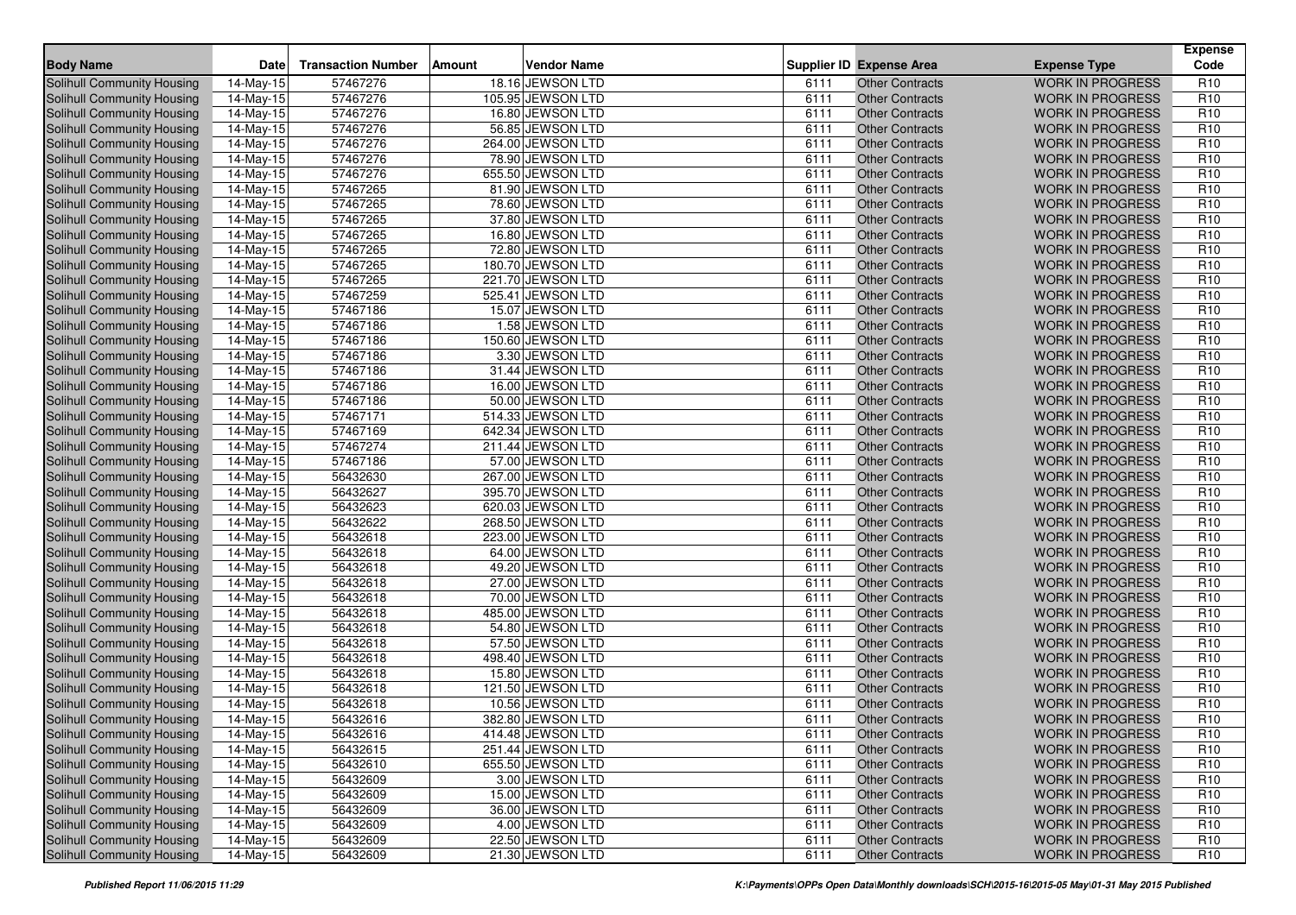| <b>Body Name</b>                  | Date                    | <b>Transaction Number</b> | Amount | <b>Vendor Name</b> |      | <b>Supplier ID Expense Area</b> | <b>Expense Type</b>     | <b>Expense</b><br>Code |
|-----------------------------------|-------------------------|---------------------------|--------|--------------------|------|---------------------------------|-------------------------|------------------------|
| Solihull Community Housing        | 14-May-15               | 57467276                  |        | 18.16 JEWSON LTD   | 6111 | <b>Other Contracts</b>          | <b>WORK IN PROGRESS</b> | R <sub>10</sub>        |
| <b>Solihull Community Housing</b> | 14-May-15               | 57467276                  |        | 105.95 JEWSON LTD  | 6111 | <b>Other Contracts</b>          | <b>WORK IN PROGRESS</b> | R <sub>10</sub>        |
| Solihull Community Housing        | 14-May-15               | 57467276                  |        | 16.80 JEWSON LTD   | 6111 | <b>Other Contracts</b>          | <b>WORK IN PROGRESS</b> | R <sub>10</sub>        |
| Solihull Community Housing        | $\overline{14}$ -May-15 | 57467276                  |        | 56.85 JEWSON LTD   | 6111 | <b>Other Contracts</b>          | <b>WORK IN PROGRESS</b> | R <sub>10</sub>        |
| Solihull Community Housing        | 14-May-15               | 57467276                  |        | 264.00 JEWSON LTD  | 6111 | <b>Other Contracts</b>          | <b>WORK IN PROGRESS</b> | R <sub>10</sub>        |
| Solihull Community Housing        | 14-May-15               | 57467276                  |        | 78.90 JEWSON LTD   | 6111 | <b>Other Contracts</b>          | <b>WORK IN PROGRESS</b> | R <sub>10</sub>        |
| Solihull Community Housing        | 14-May-15               | 57467276                  |        | 655.50 JEWSON LTD  | 6111 | <b>Other Contracts</b>          | <b>WORK IN PROGRESS</b> | R <sub>10</sub>        |
| Solihull Community Housing        | 14-May-15               | 57467265                  |        | 81.90 JEWSON LTD   | 6111 | <b>Other Contracts</b>          | <b>WORK IN PROGRESS</b> | R <sub>10</sub>        |
| Solihull Community Housing        | 14-May-15               | 57467265                  |        | 78.60 JEWSON LTD   | 6111 | <b>Other Contracts</b>          | <b>WORK IN PROGRESS</b> | R <sub>10</sub>        |
| <b>Solihull Community Housing</b> | 14-May-15               | 57467265                  |        | 37.80 JEWSON LTD   | 6111 | <b>Other Contracts</b>          | <b>WORK IN PROGRESS</b> | R <sub>10</sub>        |
| Solihull Community Housing        | 14-May-15               | 57467265                  |        | 16.80 JEWSON LTD   | 6111 | <b>Other Contracts</b>          | <b>WORK IN PROGRESS</b> | R <sub>10</sub>        |
| Solihull Community Housing        | 14-May-15               | 57467265                  |        | 72.80 JEWSON LTD   | 6111 | <b>Other Contracts</b>          | <b>WORK IN PROGRESS</b> | R <sub>10</sub>        |
| Solihull Community Housing        | 14-May-15               | 57467265                  |        | 180.70 JEWSON LTD  | 6111 | <b>Other Contracts</b>          | <b>WORK IN PROGRESS</b> | R <sub>10</sub>        |
| <b>Solihull Community Housing</b> | 14-May-15               | 57467265                  |        | 221.70 JEWSON LTD  | 6111 | <b>Other Contracts</b>          | <b>WORK IN PROGRESS</b> | R <sub>10</sub>        |
| Solihull Community Housing        | $14-May-15$             | 57467259                  |        | 525.41 JEWSON LTD  | 6111 | <b>Other Contracts</b>          | <b>WORK IN PROGRESS</b> | R <sub>10</sub>        |
| Solihull Community Housing        | 14-May-15               | 57467186                  |        | 15.07 JEWSON LTD   | 6111 | <b>Other Contracts</b>          | <b>WORK IN PROGRESS</b> | R <sub>10</sub>        |
| Solihull Community Housing        | $\overline{14}$ -May-15 | 57467186                  |        | 1.58 JEWSON LTD    | 6111 | <b>Other Contracts</b>          | <b>WORK IN PROGRESS</b> | R <sub>10</sub>        |
| Solihull Community Housing        | $14-May-15$             | 57467186                  |        | 150.60 JEWSON LTD  | 6111 | <b>Other Contracts</b>          | <b>WORK IN PROGRESS</b> | R <sub>10</sub>        |
| Solihull Community Housing        | 14-May-15               | 57467186                  |        | 3.30 JEWSON LTD    | 6111 | <b>Other Contracts</b>          | <b>WORK IN PROGRESS</b> | R <sub>10</sub>        |
| Solihull Community Housing        | 14-May-15               | 57467186                  |        | 31.44 JEWSON LTD   | 6111 | <b>Other Contracts</b>          | <b>WORK IN PROGRESS</b> | R <sub>10</sub>        |
| Solihull Community Housing        | 14-May-15               | 57467186                  |        | 16.00 JEWSON LTD   | 6111 | <b>Other Contracts</b>          | <b>WORK IN PROGRESS</b> | R <sub>10</sub>        |
| Solihull Community Housing        | 14-May-15               | 57467186                  |        | 50.00 JEWSON LTD   | 6111 | <b>Other Contracts</b>          | <b>WORK IN PROGRESS</b> | R <sub>10</sub>        |
| Solihull Community Housing        | 14-May-15               | 57467171                  |        | 514.33 JEWSON LTD  | 6111 | <b>Other Contracts</b>          | <b>WORK IN PROGRESS</b> | R <sub>10</sub>        |
| <b>Solihull Community Housing</b> | $\overline{14}$ -May-15 | 57467169                  |        | 642.34 JEWSON LTD  | 6111 | <b>Other Contracts</b>          | <b>WORK IN PROGRESS</b> | R <sub>10</sub>        |
| Solihull Community Housing        | 14-May-15               | 57467274                  |        | 211.44 JEWSON LTD  | 6111 | <b>Other Contracts</b>          | <b>WORK IN PROGRESS</b> | R <sub>10</sub>        |
| Solihull Community Housing        | $14$ -May-15            | 57467186                  |        | 57.00 JEWSON LTD   | 6111 | <b>Other Contracts</b>          | <b>WORK IN PROGRESS</b> | R <sub>10</sub>        |
| <b>Solihull Community Housing</b> | 14-May-15               | 56432630                  |        | 267.00 JEWSON LTD  | 6111 | <b>Other Contracts</b>          | <b>WORK IN PROGRESS</b> | R <sub>10</sub>        |
| Solihull Community Housing        | 14-May-15               | 56432627                  |        | 395.70 JEWSON LTD  | 6111 | <b>Other Contracts</b>          | <b>WORK IN PROGRESS</b> | R <sub>10</sub>        |
| Solihull Community Housing        | $\overline{14}$ -May-15 | 56432623                  |        | 620.03 JEWSON LTD  | 6111 | <b>Other Contracts</b>          | <b>WORK IN PROGRESS</b> | R <sub>10</sub>        |
| Solihull Community Housing        | 14-May-15               | 56432622                  |        | 268.50 JEWSON LTD  | 6111 | <b>Other Contracts</b>          | <b>WORK IN PROGRESS</b> | R <sub>10</sub>        |
| <b>Solihull Community Housing</b> | 14-May-15               | 56432618                  |        | 223.00 JEWSON LTD  | 6111 | <b>Other Contracts</b>          | <b>WORK IN PROGRESS</b> | R <sub>10</sub>        |
| Solihull Community Housing        | 14-May-15               | 56432618                  |        | 64.00 JEWSON LTD   | 6111 | <b>Other Contracts</b>          | <b>WORK IN PROGRESS</b> | R <sub>10</sub>        |
| Solihull Community Housing        | 14-May-15               | 56432618                  |        | 49.20 JEWSON LTD   | 6111 | <b>Other Contracts</b>          | <b>WORK IN PROGRESS</b> | R <sub>10</sub>        |
| Solihull Community Housing        | 14-May-15               | 56432618                  |        | 27.00 JEWSON LTD   | 6111 | <b>Other Contracts</b>          | <b>WORK IN PROGRESS</b> | R <sub>10</sub>        |
| Solihull Community Housing        | 14-May-15               | 56432618                  |        | 70.00 JEWSON LTD   | 6111 | <b>Other Contracts</b>          | <b>WORK IN PROGRESS</b> | R <sub>10</sub>        |
| <b>Solihull Community Housing</b> | 14-May-15               | 56432618                  |        | 485.00 JEWSON LTD  | 6111 | <b>Other Contracts</b>          | <b>WORK IN PROGRESS</b> | R <sub>10</sub>        |
| Solihull Community Housing        | 14-May-15               | 56432618                  |        | 54.80 JEWSON LTD   | 6111 | <b>Other Contracts</b>          | <b>WORK IN PROGRESS</b> | R <sub>10</sub>        |
| Solihull Community Housing        | 14-May-15               | 56432618                  |        | 57.50 JEWSON LTD   | 6111 | <b>Other Contracts</b>          | WORK IN PROGRESS        | R <sub>10</sub>        |
| <b>Solihull Community Housing</b> | 14-May-15               | 56432618                  |        | 498.40 JEWSON LTD  | 6111 | <b>Other Contracts</b>          | <b>WORK IN PROGRESS</b> | R <sub>10</sub>        |
| Solihull Community Housing        | 14-May-15               | 56432618                  |        | 15.80 JEWSON LTD   | 6111 | <b>Other Contracts</b>          | <b>WORK IN PROGRESS</b> | R <sub>10</sub>        |
| Solihull Community Housing        | 14-May-15               | 56432618                  |        | 121.50 JEWSON LTD  | 6111 | <b>Other Contracts</b>          | <b>WORK IN PROGRESS</b> | R <sub>10</sub>        |
| Solihull Community Housing        | 14-May-15               | 56432618                  |        | 10.56 JEWSON LTD   | 6111 | <b>Other Contracts</b>          | <b>WORK IN PROGRESS</b> | R <sub>10</sub>        |
| Solihull Community Housing        | 14-May-15               | 56432616                  |        | 382.80 JEWSON LTD  | 6111 | <b>Other Contracts</b>          | <b>WORK IN PROGRESS</b> | R <sub>10</sub>        |
| Solihull Community Housing        | 14-May-15               | 56432616                  |        | 414.48 JEWSON LTD  | 6111 | Other Contracts                 | <b>WORK IN PROGRESS</b> | R <sub>10</sub>        |
| Solihull Community Housing        | 14-May-15               | 56432615                  |        | 251.44 JEWSON LTD  | 6111 | <b>Other Contracts</b>          | <b>WORK IN PROGRESS</b> | R <sub>10</sub>        |
| Solihull Community Housing        | 14-May-15               | 56432610                  |        | 655.50 JEWSON LTD  | 6111 | <b>Other Contracts</b>          | <b>WORK IN PROGRESS</b> | R <sub>10</sub>        |
| Solihull Community Housing        | 14-May-15               | 56432609                  |        | 3.00 JEWSON LTD    | 6111 | <b>Other Contracts</b>          | <b>WORK IN PROGRESS</b> | R <sub>10</sub>        |
| Solihull Community Housing        | 14-May-15               | 56432609                  |        | 15.00 JEWSON LTD   | 6111 | <b>Other Contracts</b>          | <b>WORK IN PROGRESS</b> | R <sub>10</sub>        |
| Solihull Community Housing        | 14-May-15               | 56432609                  |        | 36.00 JEWSON LTD   | 6111 | <b>Other Contracts</b>          | <b>WORK IN PROGRESS</b> | R <sub>10</sub>        |
| Solihull Community Housing        | 14-May-15               | 56432609                  |        | 4.00 JEWSON LTD    | 6111 | <b>Other Contracts</b>          | <b>WORK IN PROGRESS</b> | R <sub>10</sub>        |
| Solihull Community Housing        | 14-May-15               | 56432609                  |        | 22.50 JEWSON LTD   | 6111 | <b>Other Contracts</b>          | <b>WORK IN PROGRESS</b> | R <sub>10</sub>        |
| Solihull Community Housing        | 14-May-15               | 56432609                  |        | 21.30 JEWSON LTD   | 6111 | <b>Other Contracts</b>          | WORK IN PROGRESS        | R <sub>10</sub>        |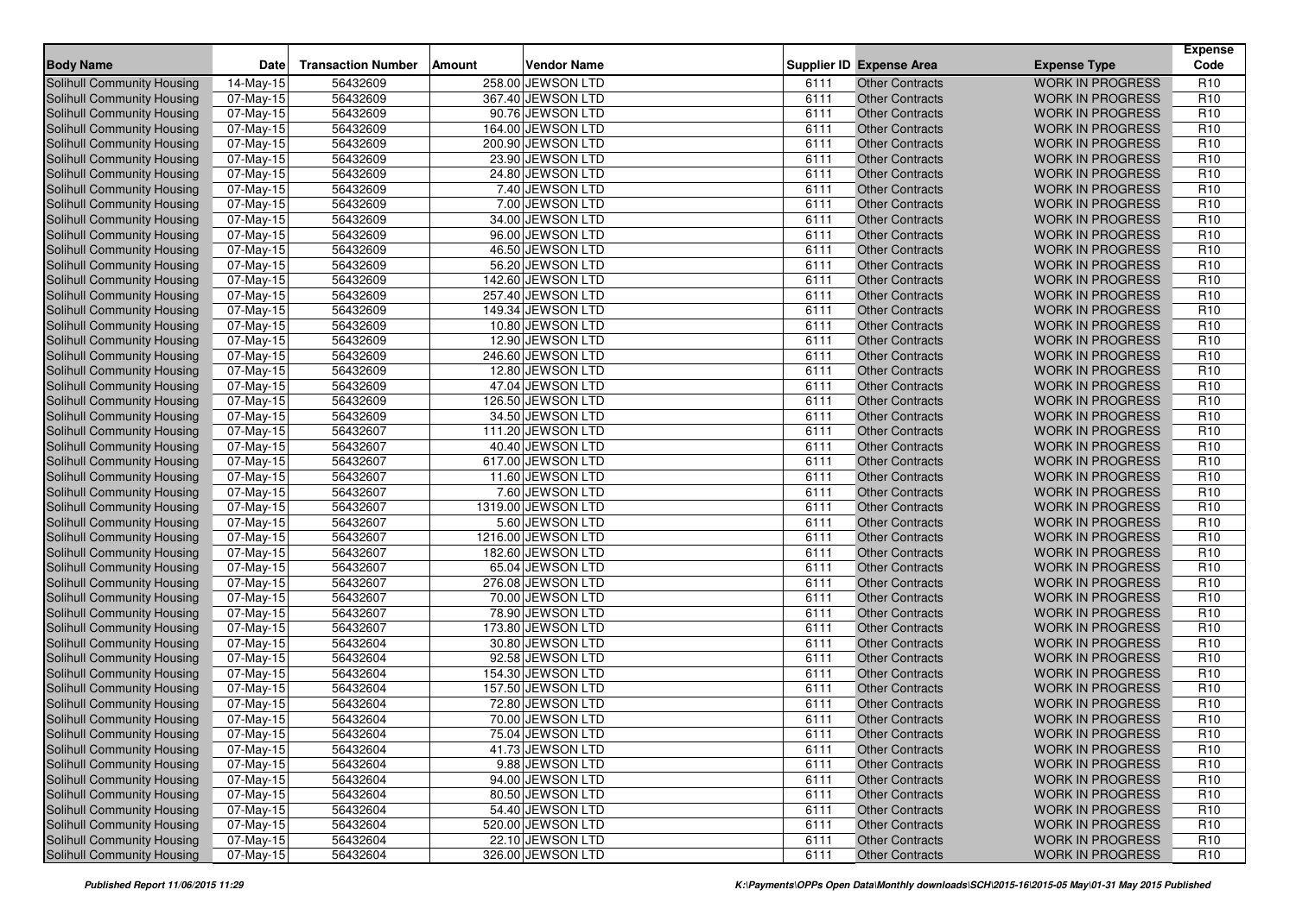| <b>Body Name</b>                  | <b>Date</b>             | <b>Transaction Number</b> | Amount | <b>Vendor Name</b> |      | <b>Supplier ID Expense Area</b> | <b>Expense Type</b>     | <b>Expense</b><br>Code |
|-----------------------------------|-------------------------|---------------------------|--------|--------------------|------|---------------------------------|-------------------------|------------------------|
| Solihull Community Housing        | 14-May-15               | 56432609                  |        | 258.00 JEWSON LTD  | 6111 | <b>Other Contracts</b>          | <b>WORK IN PROGRESS</b> | R <sub>10</sub>        |
| <b>Solihull Community Housing</b> | 07-May-15               | 56432609                  |        | 367.40 JEWSON LTD  | 6111 | <b>Other Contracts</b>          | <b>WORK IN PROGRESS</b> | R <sub>10</sub>        |
| <b>Solihull Community Housing</b> | 07-May-15               | 56432609                  |        | 90.76 JEWSON LTD   | 6111 | <b>Other Contracts</b>          | <b>WORK IN PROGRESS</b> | R <sub>10</sub>        |
| Solihull Community Housing        | $\overline{0}$ 7-May-15 | 56432609                  |        | 164.00 JEWSON LTD  | 6111 | <b>Other Contracts</b>          | <b>WORK IN PROGRESS</b> | R <sub>10</sub>        |
| Solihull Community Housing        | 07-May-15               | 56432609                  |        | 200.90 JEWSON LTD  | 6111 | <b>Other Contracts</b>          | <b>WORK IN PROGRESS</b> | R <sub>10</sub>        |
| Solihull Community Housing        | 07-May-15               | 56432609                  |        | 23.90 JEWSON LTD   | 6111 | <b>Other Contracts</b>          | <b>WORK IN PROGRESS</b> | R <sub>10</sub>        |
| Solihull Community Housing        | 07-May-15               | 56432609                  |        | 24.80 JEWSON LTD   | 6111 | <b>Other Contracts</b>          | <b>WORK IN PROGRESS</b> | R <sub>10</sub>        |
| Solihull Community Housing        | 07-May-15               | 56432609                  |        | 7.40 JEWSON LTD    | 6111 | <b>Other Contracts</b>          | <b>WORK IN PROGRESS</b> | R <sub>10</sub>        |
| Solihull Community Housing        | 07-May-15               | 56432609                  |        | 7.00 JEWSON LTD    | 6111 | <b>Other Contracts</b>          | <b>WORK IN PROGRESS</b> | R <sub>10</sub>        |
| <b>Solihull Community Housing</b> | 07-May-15               | 56432609                  |        | 34.00 JEWSON LTD   | 6111 | <b>Other Contracts</b>          | <b>WORK IN PROGRESS</b> | R <sub>10</sub>        |
| <b>Solihull Community Housing</b> | 07-May-15               | 56432609                  |        | 96.00 JEWSON LTD   | 6111 | <b>Other Contracts</b>          | <b>WORK IN PROGRESS</b> | R <sub>10</sub>        |
| Solihull Community Housing        | 07-May-15               | 56432609                  |        | 46.50 JEWSON LTD   | 6111 | <b>Other Contracts</b>          | <b>WORK IN PROGRESS</b> | R <sub>10</sub>        |
| <b>Solihull Community Housing</b> | 07-May-15               | 56432609                  |        | 56.20 JEWSON LTD   | 6111 | <b>Other Contracts</b>          | <b>WORK IN PROGRESS</b> | R <sub>10</sub>        |
| Solihull Community Housing        | 07-May-15               | 56432609                  |        | 142.60 JEWSON LTD  | 6111 | <b>Other Contracts</b>          | <b>WORK IN PROGRESS</b> | R <sub>10</sub>        |
| Solihull Community Housing        | 07-May-15               | 56432609                  |        | 257.40 JEWSON LTD  | 6111 | <b>Other Contracts</b>          | <b>WORK IN PROGRESS</b> | R <sub>10</sub>        |
| Solihull Community Housing        | 07-May-15               | 56432609                  |        | 149.34 JEWSON LTD  | 6111 | <b>Other Contracts</b>          | <b>WORK IN PROGRESS</b> | R <sub>10</sub>        |
| Solihull Community Housing        | 07-May-15               | 56432609                  |        | 10.80 JEWSON LTD   | 6111 | <b>Other Contracts</b>          | <b>WORK IN PROGRESS</b> | R <sub>10</sub>        |
| Solihull Community Housing        | 07-May-15               | 56432609                  |        | 12.90 JEWSON LTD   | 6111 | <b>Other Contracts</b>          | <b>WORK IN PROGRESS</b> | R <sub>10</sub>        |
| Solihull Community Housing        | 07-May-15               | 56432609                  |        | 246.60 JEWSON LTD  | 6111 | <b>Other Contracts</b>          | <b>WORK IN PROGRESS</b> | R <sub>10</sub>        |
| Solihull Community Housing        | 07-May-15               | 56432609                  |        | 12.80 JEWSON LTD   | 6111 | <b>Other Contracts</b>          | <b>WORK IN PROGRESS</b> | R <sub>10</sub>        |
| <b>Solihull Community Housing</b> | 07-May-15               | 56432609                  |        | 47.04 JEWSON LTD   | 6111 | <b>Other Contracts</b>          | <b>WORK IN PROGRESS</b> | R <sub>10</sub>        |
| <b>Solihull Community Housing</b> | 07-May-15               | 56432609                  |        | 126.50 JEWSON LTD  | 6111 | <b>Other Contracts</b>          | <b>WORK IN PROGRESS</b> | R <sub>10</sub>        |
| Solihull Community Housing        | 07-May-15               | 56432609                  |        | 34.50 JEWSON LTD   | 6111 | <b>Other Contracts</b>          | <b>WORK IN PROGRESS</b> | R <sub>10</sub>        |
| <b>Solihull Community Housing</b> | 07-May-15               | 56432607                  |        | 111.20 JEWSON LTD  | 6111 | <b>Other Contracts</b>          | <b>WORK IN PROGRESS</b> | R <sub>10</sub>        |
| <b>Solihull Community Housing</b> | 07-May-15               | 56432607                  |        | 40.40 JEWSON LTD   | 6111 | <b>Other Contracts</b>          | <b>WORK IN PROGRESS</b> | R <sub>10</sub>        |
| Solihull Community Housing        | 07-May-15               | 56432607                  |        | 617.00 JEWSON LTD  | 6111 | <b>Other Contracts</b>          | <b>WORK IN PROGRESS</b> | R <sub>10</sub>        |
| <b>Solihull Community Housing</b> | 07-May-15               | 56432607                  |        | 11.60 JEWSON LTD   | 6111 | <b>Other Contracts</b>          | <b>WORK IN PROGRESS</b> | R <sub>10</sub>        |
| Solihull Community Housing        | $\overline{0}$ 7-May-15 | 56432607                  |        | 7.60 JEWSON LTD    | 6111 | <b>Other Contracts</b>          | <b>WORK IN PROGRESS</b> | R <sub>10</sub>        |
| Solihull Community Housing        | 07-May-15               | 56432607                  |        | 1319.00 JEWSON LTD | 6111 | <b>Other Contracts</b>          | <b>WORK IN PROGRESS</b> | R <sub>10</sub>        |
| Solihull Community Housing        | 07-May-15               | 56432607                  |        | 5.60 JEWSON LTD    | 6111 | <b>Other Contracts</b>          | <b>WORK IN PROGRESS</b> | R <sub>10</sub>        |
| Solihull Community Housing        | 07-May-15               | 56432607                  |        | 1216.00 JEWSON LTD | 6111 | <b>Other Contracts</b>          | <b>WORK IN PROGRESS</b> | R <sub>10</sub>        |
| Solihull Community Housing        | 07-May-15               | 56432607                  |        | 182.60 JEWSON LTD  | 6111 | <b>Other Contracts</b>          | <b>WORK IN PROGRESS</b> | R <sub>10</sub>        |
| Solihull Community Housing        | 07-May-15               | 56432607                  |        | 65.04 JEWSON LTD   | 6111 | <b>Other Contracts</b>          | <b>WORK IN PROGRESS</b> | R <sub>10</sub>        |
| Solihull Community Housing        | 07-May-15               | 56432607                  |        | 276.08 JEWSON LTD  | 6111 | <b>Other Contracts</b>          | <b>WORK IN PROGRESS</b> | R <sub>10</sub>        |
| <b>Solihull Community Housing</b> | 07-May-15               | 56432607                  |        | 70.00 JEWSON LTD   | 6111 | <b>Other Contracts</b>          | <b>WORK IN PROGRESS</b> | R <sub>10</sub>        |
| Solihull Community Housing        | 07-May-15               | 56432607                  |        | 78.90 JEWSON LTD   | 6111 | <b>Other Contracts</b>          | <b>WORK IN PROGRESS</b> | R <sub>10</sub>        |
| Solihull Community Housing        | 07-May-15               | 56432607                  |        | 173.80 JEWSON LTD  | 6111 | <b>Other Contracts</b>          | <b>WORK IN PROGRESS</b> | R <sub>10</sub>        |
| Solihull Community Housing        | 07-May-15               | 56432604                  |        | 30.80 JEWSON LTD   | 6111 | <b>Other Contracts</b>          | <b>WORK IN PROGRESS</b> | R <sub>10</sub>        |
| Solihull Community Housing        | 07-May-15               | 56432604                  |        | 92.58 JEWSON LTD   | 6111 | <b>Other Contracts</b>          | <b>WORK IN PROGRESS</b> | R <sub>10</sub>        |
| Solihull Community Housing        | 07-May-15               | 56432604                  |        | 154.30 JEWSON LTD  | 6111 | <b>Other Contracts</b>          | <b>WORK IN PROGRESS</b> | R <sub>10</sub>        |
| Solihull Community Housing        | 07-May-15               | 56432604                  |        | 157.50 JEWSON LTD  | 6111 | <b>Other Contracts</b>          | <b>WORK IN PROGRESS</b> | R <sub>10</sub>        |
| Solihull Community Housing        | 07-May-15               | 56432604                  |        | 72.80 JEWSON LTD   | 6111 | <b>Other Contracts</b>          | <b>WORK IN PROGRESS</b> | R <sub>10</sub>        |
| Solihull Community Housing        | 07-May-15               | 56432604                  |        | 70.00 JEWSON LTD   | 6111 | <b>Other Contracts</b>          | <b>WORK IN PROGRESS</b> | R <sub>10</sub>        |
| Solihull Community Housing        | 07-May-15               | 56432604                  |        | 75.04 JEWSON LTD   | 6111 | Other Contracts                 | WORK IN PROGRESS        | R <sub>10</sub>        |
| Solihull Community Housing        | 07-May-15               | 56432604                  |        | 41.73 JEWSON LTD   | 6111 | <b>Other Contracts</b>          | <b>WORK IN PROGRESS</b> | R <sub>10</sub>        |
| Solihull Community Housing        | 07-May-15               | 56432604                  |        | 9.88 JEWSON LTD    | 6111 | <b>Other Contracts</b>          | <b>WORK IN PROGRESS</b> | R <sub>10</sub>        |
| Solihull Community Housing        | 07-May-15               | 56432604                  |        | 94.00 JEWSON LTD   | 6111 | <b>Other Contracts</b>          | <b>WORK IN PROGRESS</b> | R <sub>10</sub>        |
| Solihull Community Housing        | 07-May-15               | 56432604                  |        | 80.50 JEWSON LTD   | 6111 | <b>Other Contracts</b>          | <b>WORK IN PROGRESS</b> | R <sub>10</sub>        |
| Solihull Community Housing        | 07-May-15               | 56432604                  |        | 54.40 JEWSON LTD   | 6111 | <b>Other Contracts</b>          | <b>WORK IN PROGRESS</b> | R <sub>10</sub>        |
| Solihull Community Housing        | 07-May-15               | 56432604                  |        | 520.00 JEWSON LTD  | 6111 | <b>Other Contracts</b>          | <b>WORK IN PROGRESS</b> | R <sub>10</sub>        |
| Solihull Community Housing        | 07-May-15               | 56432604                  |        | 22.10 JEWSON LTD   | 6111 | <b>Other Contracts</b>          | <b>WORK IN PROGRESS</b> | R <sub>10</sub>        |
| Solihull Community Housing        | 07-May-15               | 56432604                  |        | 326.00 JEWSON LTD  | 6111 | <b>Other Contracts</b>          | WORK IN PROGRESS        | R <sub>10</sub>        |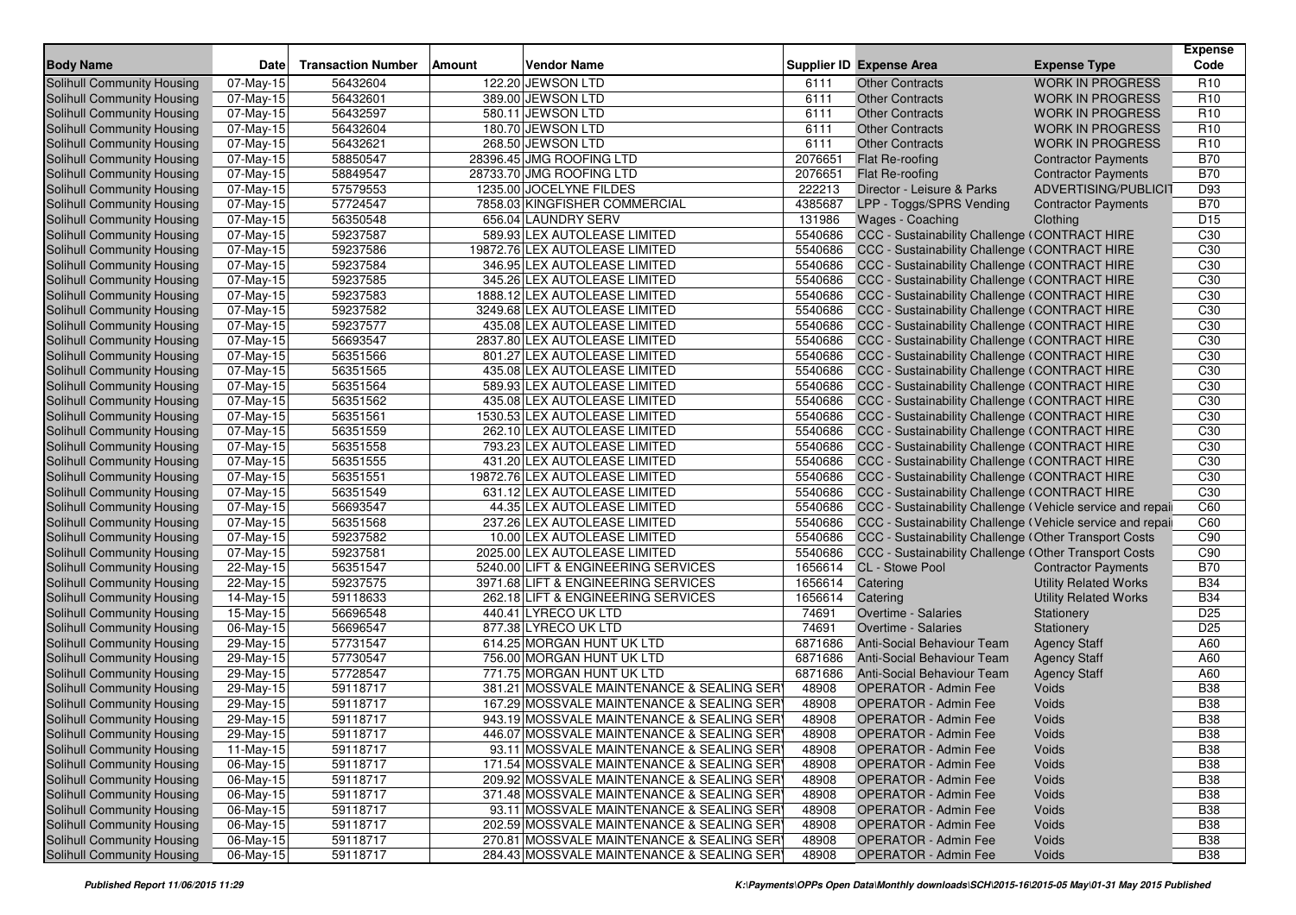| <b>Body Name</b>                                         | <b>Date</b>             | <b>Transaction Number</b> | Amount | <b>Vendor Name</b>                                |                    | Supplier ID Expense Area                                  | <b>Expense Type</b>          | <b>Expense</b><br>Code        |
|----------------------------------------------------------|-------------------------|---------------------------|--------|---------------------------------------------------|--------------------|-----------------------------------------------------------|------------------------------|-------------------------------|
| <b>Solihull Community Housing</b>                        | 07-May-15               | 56432604                  |        | 122.20 JEWSON LTD                                 | 6111               | <b>Other Contracts</b>                                    | <b>WORK IN PROGRESS</b>      | R <sub>10</sub>               |
| Solihull Community Housing                               | 07-May-15               | 56432601                  |        | 389.00 JEWSON LTD                                 | 6111               | <b>Other Contracts</b>                                    | <b>WORK IN PROGRESS</b>      | R <sub>10</sub>               |
| Solihull Community Housing                               | $\overline{0}$ 7-May-15 | 56432597                  |        | 580.11 JEWSON LTD                                 | 6111               | <b>Other Contracts</b>                                    | <b>WORK IN PROGRESS</b>      | R <sub>10</sub>               |
| Solihull Community Housing                               | 07-May-15               | 56432604                  |        | 180.70 JEWSON LTD                                 | 6111               | <b>Other Contracts</b>                                    | <b>WORK IN PROGRESS</b>      | R <sub>10</sub>               |
| Solihull Community Housing                               | 07-May-15               | 56432621                  |        | 268.50 JEWSON LTD                                 | 6111               | <b>Other Contracts</b>                                    | <b>WORK IN PROGRESS</b>      | R <sub>10</sub>               |
| Solihull Community Housing                               | 07-May-15               | 58850547                  |        | 28396.45 JMG ROOFING LTD                          | 2076651            | Flat Re-roofing                                           | <b>Contractor Payments</b>   | <b>B70</b>                    |
| Solihull Community Housing                               | 07-May-15               | 58849547                  |        | 28733.70 JMG ROOFING LTD                          | 2076651            | Flat Re-roofing                                           | <b>Contractor Payments</b>   | <b>B70</b>                    |
| Solihull Community Housing                               | 07-May-15               | 57579553                  |        | 1235.00 JOCELYNE FILDES                           | 222213             | Director - Leisure & Parks                                | ADVERTISING/PUBLICIT         | D93                           |
| Solihull Community Housing                               | 07-May-15               | 57724547                  |        | 7858.03 KINGFISHER COMMERCIAL                     | 4385687            | LPP - Toggs/SPRS Vending                                  | <b>Contractor Payments</b>   | <b>B70</b>                    |
| Solihull Community Housing                               | 07-May-15               | 56350548                  |        | 656.04 LAUNDRY SERV                               | 131986             | Wages - Coaching                                          | Clothing                     | D <sub>15</sub>               |
| Solihull Community Housing                               | 07-May-15               | 59237587                  |        | 589.93 LEX AUTOLEASE LIMITED                      | 5540686            | CCC - Sustainability Challenge (CONTRACT HIRE             |                              | C <sub>30</sub>               |
| Solihull Community Housing                               | $\overline{0}$ 7-May-15 | 59237586                  |        | 19872.76 LEX AUTOLEASE LIMITED                    | 5540686            | CCC - Sustainability Challenge (CONTRACT HIRE             |                              | C30                           |
| Solihull Community Housing                               | 07-May-15               | 59237584                  |        | 346.95 LEX AUTOLEASE LIMITED                      | 5540686            | CCC - Sustainability Challenge (CONTRACT HIRE             |                              | C30                           |
| Solihull Community Housing                               | $\overline{0}$ 7-May-15 | 59237585                  |        | 345.26 LEX AUTOLEASE LIMITED                      | 5540686            | CCC - Sustainability Challenge (CONTRACT HIRE             |                              | C30                           |
| Solihull Community Housing                               | 07-May-15               | 59237583                  |        | 1888.12 LEX AUTOLEASE LIMITED                     | 5540686            | <b>CCC - Sustainability Challenge (CONTRACT HIRE</b>      |                              | C30                           |
| Solihull Community Housing                               | 07-May-15               | 59237582                  |        | 3249.68 LEX AUTOLEASE LIMITED                     | 5540686            | CCC - Sustainability Challenge (CONTRACT HIRE             |                              | C30                           |
| Solihull Community Housing                               | 07-May-15               | 59237577                  |        | 435.08 LEX AUTOLEASE LIMITED                      | 5540686            | CCC - Sustainability Challenge (CONTRACT HIRE             |                              | C30                           |
| Solihull Community Housing                               | 07-May-15               | 56693547                  |        | 2837.80 LEX AUTOLEASE LIMITED                     | 5540686            | CCC - Sustainability Challenge (CONTRACT HIRE             |                              | C30                           |
| Solihull Community Housing                               | 07-May-15               | 56351566                  |        | 801.27 LEX AUTOLEASE LIMITED                      | 5540686            | CCC - Sustainability Challenge (CONTRACT HIRE             |                              | C <sub>30</sub>               |
| <b>Solihull Community Housing</b>                        | 07-May-15               | 56351565                  |        | 435.08 LEX AUTOLEASE LIMITED                      | 5540686            | CCC - Sustainability Challenge (CONTRACT HIRE             |                              | C <sub>30</sub>               |
| Solihull Community Housing                               | 07-May-15               | 56351564                  |        | 589.93 LEX AUTOLEASE LIMITED                      | 5540686            | CCC - Sustainability Challenge (CONTRACT HIRE             |                              | C30                           |
| Solihull Community Housing                               | 07-May-15               | 56351562                  |        | 435.08 LEX AUTOLEASE LIMITED                      | 5540686            | CCC - Sustainability Challenge (CONTRACT HIRE             |                              | C30                           |
| Solihull Community Housing                               | 07-May-15               | 56351561                  |        | 1530.53 LEX AUTOLEASE LIMITED                     | 5540686            | CCC - Sustainability Challenge (CONTRACT HIRE             |                              | C30                           |
| Solihull Community Housing                               | 07-May-15               | 56351559                  |        | 262.10 LEX AUTOLEASE LIMITED                      | 5540686            | CCC - Sustainability Challenge (CONTRACT HIRE             |                              | C30                           |
| Solihull Community Housing                               | 07-May-15               | 56351558                  |        | 793.23 LEX AUTOLEASE LIMITED                      | 5540686            | CCC - Sustainability Challenge (CONTRACT HIRE             |                              | C30                           |
| Solihull Community Housing                               | 07-May-15               | 56351555                  |        | 431.20 LEX AUTOLEASE LIMITED                      | 5540686            | CCC - Sustainability Challenge (CONTRACT HIRE             |                              | C30                           |
| Solihull Community Housing                               | 07-May-15               | 56351551                  |        | 19872.76 LEX AUTOLEASE LIMITED                    | 5540686            | CCC - Sustainability Challenge (CONTRACT HIRE             |                              | C <sub>30</sub>               |
| Solihull Community Housing                               | 07-May-15               | 56351549                  |        | 631.12 LEX AUTOLEASE LIMITED                      | 5540686            | CCC - Sustainability Challenge (CONTRACT HIRE             |                              | C <sub>30</sub>               |
| Solihull Community Housing                               | 07-May-15               | 56693547                  |        | 44.35 LEX AUTOLEASE LIMITED                       | 5540686            | CCC - Sustainability Challenge (Vehicle service and repai |                              | C60                           |
| Solihull Community Housing                               | 07-May-15               | 56351568                  |        | 237.26 LEX AUTOLEASE LIMITED                      | 5540686            | CCC - Sustainability Challenge (Vehicle service and repai |                              | C60                           |
| Solihull Community Housing                               | 07-May-15               | 59237582                  |        | 10.00 LEX AUTOLEASE LIMITED                       | 5540686            | CCC - Sustainability Challenge (Other Transport Costs     |                              | C90                           |
| Solihull Community Housing                               | 07-May-15               | 59237581                  |        | 2025.00 LEX AUTOLEASE LIMITED                     | 5540686            | CCC - Sustainability Challenge (Other Transport Costs     |                              | C90                           |
| Solihull Community Housing                               | 22-May-15               | 56351547                  |        | 5240.00 LIFT & ENGINEERING SERVICES               | 1656614            | CL - Stowe Pool                                           | <b>Contractor Payments</b>   | <b>B70</b>                    |
| Solihull Community Housing                               | 22-May-15               | 59237575                  |        | 3971.68 LIFT & ENGINEERING SERVICES               | 1656614            | Catering                                                  | <b>Utility Related Works</b> | <b>B34</b>                    |
| Solihull Community Housing                               | 14-May-15               | 59118633                  |        | 262.18 LIFT & ENGINEERING SERVICES                | 1656614<br>74691   | Catering                                                  | <b>Utility Related Works</b> | <b>B34</b><br>D <sub>25</sub> |
| Solihull Community Housing                               | 15-May-15               | 56696548                  |        | 440.41 LYRECO UK LTD                              | 74691              | Overtime - Salaries                                       | Stationery                   |                               |
| Solihull Community Housing<br>Solihull Community Housing | 06-May-15<br>29-May-15  | 56696547<br>57731547      |        | 877.38 LYRECO UK LTD<br>614.25 MORGAN HUNT UK LTD | 6871686            | Overtime - Salaries<br>Anti-Social Behaviour Team         | Stationery                   | D <sub>25</sub><br>A60        |
|                                                          |                         | 57730547                  |        | 756.00 MORGAN HUNT UK LTD                         |                    |                                                           | <b>Agency Staff</b>          | A60                           |
| Solihull Community Housing<br>Solihull Community Housing | 29-May-15               | 57728547                  |        | 771.75 MORGAN HUNT UK LTD                         | 6871686<br>6871686 | Anti-Social Behaviour Team<br>Anti-Social Behaviour Team  | <b>Agency Staff</b>          | A60                           |
| Solihull Community Housing                               | 29-May-15<br>29-May-15  | 59118717                  |        | 381.21 MOSSVALE MAINTENANCE & SEALING SER         | 48908              | <b>OPERATOR - Admin Fee</b>                               | <b>Agency Staff</b><br>Voids | <b>B38</b>                    |
| Solihull Community Housing                               | 29-May-15               | 59118717                  |        | 167.29 MOSSVALE MAINTENANCE & SEALING SER         | 48908              | <b>OPERATOR - Admin Fee</b>                               | Voids                        | <b>B38</b>                    |
| Solihull Community Housing                               | 29-May-15               | 59118717                  |        | 943.19 MOSSVALE MAINTENANCE & SEALING SER         | 48908              | <b>OPERATOR - Admin Fee</b>                               | Voids                        | <b>B38</b>                    |
| <b>Solihull Community Housing</b>                        | 29-May-15               | 59118717                  |        | 446.07 MOSSVALE MAINTENANCE & SEALING SER         | 48908              | OPERATOR - Admin Fee                                      | Voids                        | <b>B38</b>                    |
| Solihull Community Housing                               | 11-May-15               | 59118717                  |        | 93.11 MOSSVALE MAINTENANCE & SEALING SER)         | 48908              | <b>OPERATOR - Admin Fee</b>                               | Voids                        | <b>B38</b>                    |
| Solihull Community Housing                               | 06-May-15               | 59118717                  |        | 171.54 MOSSVALE MAINTENANCE & SEALING SER         | 48908              | <b>OPERATOR - Admin Fee</b>                               | Voids                        | <b>B38</b>                    |
| Solihull Community Housing                               | 06-May-15               | 59118717                  |        | 209.92 MOSSVALE MAINTENANCE & SEALING SER         | 48908              | <b>OPERATOR - Admin Fee</b>                               | Voids                        | <b>B38</b>                    |
| Solihull Community Housing                               | 06-May-15               | 59118717                  |        | 371.48 MOSSVALE MAINTENANCE & SEALING SER         | 48908              | <b>OPERATOR - Admin Fee</b>                               | Voids                        | <b>B38</b>                    |
| Solihull Community Housing                               | 06-May-15               | 59118717                  |        | 93.11 MOSSVALE MAINTENANCE & SEALING SER)         | 48908              | <b>OPERATOR - Admin Fee</b>                               | Voids                        | <b>B38</b>                    |
| Solihull Community Housing                               | 06-May-15               | 59118717                  |        | 202.59 MOSSVALE MAINTENANCE & SEALING SERY        | 48908              | <b>OPERATOR - Admin Fee</b>                               | Voids                        | <b>B38</b>                    |
| Solihull Community Housing                               | 06-May-15               | 59118717                  |        | 270.81 MOSSVALE MAINTENANCE & SEALING SER)        | 48908              | <b>OPERATOR - Admin Fee</b>                               | Voids                        | <b>B38</b>                    |
| Solihull Community Housing                               | 06-May-15               | 59118717                  |        | 284.43 MOSSVALE MAINTENANCE & SEALING SER         | 48908              | <b>OPERATOR - Admin Fee</b>                               | Voids                        | <b>B38</b>                    |
|                                                          |                         |                           |        |                                                   |                    |                                                           |                              |                               |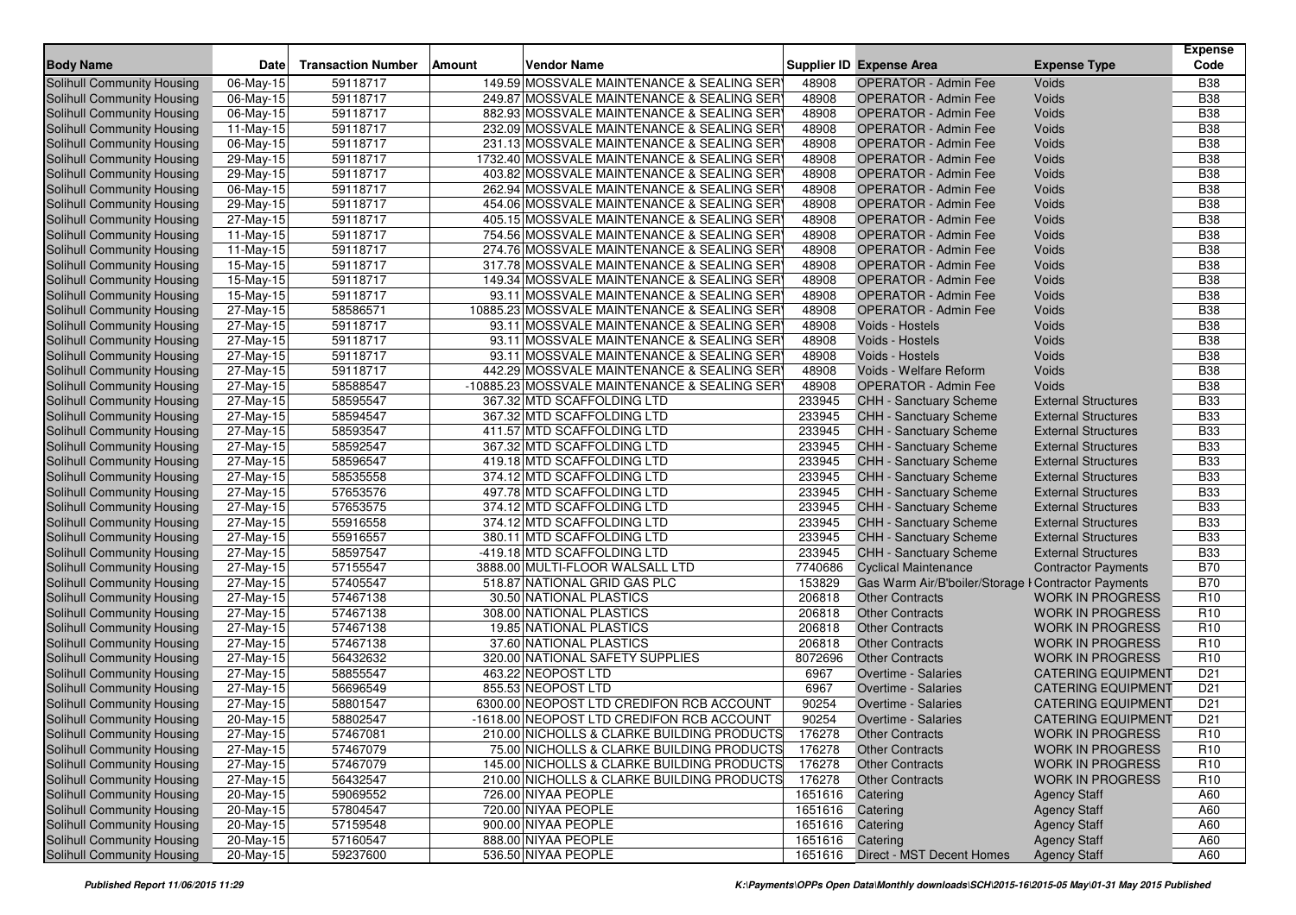| <b>Transaction Number</b><br><b>Vendor Name</b><br><b>Supplier ID Expense Area</b><br><b>Date</b><br>Amount                                                                                                                                                                                              | <b>Expense</b><br>Code                       |
|----------------------------------------------------------------------------------------------------------------------------------------------------------------------------------------------------------------------------------------------------------------------------------------------------------|----------------------------------------------|
| <b>Body Name</b><br><b>Expense Type</b>                                                                                                                                                                                                                                                                  |                                              |
| <b>Solihull Community Housing</b><br>06-May-15<br>59118717<br>149.59 MOSSVALE MAINTENANCE & SEALING SERY<br><b>OPERATOR - Admin Fee</b><br>Voids<br>48908                                                                                                                                                | <b>B38</b>                                   |
| 59118717<br>249.87 MOSSVALE MAINTENANCE & SEALING SERY<br>48908<br>Solihull Community Housing<br>06-May-15<br><b>OPERATOR - Admin Fee</b><br>Voids                                                                                                                                                       | <b>B38</b>                                   |
| 59118717<br>48908<br>Voids<br>Solihull Community Housing<br>06-May-15<br>882.93 MOSSVALE MAINTENANCE & SEALING SER<br><b>OPERATOR - Admin Fee</b><br>232.09 MOSSVALE MAINTENANCE & SEALING SER                                                                                                           | <b>B38</b>                                   |
| 59118717<br>48908<br>Solihull Community Housing<br>11-May-15<br><b>OPERATOR - Admin Fee</b><br>Voids                                                                                                                                                                                                     | <b>B38</b><br><b>B38</b>                     |
| 59118717<br>48908<br>Solihull Community Housing<br>06-May-15<br>231.13 MOSSVALE MAINTENANCE & SEALING SER<br><b>OPERATOR - Admin Fee</b><br>Voids<br>59118717<br>1732.40 MOSSVALE MAINTENANCE & SEALING SERY<br><b>OPERATOR - Admin Fee</b><br>Voids<br>Solihull Community Housing<br>29-May-15<br>48908 | <b>B38</b>                                   |
| 59118717<br>403.82 MOSSVALE MAINTENANCE & SEALING SER<br>48908<br>Solihull Community Housing<br>29-May-15<br><b>OPERATOR - Admin Fee</b><br>Voids                                                                                                                                                        | <b>B38</b>                                   |
| 59118717<br>Solihull Community Housing<br>262.94 MOSSVALE MAINTENANCE & SEALING SERY<br>48908<br><b>OPERATOR - Admin Fee</b><br>Voids<br>06-May-15                                                                                                                                                       | <b>B38</b>                                   |
| 59118717<br>454.06 MOSSVALE MAINTENANCE & SEALING SERY<br>48908<br>Solihull Community Housing<br>29-May-15<br><b>OPERATOR - Admin Fee</b><br>Voids                                                                                                                                                       | <b>B38</b>                                   |
| 59118717<br>48908<br>Solihull Community Housing<br>405.15 MOSSVALE MAINTENANCE & SEALING SER<br><b>OPERATOR - Admin Fee</b><br>Voids<br>27-May-15                                                                                                                                                        | <b>B38</b>                                   |
| 59118717<br>48908<br>Voids<br>Solihull Community Housing<br>11-May-15<br>754.56 MOSSVALE MAINTENANCE & SEALING SER<br><b>OPERATOR - Admin Fee</b>                                                                                                                                                        | <b>B38</b>                                   |
| $11-May-15$<br>59118717<br>274.76 MOSSVALE MAINTENANCE & SEALING SER<br>48908<br>Solihull Community Housing<br><b>OPERATOR - Admin Fee</b><br>Voids                                                                                                                                                      | <b>B38</b>                                   |
| 48908<br>Solihull Community Housing<br>59118717<br>317.78 MOSSVALE MAINTENANCE & SEALING SER<br><b>OPERATOR - Admin Fee</b><br>Voids<br>15-May-15                                                                                                                                                        | <b>B38</b>                                   |
| 59118717<br>149.34 MOSSVALE MAINTENANCE & SEALING SER<br>48908<br><b>OPERATOR - Admin Fee</b><br>Voids<br>Solihull Community Housing<br>15-May-15                                                                                                                                                        | <b>B38</b>                                   |
| 59118717<br>48908<br>Solihull Community Housing<br>15-May-15<br>93.11 MOSSVALE MAINTENANCE & SEALING SER<br><b>OPERATOR - Admin Fee</b><br>Voids                                                                                                                                                         | <b>B38</b>                                   |
| 58586571<br>48908<br>Solihull Community Housing<br>27-May-15<br>10885.23 MOSSVALE MAINTENANCE & SEALING SER<br><b>OPERATOR - Admin Fee</b><br>Voids                                                                                                                                                      | <b>B38</b>                                   |
| 59118717<br><b>Solihull Community Housing</b><br>93.11 MOSSVALE MAINTENANCE & SEALING SERY<br>48908<br>Voids - Hostels<br>Voids<br>27-May-15                                                                                                                                                             | <b>B38</b>                                   |
| 59118717<br>93.11 MOSSVALE MAINTENANCE & SEALING SER<br>48908<br>Solihull Community Housing<br>27-May-15<br>Voids - Hostels<br>Voids                                                                                                                                                                     | <b>B</b> 38                                  |
| 59118717<br>48908<br>Solihull Community Housing<br>27-May-15<br>93.11 MOSSVALE MAINTENANCE & SEALING SERY<br>Voids - Hostels<br>Voids                                                                                                                                                                    | <b>B38</b>                                   |
| 59118717<br>48908<br>Voids<br>Solihull Community Housing<br>27-May-15<br>442.29 MOSSVALE MAINTENANCE & SEALING SER<br>Voids - Welfare Reform                                                                                                                                                             | <b>B38</b>                                   |
| 48908<br>Solihull Community Housing<br>$\overline{27}$ -May-15<br>58588547<br>-10885.23 MOSSVALE MAINTENANCE & SEALING SERY<br><b>OPERATOR - Admin Fee</b><br>Voids                                                                                                                                      | <b>B38</b>                                   |
| Solihull Community Housing<br>58595547<br>233945<br>27-May-15<br>367.32 MTD SCAFFOLDING LTD<br><b>CHH - Sanctuary Scheme</b><br><b>External Structures</b>                                                                                                                                               | <b>B33</b>                                   |
| 27-May-15<br>58594547<br>367.32 MTD SCAFFOLDING LTD<br>233945<br>Solihull Community Housing<br>CHH - Sanctuary Scheme<br><b>External Structures</b>                                                                                                                                                      | <b>B33</b>                                   |
| <b>CHH - Sanctuary Scheme</b><br>Solihull Community Housing<br>58593547<br>411.57 MTD SCAFFOLDING LTD<br>233945<br><b>External Structures</b><br>27-May-15                                                                                                                                               | <b>B33</b>                                   |
| 58592547<br>367.32 MTD SCAFFOLDING LTD<br>233945<br>Solihull Community Housing<br>27-May-15<br>CHH - Sanctuary Scheme<br><b>External Structures</b>                                                                                                                                                      | <b>B33</b>                                   |
| 233945<br>58596547<br>419.18 MTD SCAFFOLDING LTD<br><b>CHH - Sanctuary Scheme</b><br>Solihull Community Housing<br>$27-May-15$<br><b>External Structures</b>                                                                                                                                             | <b>B33</b>                                   |
| 233945<br>58535558<br>374.12 MTD SCAFFOLDING LTD<br><b>CHH - Sanctuary Scheme</b><br>Solihull Community Housing<br>27-May-15<br><b>External Structures</b>                                                                                                                                               | <b>B33</b>                                   |
| 57653576<br>497.78 MTD SCAFFOLDING LTD<br>233945<br>Solihull Community Housing<br>27-May-15<br>CHH - Sanctuary Scheme<br><b>External Structures</b>                                                                                                                                                      | <b>B33</b>                                   |
| 57653575<br>374.12 MTD SCAFFOLDING LTD<br>233945<br>Solihull Community Housing<br>27-May-15<br>CHH - Sanctuary Scheme<br><b>External Structures</b>                                                                                                                                                      | <b>B33</b>                                   |
| 233945<br>55916558<br>Solihull Community Housing<br>27-May-15<br>374.12 MTD SCAFFOLDING LTD<br>CHH - Sanctuary Scheme<br><b>External Structures</b>                                                                                                                                                      | <b>B33</b>                                   |
| 55916557<br>233945<br>CHH - Sanctuary Scheme<br>Solihull Community Housing<br>$27-May-15$<br>380.11 MTD SCAFFOLDING LTD<br><b>External Structures</b>                                                                                                                                                    | <b>B33</b>                                   |
| 58597547<br>-419.18 MTD SCAFFOLDING LTD<br>233945<br>Solihull Community Housing<br>27-May-15<br>CHH - Sanctuary Scheme<br><b>External Structures</b>                                                                                                                                                     | <b>B33</b>                                   |
| 57155547<br>7740686<br>Solihull Community Housing<br>3888.00 MULTI-FLOOR WALSALL LTD<br><b>Cyclical Maintenance</b><br>27-May-15                                                                                                                                                                         | <b>B70</b><br><b>Contractor Payments</b>     |
| 153829<br>57405547<br>518.87 NATIONAL GRID GAS PLC<br>Solihull Community Housing<br>27-May-15<br>Gas Warm Air/B'boiler/Storage I Contractor Payments                                                                                                                                                     | <b>B70</b>                                   |
| 57467138<br>206818<br>Solihull Community Housing<br>27-May-15<br>30.50 NATIONAL PLASTICS<br><b>Other Contracts</b>                                                                                                                                                                                       | R <sub>10</sub><br><b>WORK IN PROGRESS</b>   |
| 57467138<br>206818<br>Solihull Community Housing<br>27-May-15<br>308.00 NATIONAL PLASTICS<br><b>Other Contracts</b>                                                                                                                                                                                      | R <sub>10</sub><br><b>WORK IN PROGRESS</b>   |
| $\overline{27}$ -May-15<br>57467138<br>206818<br>Solihull Community Housing<br>19.85 NATIONAL PLASTICS<br><b>Other Contracts</b>                                                                                                                                                                         | R <sub>10</sub><br><b>WORK IN PROGRESS</b>   |
| 57467138<br>206818<br>Solihull Community Housing<br>37.60 NATIONAL PLASTICS<br><b>Other Contracts</b><br>27-May-15                                                                                                                                                                                       | R <sub>10</sub><br><b>WORK IN PROGRESS</b>   |
| 56432632<br>320.00 NATIONAL SAFETY SUPPLIES<br>8072696<br>Solihull Community Housing<br>27-May-15<br><b>Other Contracts</b>                                                                                                                                                                              | R <sub>10</sub><br><b>WORK IN PROGRESS</b>   |
| 58855547<br>463.22 NEOPOST LTD<br>6967<br>Solihull Community Housing<br>27-May-15<br>Overtime - Salaries                                                                                                                                                                                                 | D <sub>21</sub><br><b>CATERING EQUIPMENT</b> |
| 56696549<br>6967<br>Solihull Community Housing<br>855.53 NEOPOST LTD<br>Overtime - Salaries<br>27-May-15                                                                                                                                                                                                 | D <sub>21</sub><br><b>CATERING EQUIPMENT</b> |
| 58801547<br>6300.00 NEOPOST LTD CREDIFON RCB ACCOUNT<br>90254<br><b>Solihull Community Housing</b><br><b>Overtime - Salaries</b><br>27-May-15                                                                                                                                                            | D21<br><b>CATERING EQUIPMENT</b>             |
| 90254<br>58802547<br>-1618.00 NEOPOST LTD CREDIFON RCB ACCOUNT<br>Solihull Community Housing<br>20-May-15<br>Overtime - Salaries                                                                                                                                                                         | D <sub>21</sub><br><b>CATERING EQUIPMENT</b> |
| 57467081<br>176278<br>27-May-15<br>210.00 NICHOLLS & CLARKE BUILDING PRODUCTS<br><b>Other Contracts</b><br>Solihull Community Housing                                                                                                                                                                    | R <sub>10</sub><br><b>WORK IN PROGRESS</b>   |
| Solihull Community Housing<br>27-May-15<br>57467079<br>75.00 NICHOLLS & CLARKE BUILDING PRODUCTS<br>176278<br><b>Other Contracts</b>                                                                                                                                                                     | R <sub>10</sub><br><b>WORK IN PROGRESS</b>   |
| Solihull Community Housing<br>27-May-15<br>57467079<br>145.00 NICHOLLS & CLARKE BUILDING PRODUCTS<br>176278<br><b>Other Contracts</b>                                                                                                                                                                    | <b>WORK IN PROGRESS</b><br>R <sub>10</sub>   |
| Solihull Community Housing<br>56432547<br>176278<br><b>Other Contracts</b><br>27-May-15<br>210.00 NICHOLLS & CLARKE BUILDING PRODUCTS                                                                                                                                                                    | <b>WORK IN PROGRESS</b><br>R <sub>10</sub>   |
| Solihull Community Housing<br>20-May-15<br>59069552<br>726.00 NIYAA PEOPLE<br>1651616 Catering<br><b>Agency Staff</b><br>Solihull Community Housing<br>720.00 NIYAA PEOPLE<br>1651616                                                                                                                    | A60<br>A60                                   |
| <b>Agency Staff</b><br>20-May-15<br>57804547<br>Catering<br>57159548<br>900.00 NIYAA PEOPLE<br>Solihull Community Housing<br>20-May-15<br>1651616 Catering<br><b>Agency Staff</b>                                                                                                                        | A60                                          |
| <b>Solihull Community Housing</b><br>20-May-15<br>57160547<br>888.00 NIYAA PEOPLE<br>1651616 Catering<br><b>Agency Staff</b>                                                                                                                                                                             | A60                                          |
| Solihull Community Housing<br>59237600<br>536.50 NIYAA PEOPLE<br>1651616 Direct - MST Decent Homes<br>20-May-15<br><b>Agency Staff</b>                                                                                                                                                                   | A60                                          |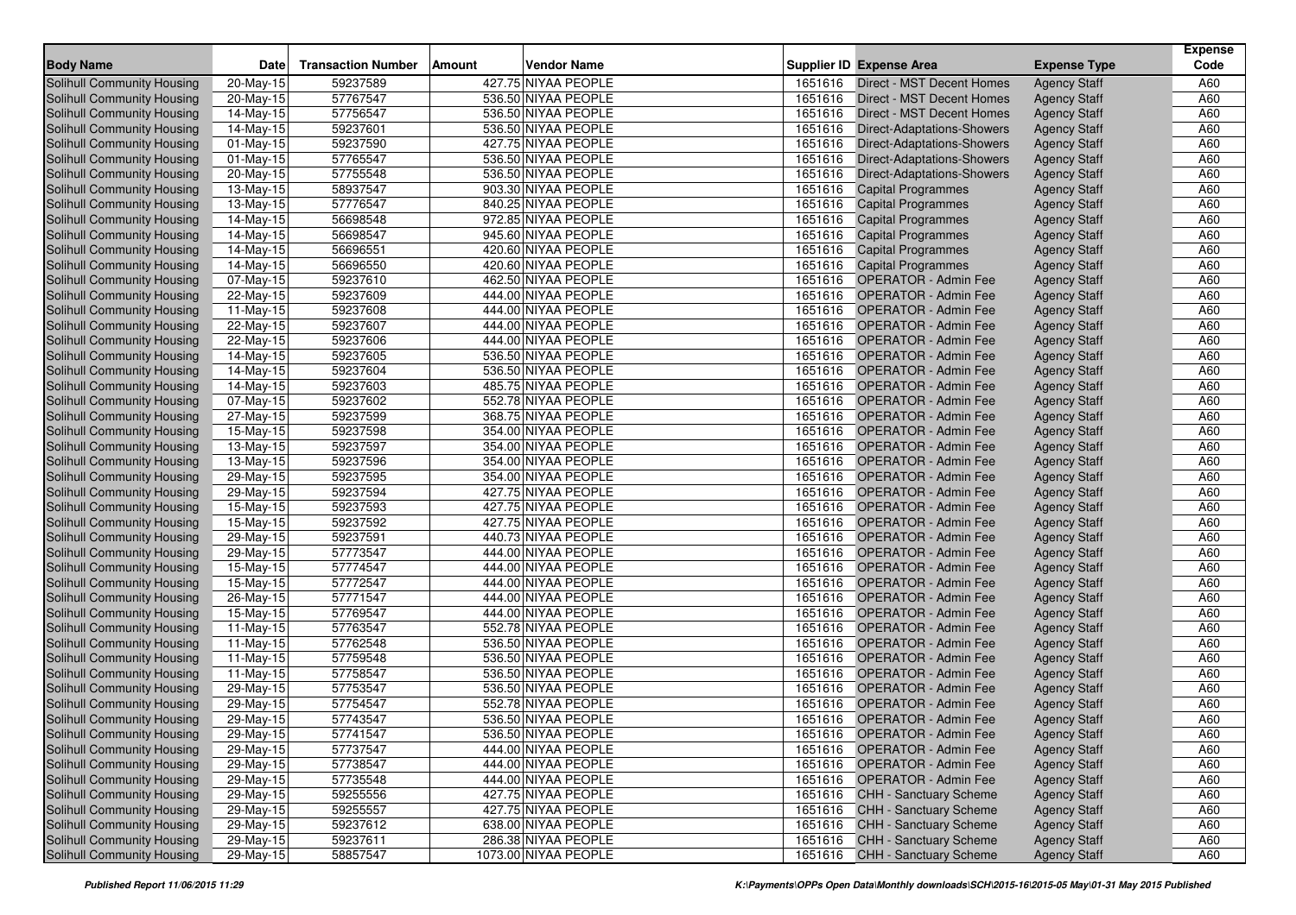| <b>Body Name</b>                  | Date                    | <b>Transaction Number</b> | <b>Vendor Name</b><br><b>Amount</b> |         | <b>Supplier ID Expense Area</b>   | <b>Expense Type</b>                        | <b>Expense</b><br>Code |
|-----------------------------------|-------------------------|---------------------------|-------------------------------------|---------|-----------------------------------|--------------------------------------------|------------------------|
| <b>Solihull Community Housing</b> | 20-May-15               | 59237589                  | 427.75 NIYAA PEOPLE                 | 1651616 | Direct - MST Decent Homes         | <b>Agency Staff</b>                        | A60                    |
| <b>Solihull Community Housing</b> | 20-May-15               | 57767547                  | 536.50 NIYAA PEOPLE                 | 1651616 | Direct - MST Decent Homes         | <b>Agency Staff</b>                        | A60                    |
| <b>Solihull Community Housing</b> | 14-May-15               | 57756547                  | 536.50 NIYAA PEOPLE                 | 1651616 | Direct - MST Decent Homes         | <b>Agency Staff</b>                        | A60                    |
| Solihull Community Housing        | 14-May-15               | 59237601                  | 536.50 NIYAA PEOPLE                 | 1651616 | <b>Direct-Adaptations-Showers</b> | <b>Agency Staff</b>                        | A60                    |
| Solihull Community Housing        | 01-May-15               | 59237590                  | 427.75 NIYAA PEOPLE                 | 1651616 | <b>Direct-Adaptations-Showers</b> | <b>Agency Staff</b>                        | A60                    |
| Solihull Community Housing        | 01-May-15               | 57765547                  | 536.50 NIYAA PEOPLE                 | 1651616 | <b>Direct-Adaptations-Showers</b> | <b>Agency Staff</b>                        | A60                    |
| Solihull Community Housing        | 20-May-15               | 57755548                  | 536.50 NIYAA PEOPLE                 | 1651616 | <b>Direct-Adaptations-Showers</b> | <b>Agency Staff</b>                        | A60                    |
| Solihull Community Housing        | 13-May-15               | 58937547                  | 903.30 NIYAA PEOPLE                 | 1651616 | <b>Capital Programmes</b>         | <b>Agency Staff</b>                        | A60                    |
| Solihull Community Housing        | 13-May-15               | 57776547                  | 840.25 NIYAA PEOPLE                 | 1651616 | <b>Capital Programmes</b>         | <b>Agency Staff</b>                        | A60                    |
| Solihull Community Housing        | 14-May-15               | 56698548                  | 972.85 NIYAA PEOPLE                 | 1651616 | <b>Capital Programmes</b>         | <b>Agency Staff</b>                        | A60                    |
| Solihull Community Housing        | 14-May-15               | 56698547                  | 945.60 NIYAA PEOPLE                 | 1651616 | <b>Capital Programmes</b>         | <b>Agency Staff</b>                        | A60                    |
| Solihull Community Housing        | 14-May-15               | 56696551                  | 420.60 NIYAA PEOPLE                 | 1651616 | <b>Capital Programmes</b>         | <b>Agency Staff</b>                        | A60                    |
| Solihull Community Housing        | 14-May-15               | 56696550                  | 420.60 NIYAA PEOPLE                 | 1651616 | <b>Capital Programmes</b>         | <b>Agency Staff</b>                        | A60                    |
| Solihull Community Housing        |                         | 59237610                  | 462.50 NIYAA PEOPLE                 | 1651616 | <b>OPERATOR - Admin Fee</b>       |                                            | A60                    |
| Solihull Community Housing        | 07-May-15<br>22-May-15  | 59237609                  | 444.00 NIYAA PEOPLE                 | 1651616 | <b>OPERATOR - Admin Fee</b>       | <b>Agency Staff</b><br><b>Agency Staff</b> | A60                    |
| Solihull Community Housing        | 11-May-15               | 59237608                  | 444.00 NIYAA PEOPLE                 | 1651616 | <b>OPERATOR - Admin Fee</b>       | <b>Agency Staff</b>                        | A60                    |
| <b>Solihull Community Housing</b> | 22-May-15               | 59237607                  | 444.00 NIYAA PEOPLE                 | 1651616 | <b>OPERATOR - Admin Fee</b>       | <b>Agency Staff</b>                        | A60                    |
| Solihull Community Housing        | 22-May-15               | 59237606                  | 444.00 NIYAA PEOPLE                 | 1651616 | <b>OPERATOR - Admin Fee</b>       | <b>Agency Staff</b>                        | A60                    |
| Solihull Community Housing        | 14-May-15               | 59237605                  | 536.50 NIYAA PEOPLE                 | 1651616 | <b>OPERATOR - Admin Fee</b>       | <b>Agency Staff</b>                        | A60                    |
| Solihull Community Housing        | 14-May-15               | 59237604                  | 536.50 NIYAA PEOPLE                 | 1651616 | <b>OPERATOR - Admin Fee</b>       | <b>Agency Staff</b>                        | A60                    |
| Solihull Community Housing        | $\overline{14}$ -May-15 | 59237603                  | 485.75 NIYAA PEOPLE                 | 1651616 | <b>OPERATOR - Admin Fee</b>       | <b>Agency Staff</b>                        | A60                    |
| Solihull Community Housing        | 07-May-15               | 59237602                  | 552.78 NIYAA PEOPLE                 | 1651616 | <b>OPERATOR - Admin Fee</b>       | <b>Agency Staff</b>                        | A60                    |
| Solihull Community Housing        | 27-May-15               | 59237599                  | 368.75 NIYAA PEOPLE                 | 1651616 | <b>OPERATOR - Admin Fee</b>       | <b>Agency Staff</b>                        | A60                    |
| Solihull Community Housing        | 15-May-15               | 59237598                  | 354.00 NIYAA PEOPLE                 | 1651616 | <b>OPERATOR - Admin Fee</b>       | <b>Agency Staff</b>                        | A60                    |
| Solihull Community Housing        | 13-May-15               | 59237597                  | 354.00 NIYAA PEOPLE                 | 1651616 | <b>OPERATOR - Admin Fee</b>       | <b>Agency Staff</b>                        | A60                    |
| Solihull Community Housing        | 13-May-15               | 59237596                  | 354.00 NIYAA PEOPLE                 | 1651616 | <b>OPERATOR - Admin Fee</b>       | <b>Agency Staff</b>                        | A60                    |
| Solihull Community Housing        | 29-May-15               | 59237595                  | 354.00 NIYAA PEOPLE                 | 1651616 | <b>OPERATOR - Admin Fee</b>       | <b>Agency Staff</b>                        | A60                    |
| Solihull Community Housing        | 29-May-15               | 59237594                  | 427.75 NIYAA PEOPLE                 | 1651616 | <b>OPERATOR - Admin Fee</b>       | <b>Agency Staff</b>                        | A60                    |
| Solihull Community Housing        | 15-May-15               | 59237593                  | 427.75 NIYAA PEOPLE                 | 1651616 | <b>OPERATOR - Admin Fee</b>       | <b>Agency Staff</b>                        | A60                    |
| Solihull Community Housing        | 15-May-15               | 59237592                  | 427.75 NIYAA PEOPLE                 | 1651616 | <b>OPERATOR - Admin Fee</b>       | <b>Agency Staff</b>                        | A60                    |
| Solihull Community Housing        | 29-May-15               | 59237591                  | 440.73 NIYAA PEOPLE                 | 1651616 | <b>OPERATOR - Admin Fee</b>       | <b>Agency Staff</b>                        | A60                    |
| Solihull Community Housing        | 29-May-15               | 57773547                  | 444.00 NIYAA PEOPLE                 | 1651616 | <b>OPERATOR - Admin Fee</b>       | <b>Agency Staff</b>                        | A60                    |
| Solihull Community Housing        | 15-May-15               | 57774547                  | 444.00 NIYAA PEOPLE                 | 1651616 | <b>OPERATOR - Admin Fee</b>       | <b>Agency Staff</b>                        | A60                    |
| Solihull Community Housing        | 15-May-15               | 57772547                  | 444.00 NIYAA PEOPLE                 | 1651616 | <b>OPERATOR - Admin Fee</b>       | <b>Agency Staff</b>                        | A60                    |
| Solihull Community Housing        | 26-May-15               | 57771547                  | 444.00 NIYAA PEOPLE                 | 1651616 | <b>OPERATOR - Admin Fee</b>       | <b>Agency Staff</b>                        | A60                    |
| Solihull Community Housing        | 15-May-15               | 57769547                  | 444.00 NIYAA PEOPLE                 | 1651616 | <b>OPERATOR - Admin Fee</b>       | <b>Agency Staff</b>                        | A60                    |
| Solihull Community Housing        | 11-May-15               | 57763547                  | 552.78 NIYAA PEOPLE                 | 1651616 | <b>OPERATOR - Admin Fee</b>       | <b>Agency Staff</b>                        | A60                    |
| Solihull Community Housing        | 11-May-15               | 57762548                  | 536.50 NIYAA PEOPLE                 | 1651616 | <b>OPERATOR - Admin Fee</b>       | <b>Agency Staff</b>                        | A60                    |
| Solihull Community Housing        | 11-May-15               | 57759548                  | 536.50 NIYAA PEOPLE                 | 1651616 | <b>OPERATOR - Admin Fee</b>       | <b>Agency Staff</b>                        | A60                    |
| Solihull Community Housing        | 11-May-15               | 57758547                  | 536.50 NIYAA PEOPLE                 | 1651616 | <b>OPERATOR - Admin Fee</b>       | <b>Agency Staff</b>                        | A60                    |
| Solihull Community Housing        | 29-May-15               | 57753547                  | 536.50 NIYAA PEOPLE                 | 1651616 | <b>OPERATOR - Admin Fee</b>       | <b>Agency Staff</b>                        | A60                    |
| <b>Solihull Community Housing</b> | 29-May-15               | 57754547                  | 552.78 NIYAA PEOPLE                 | 1651616 | <b>OPERATOR - Admin Fee</b>       | <b>Agency Staff</b>                        | A60                    |
| Solihull Community Housing        | 29-May-15               | 57743547                  | 536.50 NIYAA PEOPLE                 |         | 1651616 OPERATOR - Admin Fee      | <b>Agency Staff</b>                        | A60                    |
| Solihull Community Housing        | 29-May-15               | 57741547                  | 536.50 NIYAA PEOPLE                 |         | 1651616 OPERATOR - Admin Fee      | <b>Agency Staff</b>                        | A60                    |
| Solihull Community Housing        | 29-May-15               | 57737547                  | 444.00 NIYAA PEOPLE                 |         | 1651616 OPERATOR - Admin Fee      | <b>Agency Staff</b>                        | A60                    |
| Solihull Community Housing        | 29-May-15               | 57738547                  | 444.00 NIYAA PEOPLE                 |         | 1651616 OPERATOR - Admin Fee      | <b>Agency Staff</b>                        | A60                    |
| Solihull Community Housing        | 29-May-15               | 57735548                  | 444.00 NIYAA PEOPLE                 |         | 1651616 OPERATOR - Admin Fee      | <b>Agency Staff</b>                        | A60                    |
| Solihull Community Housing        | 29-May-15               | 59255556                  | 427.75 NIYAA PEOPLE                 |         | 1651616 CHH - Sanctuary Scheme    | <b>Agency Staff</b>                        | A60                    |
| Solihull Community Housing        | 29-May-15               | 59255557                  | 427.75 NIYAA PEOPLE                 |         | 1651616 CHH - Sanctuary Scheme    | <b>Agency Staff</b>                        | A60                    |
| Solihull Community Housing        | 29-May-15               | 59237612                  | 638.00 NIYAA PEOPLE                 |         | 1651616 CHH - Sanctuary Scheme    | <b>Agency Staff</b>                        | A60                    |
| Solihull Community Housing        | 29-May-15               | 59237611                  | 286.38 NIYAA PEOPLE                 |         | 1651616 CHH - Sanctuary Scheme    | <b>Agency Staff</b>                        | A60                    |
| Solihull Community Housing        | 29-May-15               | 58857547                  | 1073.00 NIYAA PEOPLE                |         | 1651616 CHH - Sanctuary Scheme    | <b>Agency Staff</b>                        | A60                    |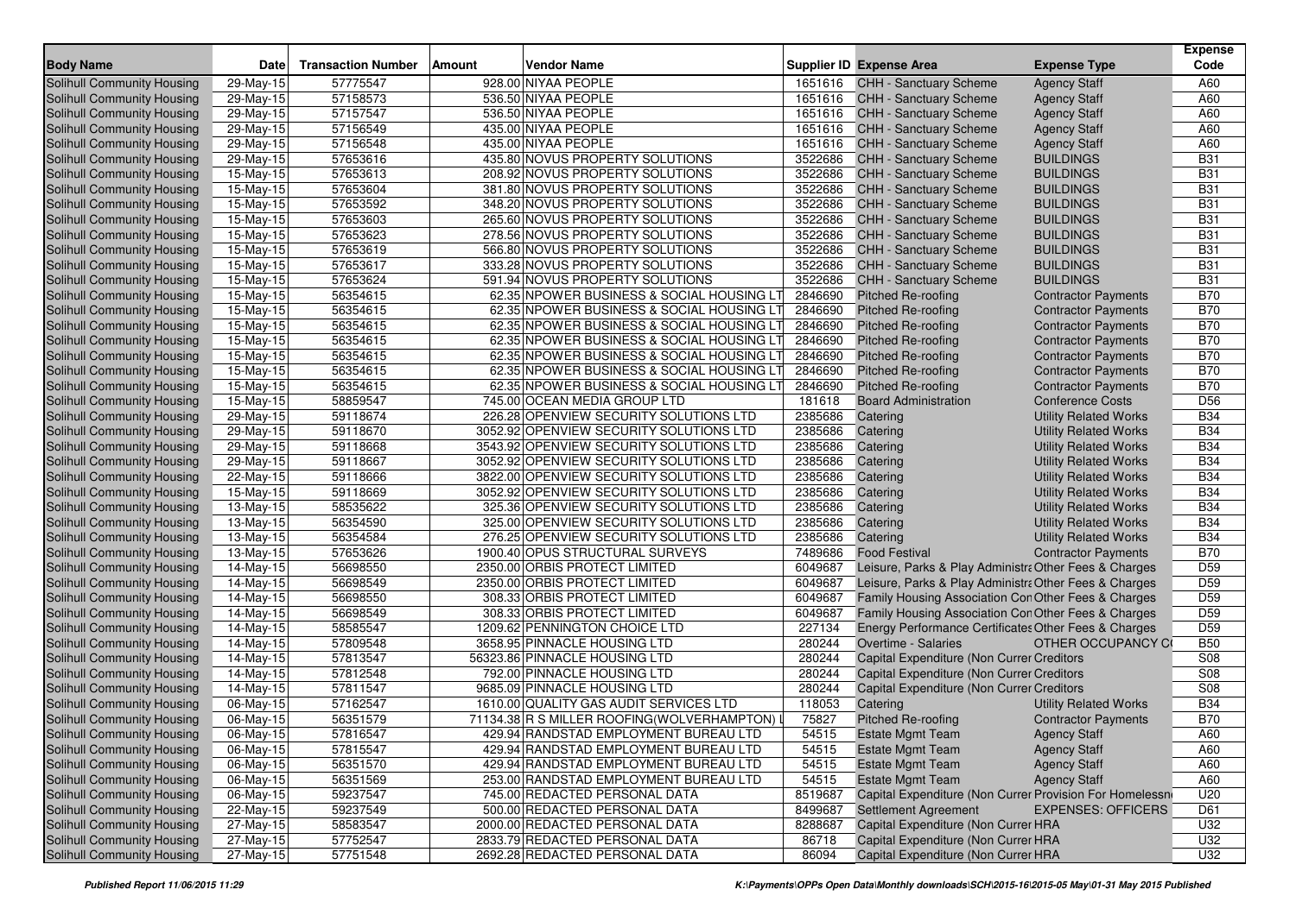| <b>Body Name</b>                  | <b>Date</b>             | <b>Transaction Number</b> | <b>Vendor Name</b><br>Amount                |         | <b>Supplier ID Expense Area</b>                         | <b>Expense Type</b>          | <b>Expense</b><br>Code |
|-----------------------------------|-------------------------|---------------------------|---------------------------------------------|---------|---------------------------------------------------------|------------------------------|------------------------|
| <b>Solihull Community Housing</b> | $29$ -May-15            | 57775547                  | 928.00 NIYAA PEOPLE                         | 1651616 | CHH - Sanctuary Scheme                                  | <b>Agency Staff</b>          | A60                    |
| Solihull Community Housing        | 29-May-15               | 57158573                  | 536.50 NIYAA PEOPLE                         | 1651616 | <b>CHH - Sanctuary Scheme</b>                           | <b>Agency Staff</b>          | A60                    |
| Solihull Community Housing        | 29-May-15               | 57157547                  | 536.50 NIYAA PEOPLE                         | 1651616 | <b>CHH - Sanctuary Scheme</b>                           | <b>Agency Staff</b>          | A60                    |
| <b>Solihull Community Housing</b> | 29-May-15               | 57156549                  | 435.00 NIYAA PEOPLE                         | 1651616 | <b>CHH - Sanctuary Scheme</b>                           | <b>Agency Staff</b>          | A60                    |
| Solihull Community Housing        | 29-May-15               | 57156548                  | 435.00 NIYAA PEOPLE                         | 1651616 | <b>CHH - Sanctuary Scheme</b>                           | <b>Agency Staff</b>          | A60                    |
| <b>Solihull Community Housing</b> | 29-May-15               | 57653616                  | 435.80 NOVUS PROPERTY SOLUTIONS             | 3522686 | <b>CHH - Sanctuary Scheme</b>                           | <b>BUILDINGS</b>             | <b>B31</b>             |
| Solihull Community Housing        | 15-May-15               | 57653613                  | 208.92 NOVUS PROPERTY SOLUTIONS             | 3522686 | <b>CHH - Sanctuary Scheme</b>                           | <b>BUILDINGS</b>             | <b>B31</b>             |
| <b>Solihull Community Housing</b> | 15-May-15               | 57653604                  | 381.80 NOVUS PROPERTY SOLUTIONS             | 3522686 | <b>CHH - Sanctuary Scheme</b>                           | <b>BUILDINGS</b>             | <b>B31</b>             |
| Solihull Community Housing        | 15-May-15               | 57653592                  | 348.20 NOVUS PROPERTY SOLUTIONS             | 3522686 | <b>CHH - Sanctuary Scheme</b>                           | <b>BUILDINGS</b>             | <b>B31</b>             |
| <b>Solihull Community Housing</b> | 15-May-15               | 57653603                  | 265.60 NOVUS PROPERTY SOLUTIONS             | 3522686 | <b>CHH - Sanctuary Scheme</b>                           | <b>BUILDINGS</b>             | <b>B31</b>             |
| <b>Solihull Community Housing</b> | 15-May-15               | 57653623                  | 278.56 NOVUS PROPERTY SOLUTIONS             | 3522686 | <b>CHH - Sanctuary Scheme</b>                           | <b>BUILDINGS</b>             | <b>B31</b>             |
| Solihull Community Housing        | 15-May-15               | 57653619                  | 566.80 NOVUS PROPERTY SOLUTIONS             | 3522686 | <b>CHH - Sanctuary Scheme</b>                           | <b>BUILDINGS</b>             | <b>B31</b>             |
| Solihull Community Housing        | 15-May-15               | 57653617                  | 333.28 NOVUS PROPERTY SOLUTIONS             | 3522686 | <b>CHH - Sanctuary Scheme</b>                           | <b>BUILDINGS</b>             | <b>B31</b>             |
| Solihull Community Housing        | 15-May-15               | 57653624                  | 591.94 NOVUS PROPERTY SOLUTIONS             | 3522686 | <b>CHH - Sanctuary Scheme</b>                           | <b>BUILDINGS</b>             | <b>B31</b>             |
| <b>Solihull Community Housing</b> | 15-May-15               | 56354615                  | 62.35 NPOWER BUSINESS & SOCIAL HOUSING LT   | 2846690 | <b>Pitched Re-roofing</b>                               | <b>Contractor Payments</b>   | <b>B70</b>             |
| Solihull Community Housing        | 15-May-15               | 56354615                  | 62.35 NPOWER BUSINESS & SOCIAL HOUSING LT   | 2846690 | <b>Pitched Re-roofing</b>                               | <b>Contractor Payments</b>   | <b>B70</b>             |
| Solihull Community Housing        | 15-May-15               | 56354615                  | 62.35 NPOWER BUSINESS & SOCIAL HOUSING LT   | 2846690 | <b>Pitched Re-roofing</b>                               | <b>Contractor Payments</b>   | <b>B70</b>             |
| Solihull Community Housing        | 15-May-15               | 56354615                  | 62.35 NPOWER BUSINESS & SOCIAL HOUSING LT   | 2846690 | <b>Pitched Re-roofing</b>                               | <b>Contractor Payments</b>   | <b>B70</b>             |
| Solihull Community Housing        | 15-May-15               | 56354615                  | 62.35 NPOWER BUSINESS & SOCIAL HOUSING LT   | 2846690 | <b>Pitched Re-roofing</b>                               | <b>Contractor Payments</b>   | <b>B70</b>             |
| Solihull Community Housing        | 15-May-15               | 56354615                  | 62.35 NPOWER BUSINESS & SOCIAL HOUSING LT   | 2846690 | Pitched Re-roofing                                      | <b>Contractor Payments</b>   | <b>B70</b>             |
| Solihull Community Housing        | 15-May-15               | 56354615                  | 62.35 NPOWER BUSINESS & SOCIAL HOUSING LT   | 2846690 | <b>Pitched Re-roofing</b>                               | <b>Contractor Payments</b>   | <b>B70</b>             |
| Solihull Community Housing        | 15-May-15               | 58859547                  | 745.00 OCEAN MEDIA GROUP LTD                | 181618  | <b>Board Administration</b>                             | <b>Conference Costs</b>      | D <sub>56</sub>        |
| Solihull Community Housing        | 29-May-15               | 59118674                  | 226.28 OPENVIEW SECURITY SOLUTIONS LTD      | 2385686 | Catering                                                | <b>Utility Related Works</b> | <b>B34</b>             |
| Solihull Community Housing        | 29-May-15               | 59118670                  | 3052.92 OPENVIEW SECURITY SOLUTIONS LTD     | 2385686 | Catering                                                | <b>Utility Related Works</b> | <b>B34</b>             |
| Solihull Community Housing        | 29-May-15               | 59118668                  | 3543.92 OPENVIEW SECURITY SOLUTIONS LTD     | 2385686 | Catering                                                | <b>Utility Related Works</b> | <b>B34</b>             |
| <b>Solihull Community Housing</b> | 29-May-15               | 59118667                  | 3052.92 OPENVIEW SECURITY SOLUTIONS LTD     | 2385686 | Catering                                                | <b>Utility Related Works</b> | <b>B34</b>             |
| Solihull Community Housing        | 22-May-15               | 59118666                  | 3822.00 OPENVIEW SECURITY SOLUTIONS LTD     | 2385686 | Catering                                                | <b>Utility Related Works</b> | <b>B34</b>             |
| Solihull Community Housing        | 15-May-15               | 59118669                  | 3052.92 OPENVIEW SECURITY SOLUTIONS LTD     | 2385686 | Catering                                                | <b>Utility Related Works</b> | <b>B34</b>             |
| <b>Solihull Community Housing</b> | 13-May-15               | 58535622                  | 325.36 OPENVIEW SECURITY SOLUTIONS LTD      | 2385686 | Catering                                                | <b>Utility Related Works</b> | <b>B34</b>             |
| Solihull Community Housing        | 13-May-15               | 56354590                  | 325.00 OPENVIEW SECURITY SOLUTIONS LTD      | 2385686 | Catering                                                | <b>Utility Related Works</b> | <b>B34</b>             |
| <b>Solihull Community Housing</b> | $\overline{13}$ -May-15 | 56354584                  | 276.25 OPENVIEW SECURITY SOLUTIONS LTD      | 2385686 | Catering                                                | <b>Utility Related Works</b> | <b>B34</b>             |
| <b>Solihull Community Housing</b> | 13-May-15               | 57653626                  | 1900.40 OPUS STRUCTURAL SURVEYS             | 7489686 | <b>Food Festival</b>                                    | <b>Contractor Payments</b>   | <b>B70</b>             |
| Solihull Community Housing        | 14-May-15               | 56698550                  | 2350.00 ORBIS PROTECT LIMITED               | 6049687 | Leisure, Parks & Play Administra Other Fees & Charges   |                              | D <sub>59</sub>        |
| Solihull Community Housing        | 14-May-15               | 56698549                  | 2350.00 ORBIS PROTECT LIMITED               | 6049687 | Leisure, Parks & Play Administra Other Fees & Charges   |                              | D <sub>59</sub>        |
| Solihull Community Housing        | 14-May-15               | 56698550                  | 308.33 ORBIS PROTECT LIMITED                | 6049687 | Family Housing Association Con Other Fees & Charges     |                              | D <sub>59</sub>        |
| Solihull Community Housing        | 14-May-15               | 56698549                  | 308.33 ORBIS PROTECT LIMITED                | 6049687 | Family Housing Association Con Other Fees & Charges     |                              | D <sub>59</sub>        |
| <b>Solihull Community Housing</b> | 14-May-15               | 58585547                  | 1209.62 PENNINGTON CHOICE LTD               | 227134  | Energy Performance Certificates Other Fees & Charges    |                              | D <sub>59</sub>        |
| <b>Solihull Community Housing</b> | 14-May-15               | 57809548                  | 3658.95 PINNACLE HOUSING LTD                | 280244  | Overtime - Salaries                                     | OTHER OCCUPANCY CO           | <b>B50</b>             |
| Solihull Community Housing        | 14-May-15               | 57813547                  | 56323.86 PINNACLE HOUSING LTD               | 280244  | Capital Expenditure (Non Currer Creditors               |                              | S <sub>08</sub>        |
| <b>Solihull Community Housing</b> | 14-May-15               | 57812548                  | 792.00 PINNACLE HOUSING LTD                 | 280244  | Capital Expenditure (Non Currer Creditors               |                              | S <sub>08</sub>        |
| Solihull Community Housing        | 14-May-15               | 57811547                  | 9685.09 PINNACLE HOUSING LTD                | 280244  | Capital Expenditure (Non Currer Creditors               |                              | S08                    |
| <b>Solihull Community Housing</b> | 06-May-15               | 57162547                  | 1610.00 QUALITY GAS AUDIT SERVICES LTD      | 118053  | Catering                                                | <b>Utility Related Works</b> | <b>B34</b>             |
| <b>Solihull Community Housing</b> | 06-May-15               | 56351579                  | 71134.38 R S MILLER ROOFING (WOLVERHAMPTON) | 75827   | <b>Pitched Re-roofing</b>                               | <b>Contractor Payments</b>   | <b>B70</b>             |
| Solihull Community Housing        | 06-May-15               | 57816547                  | 429.94 RANDSTAD EMPLOYMENT BUREAU LTD       | 54515   | <b>Estate Mgmt Team</b>                                 | <b>Agency Staff</b>          | A60                    |
| <b>Solihull Community Housing</b> | 06-May-15               | 57815547                  | 429.94 RANDSTAD EMPLOYMENT BUREAU LTD       | 54515   | <b>Estate Mgmt Team</b>                                 | <b>Agency Staff</b>          | A60                    |
| Solihull Community Housing        | 06-May-15               | 56351570                  | 429.94 RANDSTAD EMPLOYMENT BUREAU LTD       | 54515   | <b>Estate Mgmt Team</b>                                 | <b>Agency Staff</b>          | A60                    |
| <b>Solihull Community Housing</b> | 06-May-15               | 56351569                  | 253.00 RANDSTAD EMPLOYMENT BUREAU LTD       | 54515   | <b>Estate Mgmt Team</b>                                 | <b>Agency Staff</b>          | A60                    |
| <b>Solihull Community Housing</b> | 06-May-15               | 59237547                  | 745.00 REDACTED PERSONAL DATA               | 8519687 | Capital Expenditure (Non Currer Provision For Homelessn |                              | U20                    |
| Solihull Community Housing        | 22-May-15               | 59237549                  | 500.00 REDACTED PERSONAL DATA               | 8499687 | <b>Settlement Agreement</b>                             | <b>EXPENSES: OFFICERS</b>    | D61                    |
| Solihull Community Housing        | 27-May-15               | 58583547                  | 2000.00 REDACTED PERSONAL DATA              | 8288687 | Capital Expenditure (Non Currer HRA                     |                              | U32                    |
| Solihull Community Housing        | 27-May-15               | 57752547                  | 2833.79 REDACTED PERSONAL DATA              | 86718   | Capital Expenditure (Non Currer HRA                     |                              | U32                    |
| <b>Solihull Community Housing</b> | 27-May-15               | 57751548                  | 2692.28 REDACTED PERSONAL DATA              | 86094   | Capital Expenditure (Non Currer HRA                     |                              | U32                    |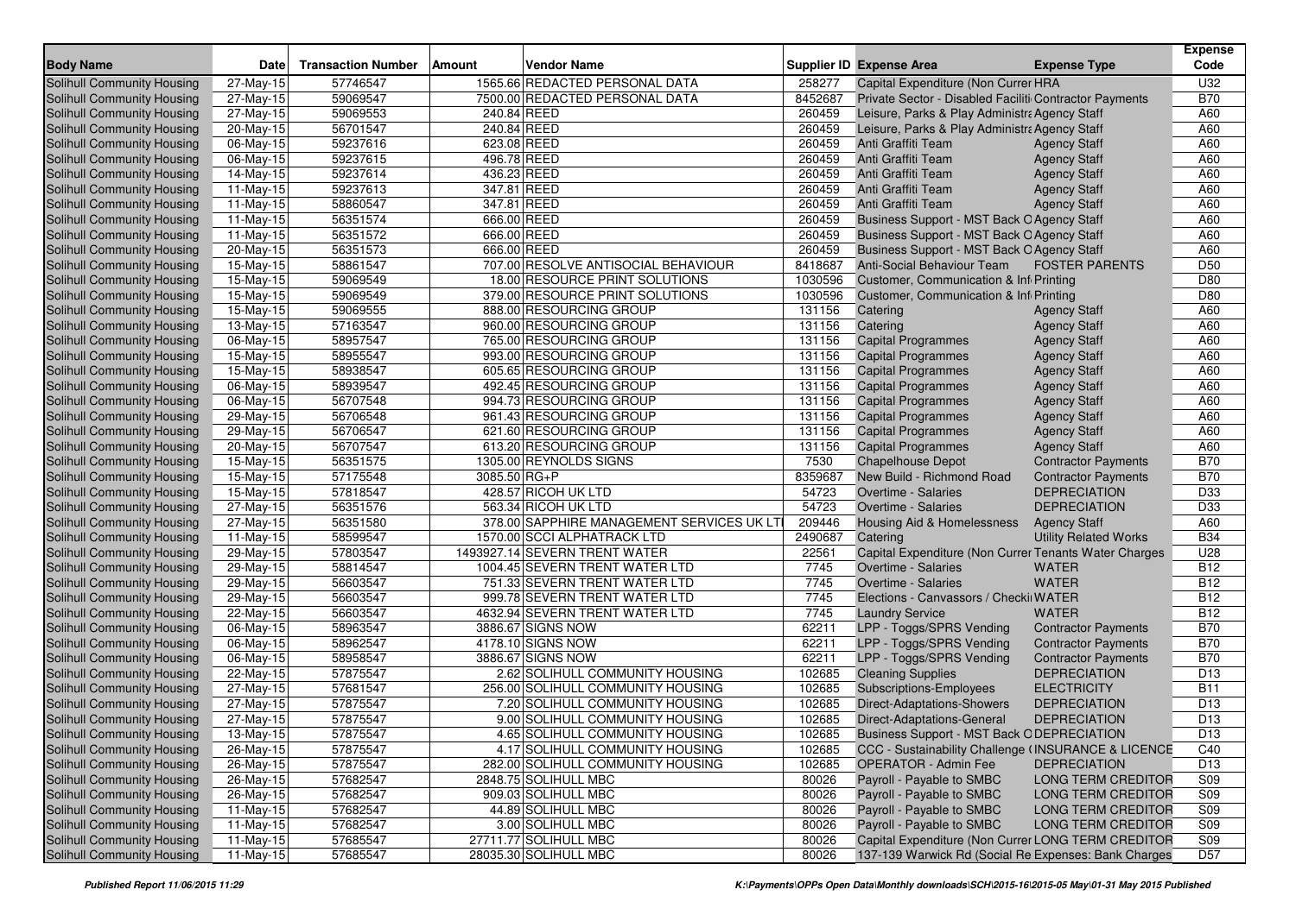| 57746547<br>1565.66 REDACTED PERSONAL DATA<br>258277<br>U32<br>Solihull Community Housing<br>27-May-15<br>Capital Expenditure (Non Currer HRA<br>59069547<br>7500.00 REDACTED PERSONAL DATA<br>8452687<br>Private Sector - Disabled Faciliti Contractor Payments<br><b>B70</b><br><b>Solihull Community Housing</b><br>27-May-15<br>59069553<br>240.84 REED<br>260459<br>Leisure, Parks & Play Administra Agency Staff<br>A60<br>Solihull Community Housing<br>27-May-15<br>A60<br>Solihull Community Housing<br>20-May-15<br>56701547<br>240.84 REED<br>260459<br>Leisure, Parks & Play Administra Agency Staff<br>59237616<br>623.08 REED<br>Solihull Community Housing<br>260459<br>Anti Graffiti Team<br>A60<br>06-May-15<br><b>Agency Staff</b><br>Solihull Community Housing<br>06-May-15<br>59237615<br>496.78 REED<br>260459<br>Anti Graffiti Team<br><b>Agency Staff</b><br>A60<br>Solihull Community Housing<br>59237614<br>436.23 REED<br>260459<br>Anti Graffiti Team<br><b>Agency Staff</b><br>A60<br>14-May-15<br>59237613<br>347.81 REED<br>260459<br>A60<br>Solihull Community Housing<br>11-May-15<br>Anti Graffiti Team<br><b>Agency Staff</b><br>Solihull Community Housing<br>11-May-15<br>58860547<br>347.81 REED<br>260459<br>Anti Graffiti Team<br><b>Agency Staff</b><br>A60<br>56351574<br>666.00 REED<br>260459<br>Business Support - MST Back O Agency Staff<br>A60<br>Solihull Community Housing<br>11-May-15<br>56351572<br>666.00 REED<br>260459<br>A60<br>Solihull Community Housing<br>11-May-15<br>Business Support - MST Back O Agency Staff<br>56351573<br>666.00 REED<br>260459<br>A60<br>Solihull Community Housing<br>20-May-15<br>Business Support - MST Back O Agency Staff<br>58861547<br>707.00 RESOLVE ANTISOCIAL BEHAVIOUR<br>8418687<br>D <sub>50</sub><br>Solihull Community Housing<br>15-May-15<br>Anti-Social Behaviour Team<br><b>FOSTER PARENTS</b><br>18.00 RESOURCE PRINT SOLUTIONS<br>Solihull Community Housing<br>$\overline{15}$ -May-15<br>59069549<br>1030596<br>Customer, Communication & Inf Printing<br>D80<br>59069549<br>379.00 RESOURCE PRINT SOLUTIONS<br>D80<br>Solihull Community Housing<br>15-May-15<br>1030596<br>Customer, Communication & Inf Printing<br>59069555<br>888.00 RESOURCING GROUP<br>Solihull Community Housing<br>131156<br>Catering<br>A60<br>15-May-15<br><b>Agency Staff</b><br>57163547<br>960.00 RESOURCING GROUP<br>131156<br>Solihull Community Housing<br>13-May-15<br>A60<br>Catering<br><b>Agency Staff</b><br>58957547<br>765.00 RESOURCING GROUP<br>A60<br>Solihull Community Housing<br>06-May-15<br>131156<br><b>Capital Programmes</b><br><b>Agency Staff</b><br>58955547<br>993.00 RESOURCING GROUP<br>131156<br>Solihull Community Housing<br>15-May-15<br><b>Agency Staff</b><br>A60<br><b>Capital Programmes</b><br>605.65 RESOURCING GROUP<br>Solihull Community Housing<br>15-May-15<br>58938547<br>131156<br><b>Agency Staff</b><br>A60<br><b>Capital Programmes</b><br>492.45 RESOURCING GROUP<br>A60<br>Solihull Community Housing<br>58939547<br>131156<br><b>Agency Staff</b><br>06-May-15<br><b>Capital Programmes</b><br>56707548<br>994.73 RESOURCING GROUP<br>131156<br>A60<br>Solihull Community Housing<br>06-May-15<br><b>Capital Programmes</b><br><b>Agency Staff</b><br>56706548<br>961.43 RESOURCING GROUP<br>Solihull Community Housing<br>29-May-15<br>131156<br><b>Capital Programmes</b><br><b>Agency Staff</b><br>A60<br>621.60 RESOURCING GROUP<br><b>Solihull Community Housing</b><br>29-May-15<br>56706547<br>131156<br><b>Capital Programmes</b><br><b>Agency Staff</b><br>A60<br>56707547<br>613.20 RESOURCING GROUP<br><b>Solihull Community Housing</b><br>131156<br><b>Agency Staff</b><br>A60<br>20-May-15<br><b>Capital Programmes</b><br>56351575<br>1305.00 REYNOLDS SIGNS<br>7530<br><b>B70</b><br>Solihull Community Housing<br>15-May-15<br><b>Chapelhouse Depot</b><br><b>Contractor Payments</b><br>57175548<br>3085.50 RG+P<br>8359687<br>New Build - Richmond Road<br><b>B70</b><br>Solihull Community Housing<br>15-May-15<br><b>Contractor Payments</b><br>57818547<br>428.57 RICOH UK LTD<br>54723<br><b>DEPRECIATION</b><br>D33<br>Solihull Community Housing<br>15-May-15<br><b>Overtime - Salaries</b><br>54723<br><b>DEPRECIATION</b><br>D33<br>Solihull Community Housing<br>27-May-15<br>56351576<br>563.34 RICOH UK LTD<br><b>Overtime - Salaries</b><br>Solihull Community Housing<br>56351580<br>378.00 SAPPHIRE MANAGEMENT SERVICES UK LT<br>209446<br>Housing Aid & Homelessness<br><b>Agency Staff</b><br>A60<br>27-May-15<br>Solihull Community Housing<br>58599547<br>1570.00 SCCI ALPHATRACK LTD<br>2490687<br><b>Utility Related Works</b><br><b>B34</b><br>11-May-15<br>Catering<br>1493927.14 SEVERN TRENT WATER<br>Solihull Community Housing<br>57803547<br>22561<br>Capital Expenditure (Non Currer Tenants Water Charges<br>U28<br>29-May-15<br>58814547<br>1004.45 SEVERN TRENT WATER LTD<br><b>B12</b><br>Solihull Community Housing<br>29-May-15<br>7745<br><b>Overtime - Salaries</b><br><b>WATER</b><br>56603547<br>751.33 SEVERN TRENT WATER LTD<br>7745<br><b>WATER</b><br><b>B12</b><br>Solihull Community Housing<br>29-May-15<br><b>Overtime - Salaries</b><br>56603547<br>999.78 SEVERN TRENT WATER LTD<br>7745<br><b>B12</b><br><b>Solihull Community Housing</b><br>Elections - Canvassors / Checkil WATER<br>29-May-15<br>56603547<br>4632.94 SEVERN TRENT WATER LTD<br>7745<br><b>B12</b><br>Solihull Community Housing<br>22-May-15<br><b>Laundry Service</b><br><b>WATER</b><br>58963547<br>3886.67 SIGNS NOW<br>62211<br>LPP - Toggs/SPRS Vending<br><b>B70</b><br>Solihull Community Housing<br>06-May-15<br><b>Contractor Payments</b><br>62211<br><b>B70</b><br>Solihull Community Housing<br>06-May-15<br>58962547<br>4178.10 SIGNS NOW<br>LPP - Toggs/SPRS Vending<br><b>Contractor Payments</b><br>58958547<br>3886.67 SIGNS NOW<br>62211<br><b>B70</b><br>Solihull Community Housing<br>LPP - Toggs/SPRS Vending<br><b>Contractor Payments</b><br>06-May-15<br>57875547<br>2.62 SOLIHULL COMMUNITY HOUSING<br>102685<br><b>DEPRECIATION</b><br>D <sub>13</sub><br>Solihull Community Housing<br>22-May-15<br><b>Cleaning Supplies</b><br>57681547<br>102685<br><b>ELECTRICITY</b><br><b>B11</b><br>Solihull Community Housing<br>256.00 SOLIHULL COMMUNITY HOUSING<br>Subscriptions-Employees<br>27-May-15<br>57875547<br>7.20 SOLIHULL COMMUNITY HOUSING<br>102685<br>D <sub>13</sub><br>Solihull Community Housing<br>27-May-15<br>Direct-Adaptations-Showers<br><b>DEPRECIATION</b><br>D <sub>13</sub><br>Solihull Community Housing<br>57875547<br>9.00 SOLIHULL COMMUNITY HOUSING<br>102685<br>Direct-Adaptations-General<br><b>DEPRECIATION</b><br>27-May-15<br>Solihull Community Housing<br>13-May-15<br>57875547<br>4.65 SOLIHULL COMMUNITY HOUSING<br>102685<br>D13<br>Business Support - MST Back ODEPRECIATION<br>Solihull Community Housing<br>26-May-15<br>57875547<br>4.17 SOLIHULL COMMUNITY HOUSING<br>102685<br>CCC - Sustainability Challenge (INSURANCE & LICENCE<br>C40<br><b>OPERATOR - Admin Fee</b><br>Solihull Community Housing<br>57875547<br>282.00 SOLIHULL COMMUNITY HOUSING<br>102685<br>D <sub>13</sub><br>26-May-15<br><b>DEPRECIATION</b><br>Solihull Community Housing<br>57682547<br>2848.75 SOLIHULL MBC<br>Payroll - Payable to SMBC<br>S09<br>26-May-15<br>80026<br><b>LONG TERM CREDITOR</b><br><b>Solihull Community Housing</b><br>26-May-15<br>909.03 SOLIHULL MBC<br>Payroll - Payable to SMBC<br>S09<br>57682547<br>80026<br><b>LONG TERM CREDITOR</b><br>Solihull Community Housing<br>44.89 SOLIHULL MBC<br>Payroll - Payable to SMBC<br>S09<br>11-May-15<br>57682547<br>80026<br><b>LONG TERM CREDITOR</b><br>S <sub>09</sub><br>Solihull Community Housing<br>11-May-15<br>57682547<br>3.00 SOLIHULL MBC<br>80026<br>Payroll - Payable to SMBC<br><b>LONG TERM CREDITOR</b><br>Solihull Community Housing<br>57685547<br>27711.77 SOLIHULL MBC<br>80026<br>Capital Expenditure (Non Currer LONG TERM CREDITOR<br>S09<br>11-May-15<br>28035.30 SOLIHULL MBC<br>Solihull Community Housing<br>11-May-15<br>57685547<br>80026<br>137-139 Warwick Rd (Social Re Expenses: Bank Charges<br>D <sub>57</sub> | <b>Body Name</b> | Date | <b>Transaction Number</b> | <b>Vendor Name</b><br><b>Amount</b> | Supplier ID Expense Area<br><b>Expense Type</b> | <b>Expense</b><br>Code |
|--------------------------------------------------------------------------------------------------------------------------------------------------------------------------------------------------------------------------------------------------------------------------------------------------------------------------------------------------------------------------------------------------------------------------------------------------------------------------------------------------------------------------------------------------------------------------------------------------------------------------------------------------------------------------------------------------------------------------------------------------------------------------------------------------------------------------------------------------------------------------------------------------------------------------------------------------------------------------------------------------------------------------------------------------------------------------------------------------------------------------------------------------------------------------------------------------------------------------------------------------------------------------------------------------------------------------------------------------------------------------------------------------------------------------------------------------------------------------------------------------------------------------------------------------------------------------------------------------------------------------------------------------------------------------------------------------------------------------------------------------------------------------------------------------------------------------------------------------------------------------------------------------------------------------------------------------------------------------------------------------------------------------------------------------------------------------------------------------------------------------------------------------------------------------------------------------------------------------------------------------------------------------------------------------------------------------------------------------------------------------------------------------------------------------------------------------------------------------------------------------------------------------------------------------------------------------------------------------------------------------------------------------------------------------------------------------------------------------------------------------------------------------------------------------------------------------------------------------------------------------------------------------------------------------------------------------------------------------------------------------------------------------------------------------------------------------------------------------------------------------------------------------------------------------------------------------------------------------------------------------------------------------------------------------------------------------------------------------------------------------------------------------------------------------------------------------------------------------------------------------------------------------------------------------------------------------------------------------------------------------------------------------------------------------------------------------------------------------------------------------------------------------------------------------------------------------------------------------------------------------------------------------------------------------------------------------------------------------------------------------------------------------------------------------------------------------------------------------------------------------------------------------------------------------------------------------------------------------------------------------------------------------------------------------------------------------------------------------------------------------------------------------------------------------------------------------------------------------------------------------------------------------------------------------------------------------------------------------------------------------------------------------------------------------------------------------------------------------------------------------------------------------------------------------------------------------------------------------------------------------------------------------------------------------------------------------------------------------------------------------------------------------------------------------------------------------------------------------------------------------------------------------------------------------------------------------------------------------------------------------------------------------------------------------------------------------------------------------------------------------------------------------------------------------------------------------------------------------------------------------------------------------------------------------------------------------------------------------------------------------------------------------------------------------------------------------------------------------------------------------------------------------------------------------------------------------------------------------------------------------------------------------------------------------------------------------------------------------------------------------------------------------------------------------------------------------------------------------------------------------------------------------------------------------------------------------------------------------------------------------------------------------------------------------------------------------------------------------------------------------------------------------------------------------------------------------------------------------------------------------------------------------------------------------------------------------------------------------------------------------------------------------------------------------------------------------------------------------------------------------------------------------------------------------------------------------------------------------------------------------------------------------------------------------------------------------------------------------------------------------------------------------------------------------------------------------------------------------------------------------------------------------------------------------------------------------------------------------------------------------------------------------------------------------------------------------------------------------------------------------------------------------------------------------------------------------------------------------------------------------------------------------------------------------------------------------------------------------------------------------------------------------------------------------------------------------------------------------------------------------------------------------------------------------------------------------------------------------------------------------------------------------------------------------------------------------------------------------------------------------------------------------------------------------------------------------------------------------------------------------------------------------------------------------------------------------------------------------------------------------------------|------------------|------|---------------------------|-------------------------------------|-------------------------------------------------|------------------------|
|                                                                                                                                                                                                                                                                                                                                                                                                                                                                                                                                                                                                                                                                                                                                                                                                                                                                                                                                                                                                                                                                                                                                                                                                                                                                                                                                                                                                                                                                                                                                                                                                                                                                                                                                                                                                                                                                                                                                                                                                                                                                                                                                                                                                                                                                                                                                                                                                                                                                                                                                                                                                                                                                                                                                                                                                                                                                                                                                                                                                                                                                                                                                                                                                                                                                                                                                                                                                                                                                                                                                                                                                                                                                                                                                                                                                                                                                                                                                                                                                                                                                                                                                                                                                                                                                                                                                                                                                                                                                                                                                                                                                                                                                                                                                                                                                                                                                                                                                                                                                                                                                                                                                                                                                                                                                                                                                                                                                                                                                                                                                                                                                                                                                                                                                                                                                                                                                                                                                                                                                                                                                                                                                                                                                                                                                                                                                                                                                                                                                                                                                                                                                                                                                                                                                                                                                                                                                                                                                                                                                                                                                                                                                                                                                                                                                                                                                                                                                                                                                                                                                                                                                                                                                                                                                                                                                                                                                                                                                                                                                                                                                                                                                                                                                                                                              |                  |      |                           |                                     |                                                 |                        |
|                                                                                                                                                                                                                                                                                                                                                                                                                                                                                                                                                                                                                                                                                                                                                                                                                                                                                                                                                                                                                                                                                                                                                                                                                                                                                                                                                                                                                                                                                                                                                                                                                                                                                                                                                                                                                                                                                                                                                                                                                                                                                                                                                                                                                                                                                                                                                                                                                                                                                                                                                                                                                                                                                                                                                                                                                                                                                                                                                                                                                                                                                                                                                                                                                                                                                                                                                                                                                                                                                                                                                                                                                                                                                                                                                                                                                                                                                                                                                                                                                                                                                                                                                                                                                                                                                                                                                                                                                                                                                                                                                                                                                                                                                                                                                                                                                                                                                                                                                                                                                                                                                                                                                                                                                                                                                                                                                                                                                                                                                                                                                                                                                                                                                                                                                                                                                                                                                                                                                                                                                                                                                                                                                                                                                                                                                                                                                                                                                                                                                                                                                                                                                                                                                                                                                                                                                                                                                                                                                                                                                                                                                                                                                                                                                                                                                                                                                                                                                                                                                                                                                                                                                                                                                                                                                                                                                                                                                                                                                                                                                                                                                                                                                                                                                                                              |                  |      |                           |                                     |                                                 |                        |
|                                                                                                                                                                                                                                                                                                                                                                                                                                                                                                                                                                                                                                                                                                                                                                                                                                                                                                                                                                                                                                                                                                                                                                                                                                                                                                                                                                                                                                                                                                                                                                                                                                                                                                                                                                                                                                                                                                                                                                                                                                                                                                                                                                                                                                                                                                                                                                                                                                                                                                                                                                                                                                                                                                                                                                                                                                                                                                                                                                                                                                                                                                                                                                                                                                                                                                                                                                                                                                                                                                                                                                                                                                                                                                                                                                                                                                                                                                                                                                                                                                                                                                                                                                                                                                                                                                                                                                                                                                                                                                                                                                                                                                                                                                                                                                                                                                                                                                                                                                                                                                                                                                                                                                                                                                                                                                                                                                                                                                                                                                                                                                                                                                                                                                                                                                                                                                                                                                                                                                                                                                                                                                                                                                                                                                                                                                                                                                                                                                                                                                                                                                                                                                                                                                                                                                                                                                                                                                                                                                                                                                                                                                                                                                                                                                                                                                                                                                                                                                                                                                                                                                                                                                                                                                                                                                                                                                                                                                                                                                                                                                                                                                                                                                                                                                                              |                  |      |                           |                                     |                                                 |                        |
|                                                                                                                                                                                                                                                                                                                                                                                                                                                                                                                                                                                                                                                                                                                                                                                                                                                                                                                                                                                                                                                                                                                                                                                                                                                                                                                                                                                                                                                                                                                                                                                                                                                                                                                                                                                                                                                                                                                                                                                                                                                                                                                                                                                                                                                                                                                                                                                                                                                                                                                                                                                                                                                                                                                                                                                                                                                                                                                                                                                                                                                                                                                                                                                                                                                                                                                                                                                                                                                                                                                                                                                                                                                                                                                                                                                                                                                                                                                                                                                                                                                                                                                                                                                                                                                                                                                                                                                                                                                                                                                                                                                                                                                                                                                                                                                                                                                                                                                                                                                                                                                                                                                                                                                                                                                                                                                                                                                                                                                                                                                                                                                                                                                                                                                                                                                                                                                                                                                                                                                                                                                                                                                                                                                                                                                                                                                                                                                                                                                                                                                                                                                                                                                                                                                                                                                                                                                                                                                                                                                                                                                                                                                                                                                                                                                                                                                                                                                                                                                                                                                                                                                                                                                                                                                                                                                                                                                                                                                                                                                                                                                                                                                                                                                                                                                              |                  |      |                           |                                     |                                                 |                        |
|                                                                                                                                                                                                                                                                                                                                                                                                                                                                                                                                                                                                                                                                                                                                                                                                                                                                                                                                                                                                                                                                                                                                                                                                                                                                                                                                                                                                                                                                                                                                                                                                                                                                                                                                                                                                                                                                                                                                                                                                                                                                                                                                                                                                                                                                                                                                                                                                                                                                                                                                                                                                                                                                                                                                                                                                                                                                                                                                                                                                                                                                                                                                                                                                                                                                                                                                                                                                                                                                                                                                                                                                                                                                                                                                                                                                                                                                                                                                                                                                                                                                                                                                                                                                                                                                                                                                                                                                                                                                                                                                                                                                                                                                                                                                                                                                                                                                                                                                                                                                                                                                                                                                                                                                                                                                                                                                                                                                                                                                                                                                                                                                                                                                                                                                                                                                                                                                                                                                                                                                                                                                                                                                                                                                                                                                                                                                                                                                                                                                                                                                                                                                                                                                                                                                                                                                                                                                                                                                                                                                                                                                                                                                                                                                                                                                                                                                                                                                                                                                                                                                                                                                                                                                                                                                                                                                                                                                                                                                                                                                                                                                                                                                                                                                                                                              |                  |      |                           |                                     |                                                 |                        |
|                                                                                                                                                                                                                                                                                                                                                                                                                                                                                                                                                                                                                                                                                                                                                                                                                                                                                                                                                                                                                                                                                                                                                                                                                                                                                                                                                                                                                                                                                                                                                                                                                                                                                                                                                                                                                                                                                                                                                                                                                                                                                                                                                                                                                                                                                                                                                                                                                                                                                                                                                                                                                                                                                                                                                                                                                                                                                                                                                                                                                                                                                                                                                                                                                                                                                                                                                                                                                                                                                                                                                                                                                                                                                                                                                                                                                                                                                                                                                                                                                                                                                                                                                                                                                                                                                                                                                                                                                                                                                                                                                                                                                                                                                                                                                                                                                                                                                                                                                                                                                                                                                                                                                                                                                                                                                                                                                                                                                                                                                                                                                                                                                                                                                                                                                                                                                                                                                                                                                                                                                                                                                                                                                                                                                                                                                                                                                                                                                                                                                                                                                                                                                                                                                                                                                                                                                                                                                                                                                                                                                                                                                                                                                                                                                                                                                                                                                                                                                                                                                                                                                                                                                                                                                                                                                                                                                                                                                                                                                                                                                                                                                                                                                                                                                                                              |                  |      |                           |                                     |                                                 |                        |
|                                                                                                                                                                                                                                                                                                                                                                                                                                                                                                                                                                                                                                                                                                                                                                                                                                                                                                                                                                                                                                                                                                                                                                                                                                                                                                                                                                                                                                                                                                                                                                                                                                                                                                                                                                                                                                                                                                                                                                                                                                                                                                                                                                                                                                                                                                                                                                                                                                                                                                                                                                                                                                                                                                                                                                                                                                                                                                                                                                                                                                                                                                                                                                                                                                                                                                                                                                                                                                                                                                                                                                                                                                                                                                                                                                                                                                                                                                                                                                                                                                                                                                                                                                                                                                                                                                                                                                                                                                                                                                                                                                                                                                                                                                                                                                                                                                                                                                                                                                                                                                                                                                                                                                                                                                                                                                                                                                                                                                                                                                                                                                                                                                                                                                                                                                                                                                                                                                                                                                                                                                                                                                                                                                                                                                                                                                                                                                                                                                                                                                                                                                                                                                                                                                                                                                                                                                                                                                                                                                                                                                                                                                                                                                                                                                                                                                                                                                                                                                                                                                                                                                                                                                                                                                                                                                                                                                                                                                                                                                                                                                                                                                                                                                                                                                                              |                  |      |                           |                                     |                                                 |                        |
|                                                                                                                                                                                                                                                                                                                                                                                                                                                                                                                                                                                                                                                                                                                                                                                                                                                                                                                                                                                                                                                                                                                                                                                                                                                                                                                                                                                                                                                                                                                                                                                                                                                                                                                                                                                                                                                                                                                                                                                                                                                                                                                                                                                                                                                                                                                                                                                                                                                                                                                                                                                                                                                                                                                                                                                                                                                                                                                                                                                                                                                                                                                                                                                                                                                                                                                                                                                                                                                                                                                                                                                                                                                                                                                                                                                                                                                                                                                                                                                                                                                                                                                                                                                                                                                                                                                                                                                                                                                                                                                                                                                                                                                                                                                                                                                                                                                                                                                                                                                                                                                                                                                                                                                                                                                                                                                                                                                                                                                                                                                                                                                                                                                                                                                                                                                                                                                                                                                                                                                                                                                                                                                                                                                                                                                                                                                                                                                                                                                                                                                                                                                                                                                                                                                                                                                                                                                                                                                                                                                                                                                                                                                                                                                                                                                                                                                                                                                                                                                                                                                                                                                                                                                                                                                                                                                                                                                                                                                                                                                                                                                                                                                                                                                                                                                              |                  |      |                           |                                     |                                                 |                        |
|                                                                                                                                                                                                                                                                                                                                                                                                                                                                                                                                                                                                                                                                                                                                                                                                                                                                                                                                                                                                                                                                                                                                                                                                                                                                                                                                                                                                                                                                                                                                                                                                                                                                                                                                                                                                                                                                                                                                                                                                                                                                                                                                                                                                                                                                                                                                                                                                                                                                                                                                                                                                                                                                                                                                                                                                                                                                                                                                                                                                                                                                                                                                                                                                                                                                                                                                                                                                                                                                                                                                                                                                                                                                                                                                                                                                                                                                                                                                                                                                                                                                                                                                                                                                                                                                                                                                                                                                                                                                                                                                                                                                                                                                                                                                                                                                                                                                                                                                                                                                                                                                                                                                                                                                                                                                                                                                                                                                                                                                                                                                                                                                                                                                                                                                                                                                                                                                                                                                                                                                                                                                                                                                                                                                                                                                                                                                                                                                                                                                                                                                                                                                                                                                                                                                                                                                                                                                                                                                                                                                                                                                                                                                                                                                                                                                                                                                                                                                                                                                                                                                                                                                                                                                                                                                                                                                                                                                                                                                                                                                                                                                                                                                                                                                                                                              |                  |      |                           |                                     |                                                 |                        |
|                                                                                                                                                                                                                                                                                                                                                                                                                                                                                                                                                                                                                                                                                                                                                                                                                                                                                                                                                                                                                                                                                                                                                                                                                                                                                                                                                                                                                                                                                                                                                                                                                                                                                                                                                                                                                                                                                                                                                                                                                                                                                                                                                                                                                                                                                                                                                                                                                                                                                                                                                                                                                                                                                                                                                                                                                                                                                                                                                                                                                                                                                                                                                                                                                                                                                                                                                                                                                                                                                                                                                                                                                                                                                                                                                                                                                                                                                                                                                                                                                                                                                                                                                                                                                                                                                                                                                                                                                                                                                                                                                                                                                                                                                                                                                                                                                                                                                                                                                                                                                                                                                                                                                                                                                                                                                                                                                                                                                                                                                                                                                                                                                                                                                                                                                                                                                                                                                                                                                                                                                                                                                                                                                                                                                                                                                                                                                                                                                                                                                                                                                                                                                                                                                                                                                                                                                                                                                                                                                                                                                                                                                                                                                                                                                                                                                                                                                                                                                                                                                                                                                                                                                                                                                                                                                                                                                                                                                                                                                                                                                                                                                                                                                                                                                                                              |                  |      |                           |                                     |                                                 |                        |
|                                                                                                                                                                                                                                                                                                                                                                                                                                                                                                                                                                                                                                                                                                                                                                                                                                                                                                                                                                                                                                                                                                                                                                                                                                                                                                                                                                                                                                                                                                                                                                                                                                                                                                                                                                                                                                                                                                                                                                                                                                                                                                                                                                                                                                                                                                                                                                                                                                                                                                                                                                                                                                                                                                                                                                                                                                                                                                                                                                                                                                                                                                                                                                                                                                                                                                                                                                                                                                                                                                                                                                                                                                                                                                                                                                                                                                                                                                                                                                                                                                                                                                                                                                                                                                                                                                                                                                                                                                                                                                                                                                                                                                                                                                                                                                                                                                                                                                                                                                                                                                                                                                                                                                                                                                                                                                                                                                                                                                                                                                                                                                                                                                                                                                                                                                                                                                                                                                                                                                                                                                                                                                                                                                                                                                                                                                                                                                                                                                                                                                                                                                                                                                                                                                                                                                                                                                                                                                                                                                                                                                                                                                                                                                                                                                                                                                                                                                                                                                                                                                                                                                                                                                                                                                                                                                                                                                                                                                                                                                                                                                                                                                                                                                                                                                                              |                  |      |                           |                                     |                                                 |                        |
|                                                                                                                                                                                                                                                                                                                                                                                                                                                                                                                                                                                                                                                                                                                                                                                                                                                                                                                                                                                                                                                                                                                                                                                                                                                                                                                                                                                                                                                                                                                                                                                                                                                                                                                                                                                                                                                                                                                                                                                                                                                                                                                                                                                                                                                                                                                                                                                                                                                                                                                                                                                                                                                                                                                                                                                                                                                                                                                                                                                                                                                                                                                                                                                                                                                                                                                                                                                                                                                                                                                                                                                                                                                                                                                                                                                                                                                                                                                                                                                                                                                                                                                                                                                                                                                                                                                                                                                                                                                                                                                                                                                                                                                                                                                                                                                                                                                                                                                                                                                                                                                                                                                                                                                                                                                                                                                                                                                                                                                                                                                                                                                                                                                                                                                                                                                                                                                                                                                                                                                                                                                                                                                                                                                                                                                                                                                                                                                                                                                                                                                                                                                                                                                                                                                                                                                                                                                                                                                                                                                                                                                                                                                                                                                                                                                                                                                                                                                                                                                                                                                                                                                                                                                                                                                                                                                                                                                                                                                                                                                                                                                                                                                                                                                                                                                              |                  |      |                           |                                     |                                                 |                        |
|                                                                                                                                                                                                                                                                                                                                                                                                                                                                                                                                                                                                                                                                                                                                                                                                                                                                                                                                                                                                                                                                                                                                                                                                                                                                                                                                                                                                                                                                                                                                                                                                                                                                                                                                                                                                                                                                                                                                                                                                                                                                                                                                                                                                                                                                                                                                                                                                                                                                                                                                                                                                                                                                                                                                                                                                                                                                                                                                                                                                                                                                                                                                                                                                                                                                                                                                                                                                                                                                                                                                                                                                                                                                                                                                                                                                                                                                                                                                                                                                                                                                                                                                                                                                                                                                                                                                                                                                                                                                                                                                                                                                                                                                                                                                                                                                                                                                                                                                                                                                                                                                                                                                                                                                                                                                                                                                                                                                                                                                                                                                                                                                                                                                                                                                                                                                                                                                                                                                                                                                                                                                                                                                                                                                                                                                                                                                                                                                                                                                                                                                                                                                                                                                                                                                                                                                                                                                                                                                                                                                                                                                                                                                                                                                                                                                                                                                                                                                                                                                                                                                                                                                                                                                                                                                                                                                                                                                                                                                                                                                                                                                                                                                                                                                                                                              |                  |      |                           |                                     |                                                 |                        |
|                                                                                                                                                                                                                                                                                                                                                                                                                                                                                                                                                                                                                                                                                                                                                                                                                                                                                                                                                                                                                                                                                                                                                                                                                                                                                                                                                                                                                                                                                                                                                                                                                                                                                                                                                                                                                                                                                                                                                                                                                                                                                                                                                                                                                                                                                                                                                                                                                                                                                                                                                                                                                                                                                                                                                                                                                                                                                                                                                                                                                                                                                                                                                                                                                                                                                                                                                                                                                                                                                                                                                                                                                                                                                                                                                                                                                                                                                                                                                                                                                                                                                                                                                                                                                                                                                                                                                                                                                                                                                                                                                                                                                                                                                                                                                                                                                                                                                                                                                                                                                                                                                                                                                                                                                                                                                                                                                                                                                                                                                                                                                                                                                                                                                                                                                                                                                                                                                                                                                                                                                                                                                                                                                                                                                                                                                                                                                                                                                                                                                                                                                                                                                                                                                                                                                                                                                                                                                                                                                                                                                                                                                                                                                                                                                                                                                                                                                                                                                                                                                                                                                                                                                                                                                                                                                                                                                                                                                                                                                                                                                                                                                                                                                                                                                                                              |                  |      |                           |                                     |                                                 |                        |
|                                                                                                                                                                                                                                                                                                                                                                                                                                                                                                                                                                                                                                                                                                                                                                                                                                                                                                                                                                                                                                                                                                                                                                                                                                                                                                                                                                                                                                                                                                                                                                                                                                                                                                                                                                                                                                                                                                                                                                                                                                                                                                                                                                                                                                                                                                                                                                                                                                                                                                                                                                                                                                                                                                                                                                                                                                                                                                                                                                                                                                                                                                                                                                                                                                                                                                                                                                                                                                                                                                                                                                                                                                                                                                                                                                                                                                                                                                                                                                                                                                                                                                                                                                                                                                                                                                                                                                                                                                                                                                                                                                                                                                                                                                                                                                                                                                                                                                                                                                                                                                                                                                                                                                                                                                                                                                                                                                                                                                                                                                                                                                                                                                                                                                                                                                                                                                                                                                                                                                                                                                                                                                                                                                                                                                                                                                                                                                                                                                                                                                                                                                                                                                                                                                                                                                                                                                                                                                                                                                                                                                                                                                                                                                                                                                                                                                                                                                                                                                                                                                                                                                                                                                                                                                                                                                                                                                                                                                                                                                                                                                                                                                                                                                                                                                                              |                  |      |                           |                                     |                                                 |                        |
|                                                                                                                                                                                                                                                                                                                                                                                                                                                                                                                                                                                                                                                                                                                                                                                                                                                                                                                                                                                                                                                                                                                                                                                                                                                                                                                                                                                                                                                                                                                                                                                                                                                                                                                                                                                                                                                                                                                                                                                                                                                                                                                                                                                                                                                                                                                                                                                                                                                                                                                                                                                                                                                                                                                                                                                                                                                                                                                                                                                                                                                                                                                                                                                                                                                                                                                                                                                                                                                                                                                                                                                                                                                                                                                                                                                                                                                                                                                                                                                                                                                                                                                                                                                                                                                                                                                                                                                                                                                                                                                                                                                                                                                                                                                                                                                                                                                                                                                                                                                                                                                                                                                                                                                                                                                                                                                                                                                                                                                                                                                                                                                                                                                                                                                                                                                                                                                                                                                                                                                                                                                                                                                                                                                                                                                                                                                                                                                                                                                                                                                                                                                                                                                                                                                                                                                                                                                                                                                                                                                                                                                                                                                                                                                                                                                                                                                                                                                                                                                                                                                                                                                                                                                                                                                                                                                                                                                                                                                                                                                                                                                                                                                                                                                                                                                              |                  |      |                           |                                     |                                                 |                        |
|                                                                                                                                                                                                                                                                                                                                                                                                                                                                                                                                                                                                                                                                                                                                                                                                                                                                                                                                                                                                                                                                                                                                                                                                                                                                                                                                                                                                                                                                                                                                                                                                                                                                                                                                                                                                                                                                                                                                                                                                                                                                                                                                                                                                                                                                                                                                                                                                                                                                                                                                                                                                                                                                                                                                                                                                                                                                                                                                                                                                                                                                                                                                                                                                                                                                                                                                                                                                                                                                                                                                                                                                                                                                                                                                                                                                                                                                                                                                                                                                                                                                                                                                                                                                                                                                                                                                                                                                                                                                                                                                                                                                                                                                                                                                                                                                                                                                                                                                                                                                                                                                                                                                                                                                                                                                                                                                                                                                                                                                                                                                                                                                                                                                                                                                                                                                                                                                                                                                                                                                                                                                                                                                                                                                                                                                                                                                                                                                                                                                                                                                                                                                                                                                                                                                                                                                                                                                                                                                                                                                                                                                                                                                                                                                                                                                                                                                                                                                                                                                                                                                                                                                                                                                                                                                                                                                                                                                                                                                                                                                                                                                                                                                                                                                                                                              |                  |      |                           |                                     |                                                 |                        |
|                                                                                                                                                                                                                                                                                                                                                                                                                                                                                                                                                                                                                                                                                                                                                                                                                                                                                                                                                                                                                                                                                                                                                                                                                                                                                                                                                                                                                                                                                                                                                                                                                                                                                                                                                                                                                                                                                                                                                                                                                                                                                                                                                                                                                                                                                                                                                                                                                                                                                                                                                                                                                                                                                                                                                                                                                                                                                                                                                                                                                                                                                                                                                                                                                                                                                                                                                                                                                                                                                                                                                                                                                                                                                                                                                                                                                                                                                                                                                                                                                                                                                                                                                                                                                                                                                                                                                                                                                                                                                                                                                                                                                                                                                                                                                                                                                                                                                                                                                                                                                                                                                                                                                                                                                                                                                                                                                                                                                                                                                                                                                                                                                                                                                                                                                                                                                                                                                                                                                                                                                                                                                                                                                                                                                                                                                                                                                                                                                                                                                                                                                                                                                                                                                                                                                                                                                                                                                                                                                                                                                                                                                                                                                                                                                                                                                                                                                                                                                                                                                                                                                                                                                                                                                                                                                                                                                                                                                                                                                                                                                                                                                                                                                                                                                                                              |                  |      |                           |                                     |                                                 |                        |
|                                                                                                                                                                                                                                                                                                                                                                                                                                                                                                                                                                                                                                                                                                                                                                                                                                                                                                                                                                                                                                                                                                                                                                                                                                                                                                                                                                                                                                                                                                                                                                                                                                                                                                                                                                                                                                                                                                                                                                                                                                                                                                                                                                                                                                                                                                                                                                                                                                                                                                                                                                                                                                                                                                                                                                                                                                                                                                                                                                                                                                                                                                                                                                                                                                                                                                                                                                                                                                                                                                                                                                                                                                                                                                                                                                                                                                                                                                                                                                                                                                                                                                                                                                                                                                                                                                                                                                                                                                                                                                                                                                                                                                                                                                                                                                                                                                                                                                                                                                                                                                                                                                                                                                                                                                                                                                                                                                                                                                                                                                                                                                                                                                                                                                                                                                                                                                                                                                                                                                                                                                                                                                                                                                                                                                                                                                                                                                                                                                                                                                                                                                                                                                                                                                                                                                                                                                                                                                                                                                                                                                                                                                                                                                                                                                                                                                                                                                                                                                                                                                                                                                                                                                                                                                                                                                                                                                                                                                                                                                                                                                                                                                                                                                                                                                                              |                  |      |                           |                                     |                                                 |                        |
|                                                                                                                                                                                                                                                                                                                                                                                                                                                                                                                                                                                                                                                                                                                                                                                                                                                                                                                                                                                                                                                                                                                                                                                                                                                                                                                                                                                                                                                                                                                                                                                                                                                                                                                                                                                                                                                                                                                                                                                                                                                                                                                                                                                                                                                                                                                                                                                                                                                                                                                                                                                                                                                                                                                                                                                                                                                                                                                                                                                                                                                                                                                                                                                                                                                                                                                                                                                                                                                                                                                                                                                                                                                                                                                                                                                                                                                                                                                                                                                                                                                                                                                                                                                                                                                                                                                                                                                                                                                                                                                                                                                                                                                                                                                                                                                                                                                                                                                                                                                                                                                                                                                                                                                                                                                                                                                                                                                                                                                                                                                                                                                                                                                                                                                                                                                                                                                                                                                                                                                                                                                                                                                                                                                                                                                                                                                                                                                                                                                                                                                                                                                                                                                                                                                                                                                                                                                                                                                                                                                                                                                                                                                                                                                                                                                                                                                                                                                                                                                                                                                                                                                                                                                                                                                                                                                                                                                                                                                                                                                                                                                                                                                                                                                                                                                              |                  |      |                           |                                     |                                                 |                        |
|                                                                                                                                                                                                                                                                                                                                                                                                                                                                                                                                                                                                                                                                                                                                                                                                                                                                                                                                                                                                                                                                                                                                                                                                                                                                                                                                                                                                                                                                                                                                                                                                                                                                                                                                                                                                                                                                                                                                                                                                                                                                                                                                                                                                                                                                                                                                                                                                                                                                                                                                                                                                                                                                                                                                                                                                                                                                                                                                                                                                                                                                                                                                                                                                                                                                                                                                                                                                                                                                                                                                                                                                                                                                                                                                                                                                                                                                                                                                                                                                                                                                                                                                                                                                                                                                                                                                                                                                                                                                                                                                                                                                                                                                                                                                                                                                                                                                                                                                                                                                                                                                                                                                                                                                                                                                                                                                                                                                                                                                                                                                                                                                                                                                                                                                                                                                                                                                                                                                                                                                                                                                                                                                                                                                                                                                                                                                                                                                                                                                                                                                                                                                                                                                                                                                                                                                                                                                                                                                                                                                                                                                                                                                                                                                                                                                                                                                                                                                                                                                                                                                                                                                                                                                                                                                                                                                                                                                                                                                                                                                                                                                                                                                                                                                                                                              |                  |      |                           |                                     |                                                 |                        |
|                                                                                                                                                                                                                                                                                                                                                                                                                                                                                                                                                                                                                                                                                                                                                                                                                                                                                                                                                                                                                                                                                                                                                                                                                                                                                                                                                                                                                                                                                                                                                                                                                                                                                                                                                                                                                                                                                                                                                                                                                                                                                                                                                                                                                                                                                                                                                                                                                                                                                                                                                                                                                                                                                                                                                                                                                                                                                                                                                                                                                                                                                                                                                                                                                                                                                                                                                                                                                                                                                                                                                                                                                                                                                                                                                                                                                                                                                                                                                                                                                                                                                                                                                                                                                                                                                                                                                                                                                                                                                                                                                                                                                                                                                                                                                                                                                                                                                                                                                                                                                                                                                                                                                                                                                                                                                                                                                                                                                                                                                                                                                                                                                                                                                                                                                                                                                                                                                                                                                                                                                                                                                                                                                                                                                                                                                                                                                                                                                                                                                                                                                                                                                                                                                                                                                                                                                                                                                                                                                                                                                                                                                                                                                                                                                                                                                                                                                                                                                                                                                                                                                                                                                                                                                                                                                                                                                                                                                                                                                                                                                                                                                                                                                                                                                                                              |                  |      |                           |                                     |                                                 |                        |
|                                                                                                                                                                                                                                                                                                                                                                                                                                                                                                                                                                                                                                                                                                                                                                                                                                                                                                                                                                                                                                                                                                                                                                                                                                                                                                                                                                                                                                                                                                                                                                                                                                                                                                                                                                                                                                                                                                                                                                                                                                                                                                                                                                                                                                                                                                                                                                                                                                                                                                                                                                                                                                                                                                                                                                                                                                                                                                                                                                                                                                                                                                                                                                                                                                                                                                                                                                                                                                                                                                                                                                                                                                                                                                                                                                                                                                                                                                                                                                                                                                                                                                                                                                                                                                                                                                                                                                                                                                                                                                                                                                                                                                                                                                                                                                                                                                                                                                                                                                                                                                                                                                                                                                                                                                                                                                                                                                                                                                                                                                                                                                                                                                                                                                                                                                                                                                                                                                                                                                                                                                                                                                                                                                                                                                                                                                                                                                                                                                                                                                                                                                                                                                                                                                                                                                                                                                                                                                                                                                                                                                                                                                                                                                                                                                                                                                                                                                                                                                                                                                                                                                                                                                                                                                                                                                                                                                                                                                                                                                                                                                                                                                                                                                                                                                                              |                  |      |                           |                                     |                                                 |                        |
|                                                                                                                                                                                                                                                                                                                                                                                                                                                                                                                                                                                                                                                                                                                                                                                                                                                                                                                                                                                                                                                                                                                                                                                                                                                                                                                                                                                                                                                                                                                                                                                                                                                                                                                                                                                                                                                                                                                                                                                                                                                                                                                                                                                                                                                                                                                                                                                                                                                                                                                                                                                                                                                                                                                                                                                                                                                                                                                                                                                                                                                                                                                                                                                                                                                                                                                                                                                                                                                                                                                                                                                                                                                                                                                                                                                                                                                                                                                                                                                                                                                                                                                                                                                                                                                                                                                                                                                                                                                                                                                                                                                                                                                                                                                                                                                                                                                                                                                                                                                                                                                                                                                                                                                                                                                                                                                                                                                                                                                                                                                                                                                                                                                                                                                                                                                                                                                                                                                                                                                                                                                                                                                                                                                                                                                                                                                                                                                                                                                                                                                                                                                                                                                                                                                                                                                                                                                                                                                                                                                                                                                                                                                                                                                                                                                                                                                                                                                                                                                                                                                                                                                                                                                                                                                                                                                                                                                                                                                                                                                                                                                                                                                                                                                                                                                              |                  |      |                           |                                     |                                                 |                        |
|                                                                                                                                                                                                                                                                                                                                                                                                                                                                                                                                                                                                                                                                                                                                                                                                                                                                                                                                                                                                                                                                                                                                                                                                                                                                                                                                                                                                                                                                                                                                                                                                                                                                                                                                                                                                                                                                                                                                                                                                                                                                                                                                                                                                                                                                                                                                                                                                                                                                                                                                                                                                                                                                                                                                                                                                                                                                                                                                                                                                                                                                                                                                                                                                                                                                                                                                                                                                                                                                                                                                                                                                                                                                                                                                                                                                                                                                                                                                                                                                                                                                                                                                                                                                                                                                                                                                                                                                                                                                                                                                                                                                                                                                                                                                                                                                                                                                                                                                                                                                                                                                                                                                                                                                                                                                                                                                                                                                                                                                                                                                                                                                                                                                                                                                                                                                                                                                                                                                                                                                                                                                                                                                                                                                                                                                                                                                                                                                                                                                                                                                                                                                                                                                                                                                                                                                                                                                                                                                                                                                                                                                                                                                                                                                                                                                                                                                                                                                                                                                                                                                                                                                                                                                                                                                                                                                                                                                                                                                                                                                                                                                                                                                                                                                                                                              |                  |      |                           |                                     |                                                 |                        |
|                                                                                                                                                                                                                                                                                                                                                                                                                                                                                                                                                                                                                                                                                                                                                                                                                                                                                                                                                                                                                                                                                                                                                                                                                                                                                                                                                                                                                                                                                                                                                                                                                                                                                                                                                                                                                                                                                                                                                                                                                                                                                                                                                                                                                                                                                                                                                                                                                                                                                                                                                                                                                                                                                                                                                                                                                                                                                                                                                                                                                                                                                                                                                                                                                                                                                                                                                                                                                                                                                                                                                                                                                                                                                                                                                                                                                                                                                                                                                                                                                                                                                                                                                                                                                                                                                                                                                                                                                                                                                                                                                                                                                                                                                                                                                                                                                                                                                                                                                                                                                                                                                                                                                                                                                                                                                                                                                                                                                                                                                                                                                                                                                                                                                                                                                                                                                                                                                                                                                                                                                                                                                                                                                                                                                                                                                                                                                                                                                                                                                                                                                                                                                                                                                                                                                                                                                                                                                                                                                                                                                                                                                                                                                                                                                                                                                                                                                                                                                                                                                                                                                                                                                                                                                                                                                                                                                                                                                                                                                                                                                                                                                                                                                                                                                                                              |                  |      |                           |                                     |                                                 |                        |
|                                                                                                                                                                                                                                                                                                                                                                                                                                                                                                                                                                                                                                                                                                                                                                                                                                                                                                                                                                                                                                                                                                                                                                                                                                                                                                                                                                                                                                                                                                                                                                                                                                                                                                                                                                                                                                                                                                                                                                                                                                                                                                                                                                                                                                                                                                                                                                                                                                                                                                                                                                                                                                                                                                                                                                                                                                                                                                                                                                                                                                                                                                                                                                                                                                                                                                                                                                                                                                                                                                                                                                                                                                                                                                                                                                                                                                                                                                                                                                                                                                                                                                                                                                                                                                                                                                                                                                                                                                                                                                                                                                                                                                                                                                                                                                                                                                                                                                                                                                                                                                                                                                                                                                                                                                                                                                                                                                                                                                                                                                                                                                                                                                                                                                                                                                                                                                                                                                                                                                                                                                                                                                                                                                                                                                                                                                                                                                                                                                                                                                                                                                                                                                                                                                                                                                                                                                                                                                                                                                                                                                                                                                                                                                                                                                                                                                                                                                                                                                                                                                                                                                                                                                                                                                                                                                                                                                                                                                                                                                                                                                                                                                                                                                                                                                                              |                  |      |                           |                                     |                                                 |                        |
|                                                                                                                                                                                                                                                                                                                                                                                                                                                                                                                                                                                                                                                                                                                                                                                                                                                                                                                                                                                                                                                                                                                                                                                                                                                                                                                                                                                                                                                                                                                                                                                                                                                                                                                                                                                                                                                                                                                                                                                                                                                                                                                                                                                                                                                                                                                                                                                                                                                                                                                                                                                                                                                                                                                                                                                                                                                                                                                                                                                                                                                                                                                                                                                                                                                                                                                                                                                                                                                                                                                                                                                                                                                                                                                                                                                                                                                                                                                                                                                                                                                                                                                                                                                                                                                                                                                                                                                                                                                                                                                                                                                                                                                                                                                                                                                                                                                                                                                                                                                                                                                                                                                                                                                                                                                                                                                                                                                                                                                                                                                                                                                                                                                                                                                                                                                                                                                                                                                                                                                                                                                                                                                                                                                                                                                                                                                                                                                                                                                                                                                                                                                                                                                                                                                                                                                                                                                                                                                                                                                                                                                                                                                                                                                                                                                                                                                                                                                                                                                                                                                                                                                                                                                                                                                                                                                                                                                                                                                                                                                                                                                                                                                                                                                                                                                              |                  |      |                           |                                     |                                                 |                        |
|                                                                                                                                                                                                                                                                                                                                                                                                                                                                                                                                                                                                                                                                                                                                                                                                                                                                                                                                                                                                                                                                                                                                                                                                                                                                                                                                                                                                                                                                                                                                                                                                                                                                                                                                                                                                                                                                                                                                                                                                                                                                                                                                                                                                                                                                                                                                                                                                                                                                                                                                                                                                                                                                                                                                                                                                                                                                                                                                                                                                                                                                                                                                                                                                                                                                                                                                                                                                                                                                                                                                                                                                                                                                                                                                                                                                                                                                                                                                                                                                                                                                                                                                                                                                                                                                                                                                                                                                                                                                                                                                                                                                                                                                                                                                                                                                                                                                                                                                                                                                                                                                                                                                                                                                                                                                                                                                                                                                                                                                                                                                                                                                                                                                                                                                                                                                                                                                                                                                                                                                                                                                                                                                                                                                                                                                                                                                                                                                                                                                                                                                                                                                                                                                                                                                                                                                                                                                                                                                                                                                                                                                                                                                                                                                                                                                                                                                                                                                                                                                                                                                                                                                                                                                                                                                                                                                                                                                                                                                                                                                                                                                                                                                                                                                                                                              |                  |      |                           |                                     |                                                 |                        |
|                                                                                                                                                                                                                                                                                                                                                                                                                                                                                                                                                                                                                                                                                                                                                                                                                                                                                                                                                                                                                                                                                                                                                                                                                                                                                                                                                                                                                                                                                                                                                                                                                                                                                                                                                                                                                                                                                                                                                                                                                                                                                                                                                                                                                                                                                                                                                                                                                                                                                                                                                                                                                                                                                                                                                                                                                                                                                                                                                                                                                                                                                                                                                                                                                                                                                                                                                                                                                                                                                                                                                                                                                                                                                                                                                                                                                                                                                                                                                                                                                                                                                                                                                                                                                                                                                                                                                                                                                                                                                                                                                                                                                                                                                                                                                                                                                                                                                                                                                                                                                                                                                                                                                                                                                                                                                                                                                                                                                                                                                                                                                                                                                                                                                                                                                                                                                                                                                                                                                                                                                                                                                                                                                                                                                                                                                                                                                                                                                                                                                                                                                                                                                                                                                                                                                                                                                                                                                                                                                                                                                                                                                                                                                                                                                                                                                                                                                                                                                                                                                                                                                                                                                                                                                                                                                                                                                                                                                                                                                                                                                                                                                                                                                                                                                                                              |                  |      |                           |                                     |                                                 |                        |
|                                                                                                                                                                                                                                                                                                                                                                                                                                                                                                                                                                                                                                                                                                                                                                                                                                                                                                                                                                                                                                                                                                                                                                                                                                                                                                                                                                                                                                                                                                                                                                                                                                                                                                                                                                                                                                                                                                                                                                                                                                                                                                                                                                                                                                                                                                                                                                                                                                                                                                                                                                                                                                                                                                                                                                                                                                                                                                                                                                                                                                                                                                                                                                                                                                                                                                                                                                                                                                                                                                                                                                                                                                                                                                                                                                                                                                                                                                                                                                                                                                                                                                                                                                                                                                                                                                                                                                                                                                                                                                                                                                                                                                                                                                                                                                                                                                                                                                                                                                                                                                                                                                                                                                                                                                                                                                                                                                                                                                                                                                                                                                                                                                                                                                                                                                                                                                                                                                                                                                                                                                                                                                                                                                                                                                                                                                                                                                                                                                                                                                                                                                                                                                                                                                                                                                                                                                                                                                                                                                                                                                                                                                                                                                                                                                                                                                                                                                                                                                                                                                                                                                                                                                                                                                                                                                                                                                                                                                                                                                                                                                                                                                                                                                                                                                                              |                  |      |                           |                                     |                                                 |                        |
|                                                                                                                                                                                                                                                                                                                                                                                                                                                                                                                                                                                                                                                                                                                                                                                                                                                                                                                                                                                                                                                                                                                                                                                                                                                                                                                                                                                                                                                                                                                                                                                                                                                                                                                                                                                                                                                                                                                                                                                                                                                                                                                                                                                                                                                                                                                                                                                                                                                                                                                                                                                                                                                                                                                                                                                                                                                                                                                                                                                                                                                                                                                                                                                                                                                                                                                                                                                                                                                                                                                                                                                                                                                                                                                                                                                                                                                                                                                                                                                                                                                                                                                                                                                                                                                                                                                                                                                                                                                                                                                                                                                                                                                                                                                                                                                                                                                                                                                                                                                                                                                                                                                                                                                                                                                                                                                                                                                                                                                                                                                                                                                                                                                                                                                                                                                                                                                                                                                                                                                                                                                                                                                                                                                                                                                                                                                                                                                                                                                                                                                                                                                                                                                                                                                                                                                                                                                                                                                                                                                                                                                                                                                                                                                                                                                                                                                                                                                                                                                                                                                                                                                                                                                                                                                                                                                                                                                                                                                                                                                                                                                                                                                                                                                                                                                              |                  |      |                           |                                     |                                                 |                        |
|                                                                                                                                                                                                                                                                                                                                                                                                                                                                                                                                                                                                                                                                                                                                                                                                                                                                                                                                                                                                                                                                                                                                                                                                                                                                                                                                                                                                                                                                                                                                                                                                                                                                                                                                                                                                                                                                                                                                                                                                                                                                                                                                                                                                                                                                                                                                                                                                                                                                                                                                                                                                                                                                                                                                                                                                                                                                                                                                                                                                                                                                                                                                                                                                                                                                                                                                                                                                                                                                                                                                                                                                                                                                                                                                                                                                                                                                                                                                                                                                                                                                                                                                                                                                                                                                                                                                                                                                                                                                                                                                                                                                                                                                                                                                                                                                                                                                                                                                                                                                                                                                                                                                                                                                                                                                                                                                                                                                                                                                                                                                                                                                                                                                                                                                                                                                                                                                                                                                                                                                                                                                                                                                                                                                                                                                                                                                                                                                                                                                                                                                                                                                                                                                                                                                                                                                                                                                                                                                                                                                                                                                                                                                                                                                                                                                                                                                                                                                                                                                                                                                                                                                                                                                                                                                                                                                                                                                                                                                                                                                                                                                                                                                                                                                                                                              |                  |      |                           |                                     |                                                 |                        |
|                                                                                                                                                                                                                                                                                                                                                                                                                                                                                                                                                                                                                                                                                                                                                                                                                                                                                                                                                                                                                                                                                                                                                                                                                                                                                                                                                                                                                                                                                                                                                                                                                                                                                                                                                                                                                                                                                                                                                                                                                                                                                                                                                                                                                                                                                                                                                                                                                                                                                                                                                                                                                                                                                                                                                                                                                                                                                                                                                                                                                                                                                                                                                                                                                                                                                                                                                                                                                                                                                                                                                                                                                                                                                                                                                                                                                                                                                                                                                                                                                                                                                                                                                                                                                                                                                                                                                                                                                                                                                                                                                                                                                                                                                                                                                                                                                                                                                                                                                                                                                                                                                                                                                                                                                                                                                                                                                                                                                                                                                                                                                                                                                                                                                                                                                                                                                                                                                                                                                                                                                                                                                                                                                                                                                                                                                                                                                                                                                                                                                                                                                                                                                                                                                                                                                                                                                                                                                                                                                                                                                                                                                                                                                                                                                                                                                                                                                                                                                                                                                                                                                                                                                                                                                                                                                                                                                                                                                                                                                                                                                                                                                                                                                                                                                                                              |                  |      |                           |                                     |                                                 |                        |
|                                                                                                                                                                                                                                                                                                                                                                                                                                                                                                                                                                                                                                                                                                                                                                                                                                                                                                                                                                                                                                                                                                                                                                                                                                                                                                                                                                                                                                                                                                                                                                                                                                                                                                                                                                                                                                                                                                                                                                                                                                                                                                                                                                                                                                                                                                                                                                                                                                                                                                                                                                                                                                                                                                                                                                                                                                                                                                                                                                                                                                                                                                                                                                                                                                                                                                                                                                                                                                                                                                                                                                                                                                                                                                                                                                                                                                                                                                                                                                                                                                                                                                                                                                                                                                                                                                                                                                                                                                                                                                                                                                                                                                                                                                                                                                                                                                                                                                                                                                                                                                                                                                                                                                                                                                                                                                                                                                                                                                                                                                                                                                                                                                                                                                                                                                                                                                                                                                                                                                                                                                                                                                                                                                                                                                                                                                                                                                                                                                                                                                                                                                                                                                                                                                                                                                                                                                                                                                                                                                                                                                                                                                                                                                                                                                                                                                                                                                                                                                                                                                                                                                                                                                                                                                                                                                                                                                                                                                                                                                                                                                                                                                                                                                                                                                                              |                  |      |                           |                                     |                                                 |                        |
|                                                                                                                                                                                                                                                                                                                                                                                                                                                                                                                                                                                                                                                                                                                                                                                                                                                                                                                                                                                                                                                                                                                                                                                                                                                                                                                                                                                                                                                                                                                                                                                                                                                                                                                                                                                                                                                                                                                                                                                                                                                                                                                                                                                                                                                                                                                                                                                                                                                                                                                                                                                                                                                                                                                                                                                                                                                                                                                                                                                                                                                                                                                                                                                                                                                                                                                                                                                                                                                                                                                                                                                                                                                                                                                                                                                                                                                                                                                                                                                                                                                                                                                                                                                                                                                                                                                                                                                                                                                                                                                                                                                                                                                                                                                                                                                                                                                                                                                                                                                                                                                                                                                                                                                                                                                                                                                                                                                                                                                                                                                                                                                                                                                                                                                                                                                                                                                                                                                                                                                                                                                                                                                                                                                                                                                                                                                                                                                                                                                                                                                                                                                                                                                                                                                                                                                                                                                                                                                                                                                                                                                                                                                                                                                                                                                                                                                                                                                                                                                                                                                                                                                                                                                                                                                                                                                                                                                                                                                                                                                                                                                                                                                                                                                                                                                              |                  |      |                           |                                     |                                                 |                        |
|                                                                                                                                                                                                                                                                                                                                                                                                                                                                                                                                                                                                                                                                                                                                                                                                                                                                                                                                                                                                                                                                                                                                                                                                                                                                                                                                                                                                                                                                                                                                                                                                                                                                                                                                                                                                                                                                                                                                                                                                                                                                                                                                                                                                                                                                                                                                                                                                                                                                                                                                                                                                                                                                                                                                                                                                                                                                                                                                                                                                                                                                                                                                                                                                                                                                                                                                                                                                                                                                                                                                                                                                                                                                                                                                                                                                                                                                                                                                                                                                                                                                                                                                                                                                                                                                                                                                                                                                                                                                                                                                                                                                                                                                                                                                                                                                                                                                                                                                                                                                                                                                                                                                                                                                                                                                                                                                                                                                                                                                                                                                                                                                                                                                                                                                                                                                                                                                                                                                                                                                                                                                                                                                                                                                                                                                                                                                                                                                                                                                                                                                                                                                                                                                                                                                                                                                                                                                                                                                                                                                                                                                                                                                                                                                                                                                                                                                                                                                                                                                                                                                                                                                                                                                                                                                                                                                                                                                                                                                                                                                                                                                                                                                                                                                                                                              |                  |      |                           |                                     |                                                 |                        |
|                                                                                                                                                                                                                                                                                                                                                                                                                                                                                                                                                                                                                                                                                                                                                                                                                                                                                                                                                                                                                                                                                                                                                                                                                                                                                                                                                                                                                                                                                                                                                                                                                                                                                                                                                                                                                                                                                                                                                                                                                                                                                                                                                                                                                                                                                                                                                                                                                                                                                                                                                                                                                                                                                                                                                                                                                                                                                                                                                                                                                                                                                                                                                                                                                                                                                                                                                                                                                                                                                                                                                                                                                                                                                                                                                                                                                                                                                                                                                                                                                                                                                                                                                                                                                                                                                                                                                                                                                                                                                                                                                                                                                                                                                                                                                                                                                                                                                                                                                                                                                                                                                                                                                                                                                                                                                                                                                                                                                                                                                                                                                                                                                                                                                                                                                                                                                                                                                                                                                                                                                                                                                                                                                                                                                                                                                                                                                                                                                                                                                                                                                                                                                                                                                                                                                                                                                                                                                                                                                                                                                                                                                                                                                                                                                                                                                                                                                                                                                                                                                                                                                                                                                                                                                                                                                                                                                                                                                                                                                                                                                                                                                                                                                                                                                                                              |                  |      |                           |                                     |                                                 |                        |
|                                                                                                                                                                                                                                                                                                                                                                                                                                                                                                                                                                                                                                                                                                                                                                                                                                                                                                                                                                                                                                                                                                                                                                                                                                                                                                                                                                                                                                                                                                                                                                                                                                                                                                                                                                                                                                                                                                                                                                                                                                                                                                                                                                                                                                                                                                                                                                                                                                                                                                                                                                                                                                                                                                                                                                                                                                                                                                                                                                                                                                                                                                                                                                                                                                                                                                                                                                                                                                                                                                                                                                                                                                                                                                                                                                                                                                                                                                                                                                                                                                                                                                                                                                                                                                                                                                                                                                                                                                                                                                                                                                                                                                                                                                                                                                                                                                                                                                                                                                                                                                                                                                                                                                                                                                                                                                                                                                                                                                                                                                                                                                                                                                                                                                                                                                                                                                                                                                                                                                                                                                                                                                                                                                                                                                                                                                                                                                                                                                                                                                                                                                                                                                                                                                                                                                                                                                                                                                                                                                                                                                                                                                                                                                                                                                                                                                                                                                                                                                                                                                                                                                                                                                                                                                                                                                                                                                                                                                                                                                                                                                                                                                                                                                                                                                                              |                  |      |                           |                                     |                                                 |                        |
|                                                                                                                                                                                                                                                                                                                                                                                                                                                                                                                                                                                                                                                                                                                                                                                                                                                                                                                                                                                                                                                                                                                                                                                                                                                                                                                                                                                                                                                                                                                                                                                                                                                                                                                                                                                                                                                                                                                                                                                                                                                                                                                                                                                                                                                                                                                                                                                                                                                                                                                                                                                                                                                                                                                                                                                                                                                                                                                                                                                                                                                                                                                                                                                                                                                                                                                                                                                                                                                                                                                                                                                                                                                                                                                                                                                                                                                                                                                                                                                                                                                                                                                                                                                                                                                                                                                                                                                                                                                                                                                                                                                                                                                                                                                                                                                                                                                                                                                                                                                                                                                                                                                                                                                                                                                                                                                                                                                                                                                                                                                                                                                                                                                                                                                                                                                                                                                                                                                                                                                                                                                                                                                                                                                                                                                                                                                                                                                                                                                                                                                                                                                                                                                                                                                                                                                                                                                                                                                                                                                                                                                                                                                                                                                                                                                                                                                                                                                                                                                                                                                                                                                                                                                                                                                                                                                                                                                                                                                                                                                                                                                                                                                                                                                                                                                              |                  |      |                           |                                     |                                                 |                        |
|                                                                                                                                                                                                                                                                                                                                                                                                                                                                                                                                                                                                                                                                                                                                                                                                                                                                                                                                                                                                                                                                                                                                                                                                                                                                                                                                                                                                                                                                                                                                                                                                                                                                                                                                                                                                                                                                                                                                                                                                                                                                                                                                                                                                                                                                                                                                                                                                                                                                                                                                                                                                                                                                                                                                                                                                                                                                                                                                                                                                                                                                                                                                                                                                                                                                                                                                                                                                                                                                                                                                                                                                                                                                                                                                                                                                                                                                                                                                                                                                                                                                                                                                                                                                                                                                                                                                                                                                                                                                                                                                                                                                                                                                                                                                                                                                                                                                                                                                                                                                                                                                                                                                                                                                                                                                                                                                                                                                                                                                                                                                                                                                                                                                                                                                                                                                                                                                                                                                                                                                                                                                                                                                                                                                                                                                                                                                                                                                                                                                                                                                                                                                                                                                                                                                                                                                                                                                                                                                                                                                                                                                                                                                                                                                                                                                                                                                                                                                                                                                                                                                                                                                                                                                                                                                                                                                                                                                                                                                                                                                                                                                                                                                                                                                                                                              |                  |      |                           |                                     |                                                 |                        |
|                                                                                                                                                                                                                                                                                                                                                                                                                                                                                                                                                                                                                                                                                                                                                                                                                                                                                                                                                                                                                                                                                                                                                                                                                                                                                                                                                                                                                                                                                                                                                                                                                                                                                                                                                                                                                                                                                                                                                                                                                                                                                                                                                                                                                                                                                                                                                                                                                                                                                                                                                                                                                                                                                                                                                                                                                                                                                                                                                                                                                                                                                                                                                                                                                                                                                                                                                                                                                                                                                                                                                                                                                                                                                                                                                                                                                                                                                                                                                                                                                                                                                                                                                                                                                                                                                                                                                                                                                                                                                                                                                                                                                                                                                                                                                                                                                                                                                                                                                                                                                                                                                                                                                                                                                                                                                                                                                                                                                                                                                                                                                                                                                                                                                                                                                                                                                                                                                                                                                                                                                                                                                                                                                                                                                                                                                                                                                                                                                                                                                                                                                                                                                                                                                                                                                                                                                                                                                                                                                                                                                                                                                                                                                                                                                                                                                                                                                                                                                                                                                                                                                                                                                                                                                                                                                                                                                                                                                                                                                                                                                                                                                                                                                                                                                                                              |                  |      |                           |                                     |                                                 |                        |
|                                                                                                                                                                                                                                                                                                                                                                                                                                                                                                                                                                                                                                                                                                                                                                                                                                                                                                                                                                                                                                                                                                                                                                                                                                                                                                                                                                                                                                                                                                                                                                                                                                                                                                                                                                                                                                                                                                                                                                                                                                                                                                                                                                                                                                                                                                                                                                                                                                                                                                                                                                                                                                                                                                                                                                                                                                                                                                                                                                                                                                                                                                                                                                                                                                                                                                                                                                                                                                                                                                                                                                                                                                                                                                                                                                                                                                                                                                                                                                                                                                                                                                                                                                                                                                                                                                                                                                                                                                                                                                                                                                                                                                                                                                                                                                                                                                                                                                                                                                                                                                                                                                                                                                                                                                                                                                                                                                                                                                                                                                                                                                                                                                                                                                                                                                                                                                                                                                                                                                                                                                                                                                                                                                                                                                                                                                                                                                                                                                                                                                                                                                                                                                                                                                                                                                                                                                                                                                                                                                                                                                                                                                                                                                                                                                                                                                                                                                                                                                                                                                                                                                                                                                                                                                                                                                                                                                                                                                                                                                                                                                                                                                                                                                                                                                                              |                  |      |                           |                                     |                                                 |                        |
|                                                                                                                                                                                                                                                                                                                                                                                                                                                                                                                                                                                                                                                                                                                                                                                                                                                                                                                                                                                                                                                                                                                                                                                                                                                                                                                                                                                                                                                                                                                                                                                                                                                                                                                                                                                                                                                                                                                                                                                                                                                                                                                                                                                                                                                                                                                                                                                                                                                                                                                                                                                                                                                                                                                                                                                                                                                                                                                                                                                                                                                                                                                                                                                                                                                                                                                                                                                                                                                                                                                                                                                                                                                                                                                                                                                                                                                                                                                                                                                                                                                                                                                                                                                                                                                                                                                                                                                                                                                                                                                                                                                                                                                                                                                                                                                                                                                                                                                                                                                                                                                                                                                                                                                                                                                                                                                                                                                                                                                                                                                                                                                                                                                                                                                                                                                                                                                                                                                                                                                                                                                                                                                                                                                                                                                                                                                                                                                                                                                                                                                                                                                                                                                                                                                                                                                                                                                                                                                                                                                                                                                                                                                                                                                                                                                                                                                                                                                                                                                                                                                                                                                                                                                                                                                                                                                                                                                                                                                                                                                                                                                                                                                                                                                                                                                              |                  |      |                           |                                     |                                                 |                        |
|                                                                                                                                                                                                                                                                                                                                                                                                                                                                                                                                                                                                                                                                                                                                                                                                                                                                                                                                                                                                                                                                                                                                                                                                                                                                                                                                                                                                                                                                                                                                                                                                                                                                                                                                                                                                                                                                                                                                                                                                                                                                                                                                                                                                                                                                                                                                                                                                                                                                                                                                                                                                                                                                                                                                                                                                                                                                                                                                                                                                                                                                                                                                                                                                                                                                                                                                                                                                                                                                                                                                                                                                                                                                                                                                                                                                                                                                                                                                                                                                                                                                                                                                                                                                                                                                                                                                                                                                                                                                                                                                                                                                                                                                                                                                                                                                                                                                                                                                                                                                                                                                                                                                                                                                                                                                                                                                                                                                                                                                                                                                                                                                                                                                                                                                                                                                                                                                                                                                                                                                                                                                                                                                                                                                                                                                                                                                                                                                                                                                                                                                                                                                                                                                                                                                                                                                                                                                                                                                                                                                                                                                                                                                                                                                                                                                                                                                                                                                                                                                                                                                                                                                                                                                                                                                                                                                                                                                                                                                                                                                                                                                                                                                                                                                                                                              |                  |      |                           |                                     |                                                 |                        |
|                                                                                                                                                                                                                                                                                                                                                                                                                                                                                                                                                                                                                                                                                                                                                                                                                                                                                                                                                                                                                                                                                                                                                                                                                                                                                                                                                                                                                                                                                                                                                                                                                                                                                                                                                                                                                                                                                                                                                                                                                                                                                                                                                                                                                                                                                                                                                                                                                                                                                                                                                                                                                                                                                                                                                                                                                                                                                                                                                                                                                                                                                                                                                                                                                                                                                                                                                                                                                                                                                                                                                                                                                                                                                                                                                                                                                                                                                                                                                                                                                                                                                                                                                                                                                                                                                                                                                                                                                                                                                                                                                                                                                                                                                                                                                                                                                                                                                                                                                                                                                                                                                                                                                                                                                                                                                                                                                                                                                                                                                                                                                                                                                                                                                                                                                                                                                                                                                                                                                                                                                                                                                                                                                                                                                                                                                                                                                                                                                                                                                                                                                                                                                                                                                                                                                                                                                                                                                                                                                                                                                                                                                                                                                                                                                                                                                                                                                                                                                                                                                                                                                                                                                                                                                                                                                                                                                                                                                                                                                                                                                                                                                                                                                                                                                                                              |                  |      |                           |                                     |                                                 |                        |
|                                                                                                                                                                                                                                                                                                                                                                                                                                                                                                                                                                                                                                                                                                                                                                                                                                                                                                                                                                                                                                                                                                                                                                                                                                                                                                                                                                                                                                                                                                                                                                                                                                                                                                                                                                                                                                                                                                                                                                                                                                                                                                                                                                                                                                                                                                                                                                                                                                                                                                                                                                                                                                                                                                                                                                                                                                                                                                                                                                                                                                                                                                                                                                                                                                                                                                                                                                                                                                                                                                                                                                                                                                                                                                                                                                                                                                                                                                                                                                                                                                                                                                                                                                                                                                                                                                                                                                                                                                                                                                                                                                                                                                                                                                                                                                                                                                                                                                                                                                                                                                                                                                                                                                                                                                                                                                                                                                                                                                                                                                                                                                                                                                                                                                                                                                                                                                                                                                                                                                                                                                                                                                                                                                                                                                                                                                                                                                                                                                                                                                                                                                                                                                                                                                                                                                                                                                                                                                                                                                                                                                                                                                                                                                                                                                                                                                                                                                                                                                                                                                                                                                                                                                                                                                                                                                                                                                                                                                                                                                                                                                                                                                                                                                                                                                                              |                  |      |                           |                                     |                                                 |                        |
|                                                                                                                                                                                                                                                                                                                                                                                                                                                                                                                                                                                                                                                                                                                                                                                                                                                                                                                                                                                                                                                                                                                                                                                                                                                                                                                                                                                                                                                                                                                                                                                                                                                                                                                                                                                                                                                                                                                                                                                                                                                                                                                                                                                                                                                                                                                                                                                                                                                                                                                                                                                                                                                                                                                                                                                                                                                                                                                                                                                                                                                                                                                                                                                                                                                                                                                                                                                                                                                                                                                                                                                                                                                                                                                                                                                                                                                                                                                                                                                                                                                                                                                                                                                                                                                                                                                                                                                                                                                                                                                                                                                                                                                                                                                                                                                                                                                                                                                                                                                                                                                                                                                                                                                                                                                                                                                                                                                                                                                                                                                                                                                                                                                                                                                                                                                                                                                                                                                                                                                                                                                                                                                                                                                                                                                                                                                                                                                                                                                                                                                                                                                                                                                                                                                                                                                                                                                                                                                                                                                                                                                                                                                                                                                                                                                                                                                                                                                                                                                                                                                                                                                                                                                                                                                                                                                                                                                                                                                                                                                                                                                                                                                                                                                                                                                              |                  |      |                           |                                     |                                                 |                        |
|                                                                                                                                                                                                                                                                                                                                                                                                                                                                                                                                                                                                                                                                                                                                                                                                                                                                                                                                                                                                                                                                                                                                                                                                                                                                                                                                                                                                                                                                                                                                                                                                                                                                                                                                                                                                                                                                                                                                                                                                                                                                                                                                                                                                                                                                                                                                                                                                                                                                                                                                                                                                                                                                                                                                                                                                                                                                                                                                                                                                                                                                                                                                                                                                                                                                                                                                                                                                                                                                                                                                                                                                                                                                                                                                                                                                                                                                                                                                                                                                                                                                                                                                                                                                                                                                                                                                                                                                                                                                                                                                                                                                                                                                                                                                                                                                                                                                                                                                                                                                                                                                                                                                                                                                                                                                                                                                                                                                                                                                                                                                                                                                                                                                                                                                                                                                                                                                                                                                                                                                                                                                                                                                                                                                                                                                                                                                                                                                                                                                                                                                                                                                                                                                                                                                                                                                                                                                                                                                                                                                                                                                                                                                                                                                                                                                                                                                                                                                                                                                                                                                                                                                                                                                                                                                                                                                                                                                                                                                                                                                                                                                                                                                                                                                                                                              |                  |      |                           |                                     |                                                 |                        |
|                                                                                                                                                                                                                                                                                                                                                                                                                                                                                                                                                                                                                                                                                                                                                                                                                                                                                                                                                                                                                                                                                                                                                                                                                                                                                                                                                                                                                                                                                                                                                                                                                                                                                                                                                                                                                                                                                                                                                                                                                                                                                                                                                                                                                                                                                                                                                                                                                                                                                                                                                                                                                                                                                                                                                                                                                                                                                                                                                                                                                                                                                                                                                                                                                                                                                                                                                                                                                                                                                                                                                                                                                                                                                                                                                                                                                                                                                                                                                                                                                                                                                                                                                                                                                                                                                                                                                                                                                                                                                                                                                                                                                                                                                                                                                                                                                                                                                                                                                                                                                                                                                                                                                                                                                                                                                                                                                                                                                                                                                                                                                                                                                                                                                                                                                                                                                                                                                                                                                                                                                                                                                                                                                                                                                                                                                                                                                                                                                                                                                                                                                                                                                                                                                                                                                                                                                                                                                                                                                                                                                                                                                                                                                                                                                                                                                                                                                                                                                                                                                                                                                                                                                                                                                                                                                                                                                                                                                                                                                                                                                                                                                                                                                                                                                                                              |                  |      |                           |                                     |                                                 |                        |
|                                                                                                                                                                                                                                                                                                                                                                                                                                                                                                                                                                                                                                                                                                                                                                                                                                                                                                                                                                                                                                                                                                                                                                                                                                                                                                                                                                                                                                                                                                                                                                                                                                                                                                                                                                                                                                                                                                                                                                                                                                                                                                                                                                                                                                                                                                                                                                                                                                                                                                                                                                                                                                                                                                                                                                                                                                                                                                                                                                                                                                                                                                                                                                                                                                                                                                                                                                                                                                                                                                                                                                                                                                                                                                                                                                                                                                                                                                                                                                                                                                                                                                                                                                                                                                                                                                                                                                                                                                                                                                                                                                                                                                                                                                                                                                                                                                                                                                                                                                                                                                                                                                                                                                                                                                                                                                                                                                                                                                                                                                                                                                                                                                                                                                                                                                                                                                                                                                                                                                                                                                                                                                                                                                                                                                                                                                                                                                                                                                                                                                                                                                                                                                                                                                                                                                                                                                                                                                                                                                                                                                                                                                                                                                                                                                                                                                                                                                                                                                                                                                                                                                                                                                                                                                                                                                                                                                                                                                                                                                                                                                                                                                                                                                                                                                                              |                  |      |                           |                                     |                                                 |                        |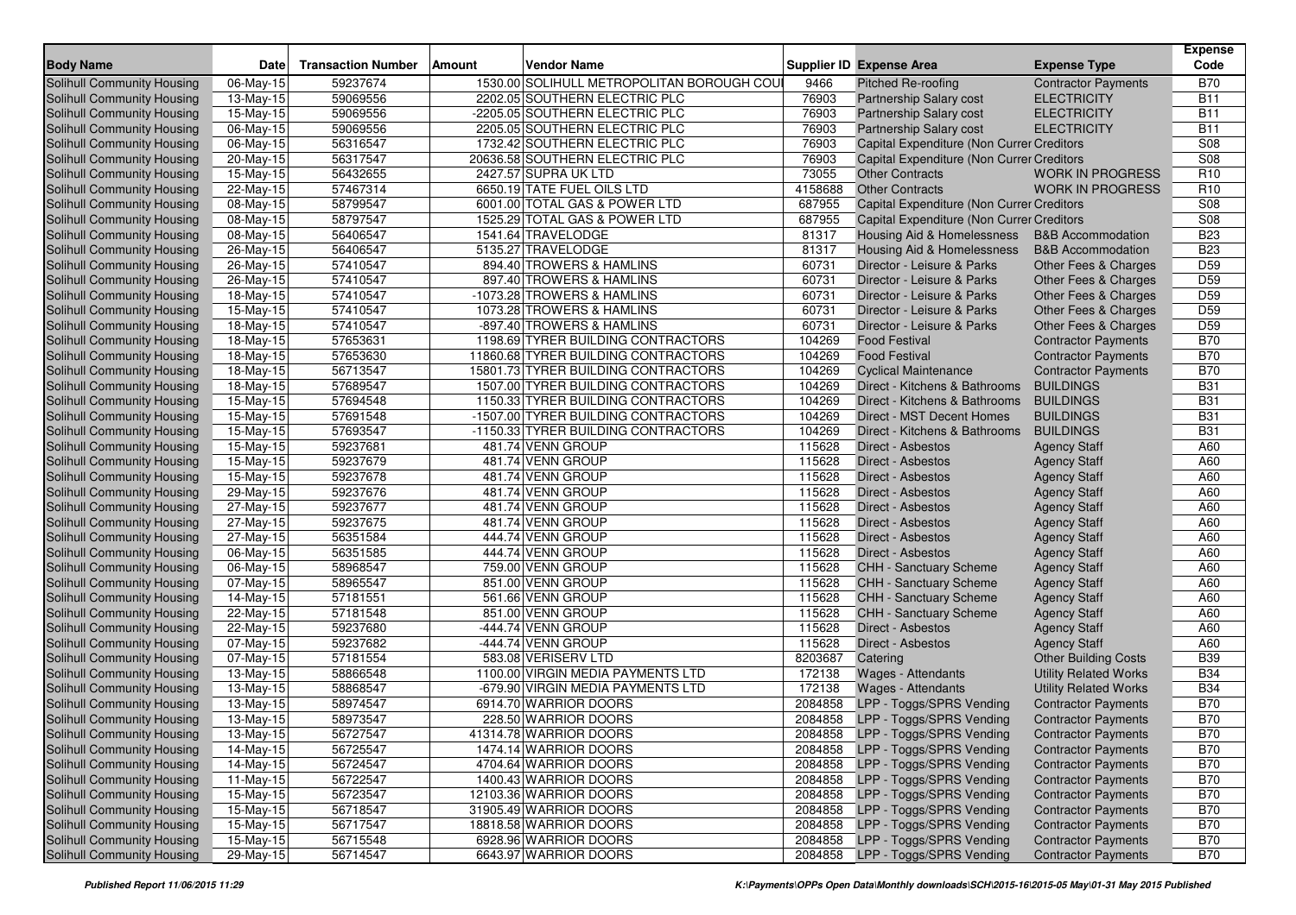|                                                          |                         |                           |        |                                                                            |                  |                                                            |                                      | <b>Expense</b>           |
|----------------------------------------------------------|-------------------------|---------------------------|--------|----------------------------------------------------------------------------|------------------|------------------------------------------------------------|--------------------------------------|--------------------------|
| <b>Body Name</b>                                         | <b>Date</b>             | <b>Transaction Number</b> | Amount | <b>Vendor Name</b>                                                         |                  | <b>Supplier ID Expense Area</b>                            | <b>Expense Type</b>                  | Code                     |
| <b>Solihull Community Housing</b>                        | $06-May-15$             | 59237674                  |        | 1530.00 SOLIHULL METROPOLITAN BOROUGH COUI                                 | 9466             | Pitched Re-roofing                                         | <b>Contractor Payments</b>           | <b>B70</b>               |
| Solihull Community Housing                               | 13-May-15               | 59069556                  |        | 2202.05 SOUTHERN ELECTRIC PLC                                              | 76903            | <b>Partnership Salary cost</b>                             | <b>ELECTRICITY</b>                   | <b>B11</b>               |
| Solihull Community Housing                               | 15-May-15               | 59069556                  |        | -2205.05 SOUTHERN ELECTRIC PLC                                             | 76903            | <b>Partnership Salary cost</b>                             | <b>ELECTRICITY</b>                   | <b>B11</b>               |
| Solihull Community Housing                               | 06-May-15               | 59069556                  |        | 2205.05 SOUTHERN ELECTRIC PLC                                              | 76903            | <b>Partnership Salary cost</b>                             | <b>ELECTRICITY</b>                   | <b>B11</b>               |
| Solihull Community Housing                               | 06-May-15               | 56316547                  |        | 1732.42 SOUTHERN ELECTRIC PLC                                              | 76903            | Capital Expenditure (Non Currer Creditors                  |                                      | S08                      |
| Solihull Community Housing                               | 20-May-15               | 56317547                  |        | 20636.58 SOUTHERN ELECTRIC PLC                                             | 76903            | Capital Expenditure (Non Currer Creditors                  |                                      | S08                      |
| Solihull Community Housing                               | 15-May-15               | 56432655                  |        | 2427.57 SUPRA UK LTD                                                       | 73055            | <b>Other Contracts</b>                                     | <b>WORK IN PROGRESS</b>              | R <sub>10</sub>          |
| Solihull Community Housing                               | 22-May-15               | 57467314                  |        | 6650.19 TATE FUEL OILS LTD                                                 | 4158688          | <b>Other Contracts</b>                                     | <b>WORK IN PROGRESS</b>              | R <sub>10</sub>          |
| Solihull Community Housing                               | 08-May-15               | 58799547                  |        | 6001.00 TOTAL GAS & POWER LTD                                              | 687955           | Capital Expenditure (Non Currer Creditors                  |                                      | S08                      |
| Solihull Community Housing                               | $\overline{0}8$ -May-15 | 58797547                  |        | 1525.29 TOTAL GAS & POWER LTD                                              | 687955           | Capital Expenditure (Non Currer Creditors                  |                                      | <b>S08</b>               |
| Solihull Community Housing                               | 08-May-15               | 56406547                  |        | 1541.64 TRAVELODGE                                                         | 81317            | Housing Aid & Homelessness                                 | <b>B&amp;B</b> Accommodation         | <b>B23</b>               |
| Solihull Community Housing                               | 26-May-15               | 56406547                  |        | 5135.27 TRAVELODGE                                                         | 81317            | Housing Aid & Homelessness                                 | <b>B&amp;B</b> Accommodation         | <b>B23</b>               |
| Solihull Community Housing                               | 26-May-15               | 57410547                  |        | 894.40 TROWERS & HAMLINS                                                   | 60731            | Director - Leisure & Parks                                 | Other Fees & Charges                 | D <sub>59</sub>          |
| Solihull Community Housing                               | 26-May-15               | 57410547                  |        | 897.40 TROWERS & HAMLINS                                                   | 60731            | Director - Leisure & Parks                                 | Other Fees & Charges                 | D <sub>59</sub>          |
| Solihull Community Housing                               | $\overline{18}$ -May-15 | 57410547                  |        | -1073.28 TROWERS & HAMLINS                                                 | 60731            | Director - Leisure & Parks                                 | Other Fees & Charges                 | D <sub>59</sub>          |
| Solihull Community Housing                               | 15-May-15               | 57410547                  |        | 1073.28 TROWERS & HAMLINS                                                  | 60731            | Director - Leisure & Parks                                 | Other Fees & Charges                 | D <sub>59</sub>          |
| Solihull Community Housing                               | 18-May-15               | 57410547                  |        | -897.40 TROWERS & HAMLINS                                                  | 60731            | Director - Leisure & Parks                                 | Other Fees & Charges                 | D <sub>59</sub>          |
| Solihull Community Housing                               | 18-May-15               | 57653631                  |        | 1198.69 TYRER BUILDING CONTRACTORS                                         | 104269           | <b>Food Festival</b>                                       | <b>Contractor Payments</b>           | <b>B70</b>               |
| Solihull Community Housing                               | 18-May-15               | 57653630                  |        | 11860.68 TYRER BUILDING CONTRACTORS                                        | 104269           | <b>Food Festival</b>                                       | <b>Contractor Payments</b>           | <b>B70</b>               |
| Solihull Community Housing                               | 18-May-15               | 56713547                  |        | 15801.73 TYRER BUILDING CONTRACTORS                                        | 104269           | <b>Cyclical Maintenance</b>                                | <b>Contractor Payments</b>           | <b>B70</b><br><b>B31</b> |
| Solihull Community Housing                               | 18-May-15               | 57689547                  |        | 1507.00 TYRER BUILDING CONTRACTORS                                         | 104269           | Direct - Kitchens & Bathrooms                              | <b>BUILDINGS</b>                     |                          |
| Solihull Community Housing                               | 15-May-15               | 57694548                  |        | 1150.33 TYRER BUILDING CONTRACTORS                                         | 104269<br>104269 | Direct - Kitchens & Bathrooms                              | <b>BUILDINGS</b><br><b>BUILDINGS</b> | <b>B31</b><br><b>B31</b> |
| Solihull Community Housing<br>Solihull Community Housing | 15-May-15               | 57691548<br>57693547      |        | -1507.00 TYRER BUILDING CONTRACTORS<br>-1150.33 TYRER BUILDING CONTRACTORS | 104269           | Direct - MST Decent Homes<br>Direct - Kitchens & Bathrooms | <b>BUILDINGS</b>                     | <b>B31</b>               |
| Solihull Community Housing                               | 15-May-15<br>15-May-15  | 59237681                  |        | 481.74 VENN GROUP                                                          | 115628           | Direct - Asbestos                                          | <b>Agency Staff</b>                  | A60                      |
| Solihull Community Housing                               | $15-May-15$             | 59237679                  |        | 481.74 VENN GROUP                                                          | 115628           | <b>Direct - Asbestos</b>                                   | <b>Agency Staff</b>                  | A60                      |
| Solihull Community Housing                               | 15-May-15               | 59237678                  |        | 481.74 VENN GROUP                                                          | 115628           | Direct - Asbestos                                          | <b>Agency Staff</b>                  | A60                      |
| Solihull Community Housing                               | 29-May-15               | 59237676                  |        | 481.74 VENN GROUP                                                          | 115628           | Direct - Asbestos                                          | <b>Agency Staff</b>                  | A60                      |
| Solihull Community Housing                               | $\overline{2}$ 7-May-15 | 59237677                  |        | 481.74 VENN GROUP                                                          | 115628           | <b>Direct - Asbestos</b>                                   | <b>Agency Staff</b>                  | A60                      |
| Solihull Community Housing                               | 27-May-15               | 59237675                  |        | 481.74 VENN GROUP                                                          | 115628           | <b>Direct - Asbestos</b>                                   | <b>Agency Staff</b>                  | A60                      |
| Solihull Community Housing                               | $\overline{2}$ 7-May-15 | 56351584                  |        | 444.74 VENN GROUP                                                          | 115628           | <b>Direct - Asbestos</b>                                   | <b>Agency Staff</b>                  | A60                      |
| Solihull Community Housing                               | 06-May-15               | 56351585                  |        | 444.74 VENN GROUP                                                          | 115628           | Direct - Asbestos                                          | <b>Agency Staff</b>                  | A60                      |
| Solihull Community Housing                               | 06-May-15               | 58968547                  |        | 759.00 VENN GROUP                                                          | 115628           | CHH - Sanctuary Scheme                                     | <b>Agency Staff</b>                  | A60                      |
| Solihull Community Housing                               | 07-May-15               | 58965547                  |        | 851.00 VENN GROUP                                                          | 115628           | CHH - Sanctuary Scheme                                     | <b>Agency Staff</b>                  | A60                      |
| <b>Solihull Community Housing</b>                        | 14-May-15               | 57181551                  |        | 561.66 VENN GROUP                                                          | 115628           | <b>CHH - Sanctuary Scheme</b>                              | <b>Agency Staff</b>                  | A60                      |
| Solihull Community Housing                               | 22-May-15               | 57181548                  |        | 851.00 VENN GROUP                                                          | 115628           | <b>CHH - Sanctuary Scheme</b>                              | <b>Agency Staff</b>                  | A60                      |
| Solihull Community Housing                               | 22-May-15               | 59237680                  |        | -444.74 VENN GROUP                                                         | 115628           | Direct - Asbestos                                          | <b>Agency Staff</b>                  | A60                      |
| Solihull Community Housing                               | 07-May-15               | 59237682                  |        | -444.74 VENN GROUP                                                         | 115628           | Direct - Asbestos                                          | <b>Agency Staff</b>                  | A60                      |
| Solihull Community Housing                               | 07-May-15               | 57181554                  |        | 583.08 VERISERV LTD                                                        | 8203687          | Catering                                                   | <b>Other Building Costs</b>          | <b>B39</b>               |
| Solihull Community Housing                               | $\overline{1}3$ -May-15 | 58866548                  |        | 1100.00 VIRGIN MEDIA PAYMENTS LTD                                          | 172138           | Wages - Attendants                                         | <b>Utility Related Works</b>         | <b>B34</b>               |
| <b>Solihull Community Housing</b>                        | 13-May-15               | 58868547                  |        | -679.90 VIRGIN MEDIA PAYMENTS LTD                                          | 172138           | <b>Wages - Attendants</b>                                  | <b>Utility Related Works</b>         | <b>B34</b>               |
| Solihull Community Housing                               | 13-May-15               | 58974547                  |        | 6914.70 WARRIOR DOORS                                                      | 2084858          | LPP - Toggs/SPRS Vending                                   | <b>Contractor Payments</b>           | <b>B70</b>               |
| Solihull Community Housing                               | 13-May-15               | 58973547                  |        | 228.50 WARRIOR DOORS                                                       | 2084858          | LPP - Toggs/SPRS Vending                                   | <b>Contractor Payments</b>           | <b>B70</b>               |
| Solihull Community Housing                               | 13-May-15               | 56727547                  |        | 41314.78 WARRIOR DOORS                                                     |                  | 2084858 LPP - Toggs/SPRS Vending                           | <b>Contractor Payments</b>           | <b>B70</b>               |
| Solihull Community Housing                               | 14-May-15               | 56725547                  |        | 1474.14 WARRIOR DOORS                                                      |                  | 2084858 LPP - Toggs/SPRS Vending                           | <b>Contractor Payments</b>           | <b>B70</b>               |
| Solihull Community Housing                               | 14-May-15               | 56724547                  |        | 4704.64 WARRIOR DOORS                                                      |                  | 2084858 LPP - Toggs/SPRS Vending                           | <b>Contractor Payments</b>           | <b>B70</b>               |
| Solihull Community Housing                               | 11-May-15               | 56722547                  |        | 1400.43 WARRIOR DOORS                                                      |                  | 2084858 LPP - Toggs/SPRS Vending                           | <b>Contractor Payments</b>           | <b>B70</b>               |
| Solihull Community Housing                               | 15-May-15               | 56723547                  |        | 12103.36 WARRIOR DOORS                                                     |                  | 2084858 LPP - Toggs/SPRS Vending                           | <b>Contractor Payments</b>           | <b>B70</b>               |
| Solihull Community Housing                               | 15-May-15               | 56718547                  |        | 31905.49 WARRIOR DOORS                                                     |                  | 2084858 LPP - Toggs/SPRS Vending                           | <b>Contractor Payments</b>           | <b>B70</b>               |
| Solihull Community Housing                               | 15-May-15               | 56717547                  |        | 18818.58 WARRIOR DOORS                                                     |                  | 2084858 LPP - Toggs/SPRS Vending                           | <b>Contractor Payments</b>           | <b>B70</b>               |
| Solihull Community Housing                               | 15-May-15               | 56715548                  |        | 6928.96 WARRIOR DOORS                                                      | 2084858          | LPP - Toggs/SPRS Vending                                   | <b>Contractor Payments</b>           | <b>B70</b>               |
| Solihull Community Housing                               | 29-May-15               | 56714547                  |        | 6643.97 WARRIOR DOORS                                                      |                  | 2084858 LPP - Toggs/SPRS Vending                           | <b>Contractor Payments</b>           | <b>B70</b>               |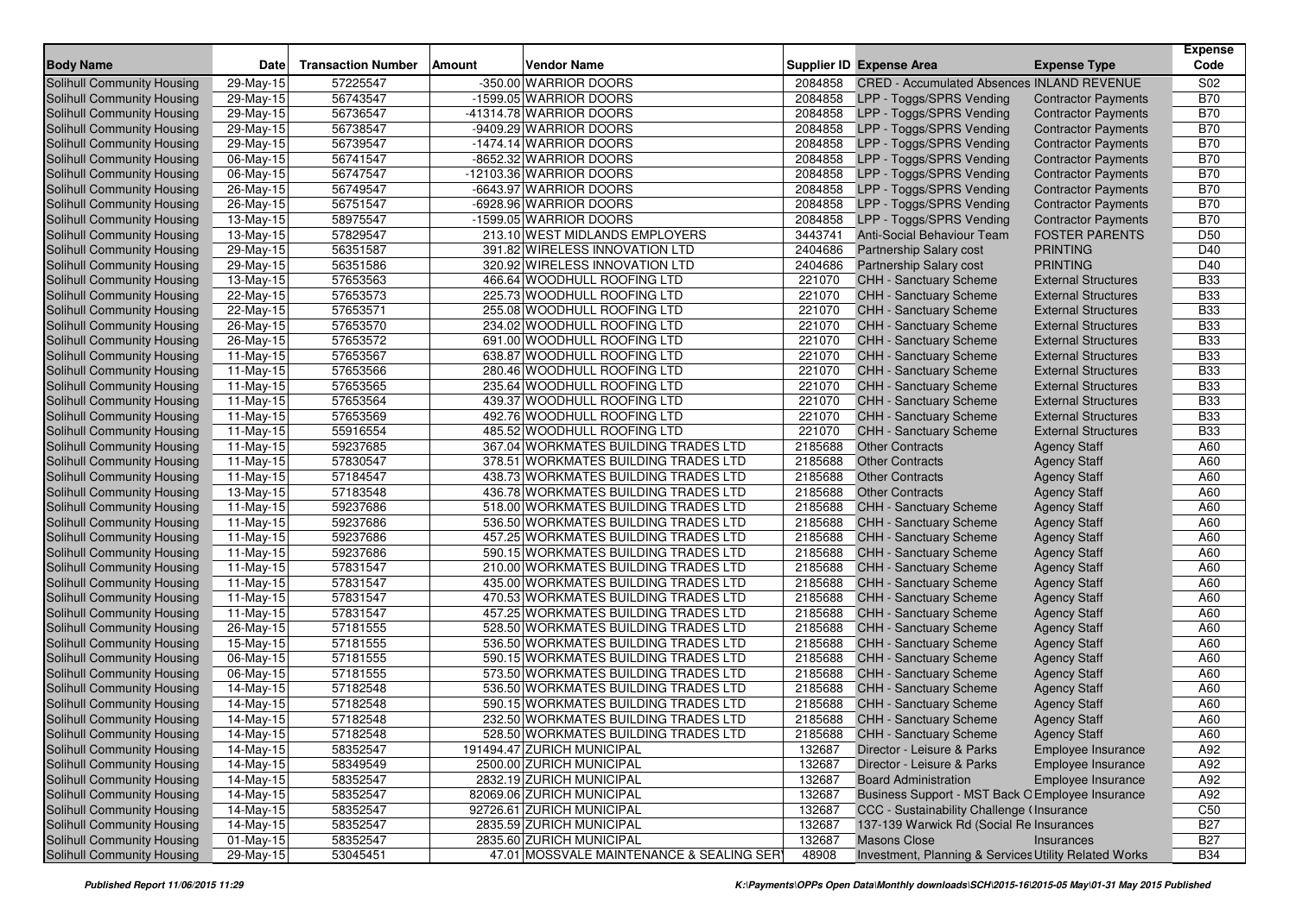| <b>Body Name</b>                  | <b>Date</b>            | <b>Transaction Number</b> | <b>Amount</b> | <b>Vendor Name</b>                        |         | <b>Supplier ID Expense Area</b>                       | <b>Expense Type</b>                       | <b>Expense</b><br>Code |
|-----------------------------------|------------------------|---------------------------|---------------|-------------------------------------------|---------|-------------------------------------------------------|-------------------------------------------|------------------------|
| Solihull Community Housing        | 29-May-15              | 57225547                  |               | -350.00 WARRIOR DOORS                     | 2084858 | <b>CRED - Accumulated Absences INLAND REVENUE</b>     |                                           | S02                    |
| Solihull Community Housing        | 29-May-15              | 56743547                  |               | -1599.05 WARRIOR DOORS                    | 2084858 | LPP - Toggs/SPRS Vending                              | <b>Contractor Payments</b>                | <b>B70</b>             |
| <b>Solihull Community Housing</b> | 29-May-15              | 56736547                  |               | -41314.78 WARRIOR DOORS                   | 2084858 | LPP - Toggs/SPRS Vending                              | <b>Contractor Payments</b>                | <b>B70</b>             |
| <b>Solihull Community Housing</b> | 29-May-15              | 56738547                  |               | -9409.29 WARRIOR DOORS                    | 2084858 | LPP - Toggs/SPRS Vending                              | <b>Contractor Payments</b>                | <b>B70</b>             |
| Solihull Community Housing        | 29-May-15              | 56739547                  |               | -1474.14 WARRIOR DOORS                    | 2084858 | LPP - Toggs/SPRS Vending                              | <b>Contractor Payments</b>                | <b>B70</b>             |
| Solihull Community Housing        | 06-May-15              | 56741547                  |               | -8652.32 WARRIOR DOORS                    | 2084858 | LPP - Toggs/SPRS Vending                              | <b>Contractor Payments</b>                | <b>B70</b>             |
| Solihull Community Housing        | 06-May-15              | 56747547                  |               | -12103.36 WARRIOR DOORS                   | 2084858 | LPP - Toggs/SPRS Vending                              | <b>Contractor Payments</b>                | <b>B70</b>             |
| Solihull Community Housing        | 26-May-15              | 56749547                  |               | -6643.97 WARRIOR DOORS                    | 2084858 | LPP - Toggs/SPRS Vending                              | <b>Contractor Payments</b>                | <b>B70</b>             |
| Solihull Community Housing        | 26-May-15              | 56751547                  |               | -6928.96 WARRIOR DOORS                    | 2084858 | LPP - Toggs/SPRS Vending                              | <b>Contractor Payments</b>                | <b>B70</b>             |
| Solihull Community Housing        | 13-May-15              | 58975547                  |               | -1599.05 WARRIOR DOORS                    | 2084858 | LPP - Toggs/SPRS Vending                              | <b>Contractor Payments</b>                | <b>B70</b>             |
| Solihull Community Housing        | 13-May-15              | 57829547                  |               | 213.10 WEST MIDLANDS EMPLOYERS            | 3443741 | Anti-Social Behaviour Team                            | <b>FOSTER PARENTS</b>                     | D <sub>50</sub>        |
| Solihull Community Housing        | 29-May-15              | 56351587                  |               | 391.82 WIRELESS INNOVATION LTD            | 2404686 | Partnership Salary cost                               | <b>PRINTING</b>                           | D40                    |
| Solihull Community Housing        | 29-May-15              | 56351586                  |               | 320.92 WIRELESS INNOVATION LTD            | 2404686 | <b>Partnership Salary cost</b>                        | <b>PRINTING</b>                           | D40                    |
| Solihull Community Housing        | 13-May-15              | 57653563                  |               | 466.64 WOODHULL ROOFING LTD               | 221070  | <b>CHH - Sanctuary Scheme</b>                         | <b>External Structures</b>                | <b>B33</b>             |
| Solihull Community Housing        | 22-May-15              | 57653573                  |               | 225.73 WOODHULL ROOFING LTD               | 221070  | <b>CHH - Sanctuary Scheme</b>                         | <b>External Structures</b>                | <b>B33</b>             |
| Solihull Community Housing        | 22-May-15              | 57653571                  |               | 255.08 WOODHULL ROOFING LTD               | 221070  | <b>CHH - Sanctuary Scheme</b>                         | <b>External Structures</b>                | <b>B33</b>             |
| Solihull Community Housing        | 26-May-15              | 57653570                  |               | 234.02 WOODHULL ROOFING LTD               | 221070  | <b>CHH - Sanctuary Scheme</b>                         | <b>External Structures</b>                | <b>B33</b>             |
| Solihull Community Housing        | 26-May-15              | 57653572                  |               | 691.00 WOODHULL ROOFING LTD               | 221070  | <b>CHH - Sanctuary Scheme</b>                         | <b>External Structures</b>                | <b>B33</b>             |
| Solihull Community Housing        | 11-May-15              | 57653567                  |               | 638.87 WOODHULL ROOFING LTD               | 221070  | <b>CHH - Sanctuary Scheme</b>                         | <b>External Structures</b>                | <b>B33</b>             |
| Solihull Community Housing        | $11-May-15$            | 57653566                  |               | 280.46 WOODHULL ROOFING LTD               | 221070  | <b>CHH - Sanctuary Scheme</b>                         | <b>External Structures</b>                | <b>B33</b>             |
| Solihull Community Housing        | 11-May-15              | 57653565                  |               | 235.64 WOODHULL ROOFING LTD               | 221070  | CHH - Sanctuary Scheme                                | <b>External Structures</b>                | <b>B33</b>             |
| Solihull Community Housing        | $11-May-15$            | 57653564                  |               | 439.37 WOODHULL ROOFING LTD               | 221070  | <b>CHH - Sanctuary Scheme</b>                         | <b>External Structures</b>                | <b>B33</b>             |
| Solihull Community Housing        | $11-May-15$            | 57653569                  |               | 492.76 WOODHULL ROOFING LTD               | 221070  | <b>CHH - Sanctuary Scheme</b>                         | <b>External Structures</b>                | <b>B33</b>             |
| Solihull Community Housing        | 11-May-15              | 55916554                  |               | 485.52 WOODHULL ROOFING LTD               | 221070  | <b>CHH - Sanctuary Scheme</b>                         | <b>External Structures</b>                | <b>B33</b>             |
| Solihull Community Housing        | 11-May-15              | 59237685                  |               | 367.04 WORKMATES BUILDING TRADES LTD      | 2185688 | <b>Other Contracts</b>                                | <b>Agency Staff</b>                       | A60                    |
| Solihull Community Housing        | 11-May-15              | 57830547                  |               | 378.51 WORKMATES BUILDING TRADES LTD      | 2185688 | <b>Other Contracts</b>                                | <b>Agency Staff</b>                       | A60                    |
| Solihull Community Housing        | 11-May-15              | 57184547                  |               | 438.73 WORKMATES BUILDING TRADES LTD      | 2185688 | <b>Other Contracts</b>                                | <b>Agency Staff</b>                       | A60                    |
| <b>Solihull Community Housing</b> | 13-May-15              | 57183548                  |               | 436.78 WORKMATES BUILDING TRADES LTD      | 2185688 | <b>Other Contracts</b>                                | <b>Agency Staff</b>                       | A60                    |
| Solihull Community Housing        | 11-May-15              | 59237686                  |               | 518.00 WORKMATES BUILDING TRADES LTD      | 2185688 | <b>CHH - Sanctuary Scheme</b>                         | <b>Agency Staff</b>                       | A60                    |
| Solihull Community Housing        | 11-May-15              | 59237686                  |               | 536.50 WORKMATES BUILDING TRADES LTD      | 2185688 | CHH - Sanctuary Scheme                                | <b>Agency Staff</b>                       | A60                    |
| <b>Solihull Community Housing</b> | 11-May-15              | 59237686                  |               | 457.25 WORKMATES BUILDING TRADES LTD      | 2185688 | <b>CHH - Sanctuary Scheme</b>                         | <b>Agency Staff</b>                       | A60                    |
| Solihull Community Housing        | 11-May-15              | 59237686                  |               | 590.15 WORKMATES BUILDING TRADES LTD      | 2185688 | <b>CHH - Sanctuary Scheme</b>                         | <b>Agency Staff</b>                       | A60                    |
| Solihull Community Housing        | 11-May-15              | 57831547                  |               | 210.00 WORKMATES BUILDING TRADES LTD      | 2185688 | <b>CHH - Sanctuary Scheme</b>                         | <b>Agency Staff</b>                       | A60                    |
| Solihull Community Housing        | 11-May-15              | 57831547                  |               | 435.00 WORKMATES BUILDING TRADES LTD      | 2185688 | CHH - Sanctuary Scheme                                | <b>Agency Staff</b>                       | A60                    |
| Solihull Community Housing        | 11-May-15              | 57831547                  |               | 470.53 WORKMATES BUILDING TRADES LTD      | 2185688 | CHH - Sanctuary Scheme                                | <b>Agency Staff</b>                       | A60                    |
| Solihull Community Housing        | 11-May-15              | 57831547                  |               | 457.25 WORKMATES BUILDING TRADES LTD      | 2185688 | <b>CHH - Sanctuary Scheme</b>                         | <b>Agency Staff</b>                       | A60                    |
| Solihull Community Housing        | 26-May-15              | 57181555                  |               | 528.50 WORKMATES BUILDING TRADES LTD      | 2185688 | CHH - Sanctuary Scheme                                | <b>Agency Staff</b>                       | A60                    |
| Solihull Community Housing        | 15-May-15              | 57181555                  |               | 536.50 WORKMATES BUILDING TRADES LTD      | 2185688 | CHH - Sanctuary Scheme                                | <b>Agency Staff</b>                       | A60                    |
| Solihull Community Housing        | 06-May-15              | 57181555                  |               | 590.15 WORKMATES BUILDING TRADES LTD      | 2185688 | <b>CHH - Sanctuary Scheme</b>                         | <b>Agency Staff</b>                       | A60                    |
| Solihull Community Housing        | $06$ -May-15           | 57181555                  |               | 573.50 WORKMATES BUILDING TRADES LTD      | 2185688 | <b>CHH - Sanctuary Scheme</b>                         | <b>Agency Staff</b>                       | A60                    |
| Solihull Community Housing        | 14-May-15              | 57182548                  |               | 536.50 WORKMATES BUILDING TRADES LTD      | 2185688 | CHH - Sanctuary Scheme                                | <b>Agency Staff</b>                       | A60                    |
| Solihull Community Housing        | 14-May-15              | 57182548                  |               | 590.15 WORKMATES BUILDING TRADES LTD      | 2185688 | CHH - Sanctuary Scheme                                | <b>Agency Staff</b>                       | A60                    |
| Solihull Community Housing        | 14-May-15              | 57182548                  |               | 232.50 WORKMATES BUILDING TRADES LTD      | 2185688 | <b>CHH - Sanctuary Scheme</b>                         | <b>Agency Staff</b>                       | A60                    |
| Solihull Community Housing        | 14-May-15              | 57182548                  |               | 528.50 WORKMATES BUILDING TRADES LTD      | 2185688 | CHH - Sanctuary Scheme                                |                                           | A60                    |
| Solihull Community Housing        | $14$ -May-15           | 58352547                  |               | 191494.47 ZURICH MUNICIPAL                | 132687  | Director - Leisure & Parks                            | <b>Agency Staff</b><br>Employee Insurance | A92                    |
| Solihull Community Housing        | $\overline{14-May-15}$ | 58349549                  |               | 2500.00 ZURICH MUNICIPAL                  | 132687  | Director - Leisure & Parks                            | Employee Insurance                        | A92                    |
| Solihull Community Housing        | 14-May-15              | 58352547                  |               | 2832.19 ZURICH MUNICIPAL                  | 132687  | <b>Board Administration</b>                           | Employee Insurance                        | A92                    |
| Solihull Community Housing        | 14-May-15              | 58352547                  |               | 82069.06 ZURICH MUNICIPAL                 | 132687  | Business Support - MST Back O Employee Insurance      |                                           | A92                    |
| Solihull Community Housing        | 14-May-15              | 58352547                  |               | 92726.61 ZURICH MUNICIPAL                 | 132687  | CCC - Sustainability Challenge (Insurance             |                                           | C50                    |
| Solihull Community Housing        | 14-May-15              | 58352547                  |               | 2835.59 ZURICH MUNICIPAL                  | 132687  | 137-139 Warwick Rd (Social Re Insurances              |                                           | <b>B27</b>             |
| Solihull Community Housing        | 01-May-15              | 58352547                  |               | 2835.60 ZURICH MUNICIPAL                  | 132687  | <b>Masons Close</b>                                   | Insurances                                | <b>B27</b>             |
| Solihull Community Housing        |                        |                           |               | 47.01 MOSSVALE MAINTENANCE & SEALING SERY | 48908   |                                                       |                                           |                        |
|                                   | 29-May-15              | 53045451                  |               |                                           |         | Investment, Planning & Services Utility Related Works |                                           | <b>B34</b>             |